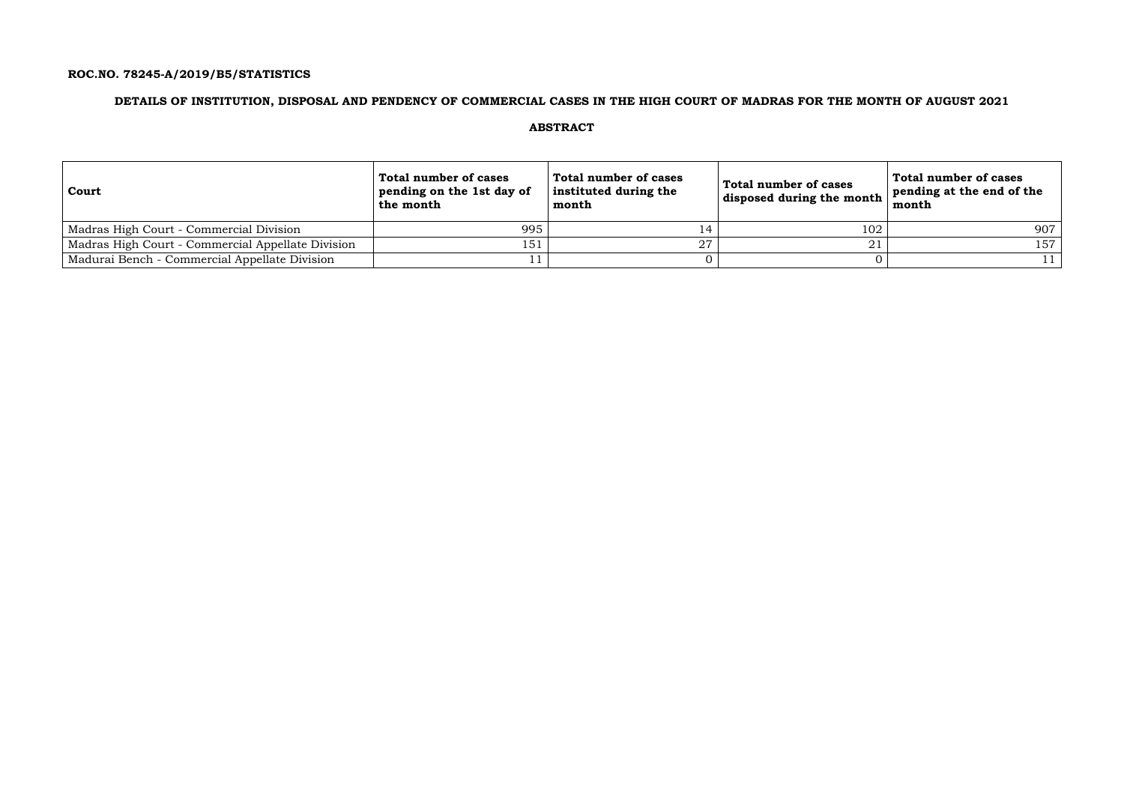### **ROC.NO. 78245-A/2019/B5/STATISTICS**

### **DETAILS OF INSTITUTION, DISPOSAL AND PENDENCY OF COMMERCIAL CASES IN THE HIGH COURT OF MADRAS FOR THE MONTH OF AUGUST 2021**

### **ABSTRACT**

| Court                                             | Total number of cases<br>pending on the 1st day of<br>the month | Total number of cases<br>instituted during the<br>month | <b>Total number of cases</b><br>disposed during the month $\vert$ | Total number of cases<br>pending at the end of the<br>month |
|---------------------------------------------------|-----------------------------------------------------------------|---------------------------------------------------------|-------------------------------------------------------------------|-------------------------------------------------------------|
| Madras High Court - Commercial Division           | 995                                                             |                                                         | 102                                                               | 907                                                         |
| Madras High Court - Commercial Appellate Division | 151                                                             | 27                                                      |                                                                   | 157                                                         |
| Madurai Bench - Commercial Appellate Division     |                                                                 |                                                         |                                                                   |                                                             |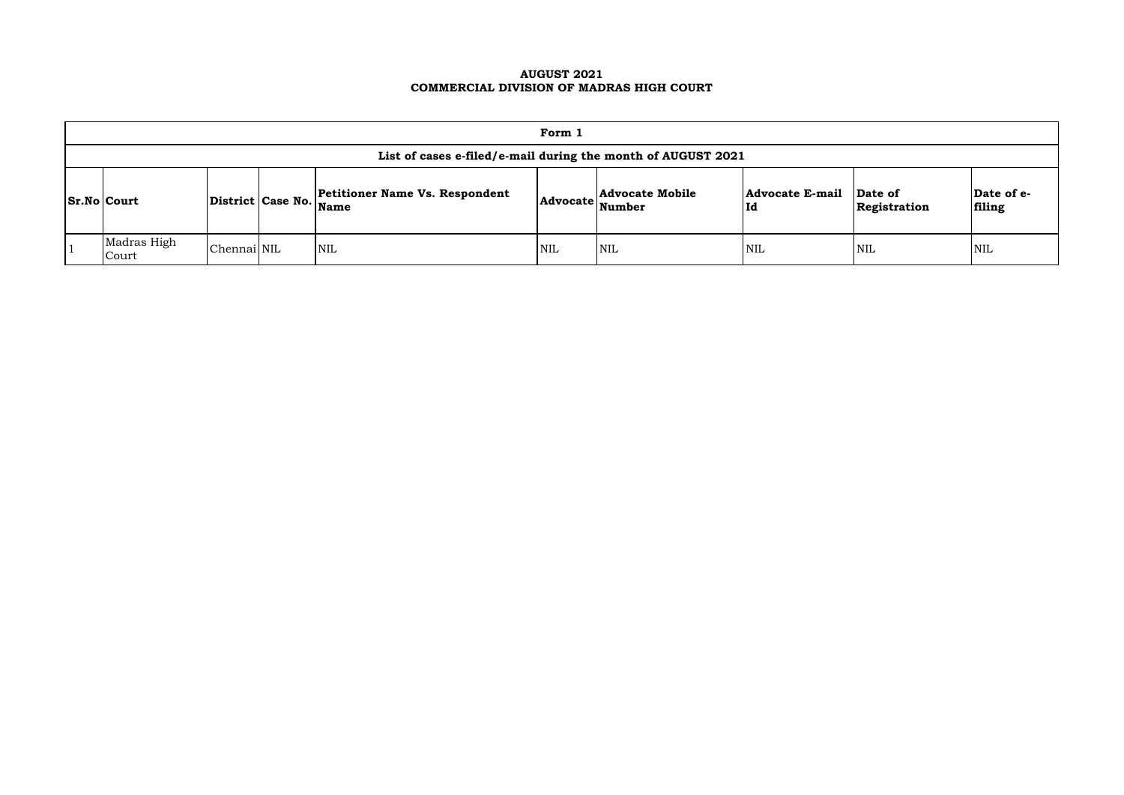### **AUGUST 2021 COMMERCIAL DIVISION OF MADRAS HIGH COURT**

| Form 1                                                       |             |  |                                                                 |            |                                    |                               |                         |                      |  |  |  |
|--------------------------------------------------------------|-------------|--|-----------------------------------------------------------------|------------|------------------------------------|-------------------------------|-------------------------|----------------------|--|--|--|
| List of cases e-filed/e-mail during the month of AUGUST 2021 |             |  |                                                                 |            |                                    |                               |                         |                      |  |  |  |
| <b>Sr.No Court</b>                                           |             |  | <b>Petitioner Name Vs. Respondent</b><br>District Case No. Name |            | Advocate Advocate Mobile<br>Number | <b>Advocate E-mail</b><br> Id | Date of<br>Registration | Date of e-<br>filing |  |  |  |
| Madras High<br>Court                                         | Chennai NIL |  | <b>NIL</b>                                                      | <b>NIL</b> | <b>NIL</b>                         | NIL                           | NIL                     | <b>NIL</b>           |  |  |  |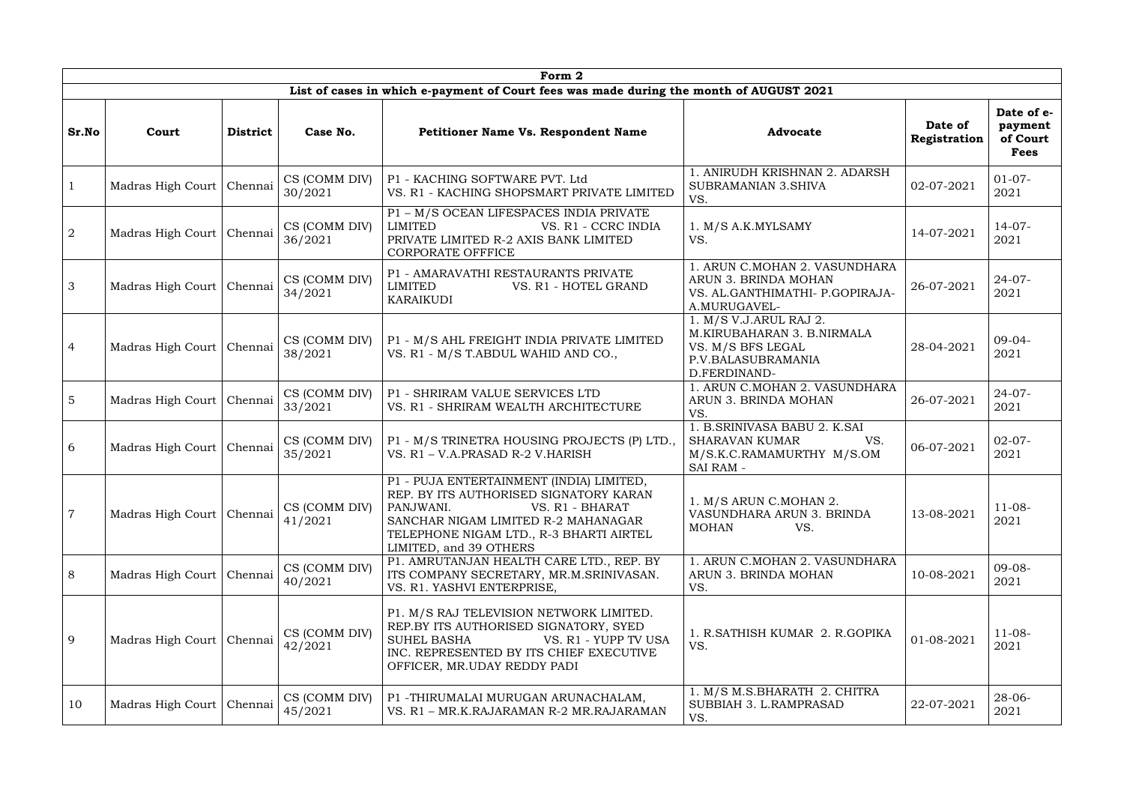|                | Form 2                      |                 |                          |                                                                                                                                                                                                                                |                                                                                                                 |                         |                                                  |  |  |  |  |  |
|----------------|-----------------------------|-----------------|--------------------------|--------------------------------------------------------------------------------------------------------------------------------------------------------------------------------------------------------------------------------|-----------------------------------------------------------------------------------------------------------------|-------------------------|--------------------------------------------------|--|--|--|--|--|
|                |                             |                 |                          | List of cases in which e-payment of Court fees was made during the month of AUGUST 2021                                                                                                                                        |                                                                                                                 |                         |                                                  |  |  |  |  |  |
| Sr.No          | Court                       | <b>District</b> | Case No.                 | <b>Petitioner Name Vs. Respondent Name</b>                                                                                                                                                                                     | <b>Advocate</b>                                                                                                 | Date of<br>Registration | Date of e-<br>payment<br>of Court<br><b>Fees</b> |  |  |  |  |  |
|                | Madras High Court   Chennai |                 | CS (COMM DIV)<br>30/2021 | P1 - KACHING SOFTWARE PVT. Ltd<br>VS. R1 - KACHING SHOPSMART PRIVATE LIMITED                                                                                                                                                   | 1. ANIRUDH KRISHNAN 2. ADARSH<br>SUBRAMANIAN 3.SHIVA<br>VS.                                                     | 02-07-2021              | $01-07-$<br>2021                                 |  |  |  |  |  |
| $\overline{2}$ | Madras High Court   Chennai |                 | CS (COMM DIV)<br>36/2021 | P1 - M/S OCEAN LIFESPACES INDIA PRIVATE<br>LIMITED<br>VS. R1 - CCRC INDIA<br>PRIVATE LIMITED R-2 AXIS BANK LIMITED<br><b>CORPORATE OFFFICE</b>                                                                                 | 1. M/S A.K.MYLSAMY<br>VS.                                                                                       | 14-07-2021              | $14-07-$<br>2021                                 |  |  |  |  |  |
| 3              | Madras High Court   Chennai |                 | CS (COMM DIV)<br>34/2021 | P1 - AMARAVATHI RESTAURANTS PRIVATE<br>LIMITED<br>VS. R1 - HOTEL GRAND<br><b>KARAIKUDI</b>                                                                                                                                     | 1. ARUN C.MOHAN 2. VASUNDHARA<br>ARUN 3. BRINDA MOHAN<br>VS. AL.GANTHIMATHI- P.GOPIRAJA-<br>A.MURUGAVEL-        | 26-07-2021              | $24-07-$<br>2021                                 |  |  |  |  |  |
| $\overline{4}$ | Madras High Court   Chennai |                 | CS (COMM DIV)<br>38/2021 | P1 - M/S AHL FREIGHT INDIA PRIVATE LIMITED<br>VS. R1 - M/S T.ABDUL WAHID AND CO.,                                                                                                                                              | 1. M/S V.J.ARUL RAJ 2.<br>M.KIRUBAHARAN 3. B.NIRMALA<br>VS. M/S BFS LEGAL<br>P.V.BALASUBRAMANIA<br>D.FERDINAND- | 28-04-2021              | $09-04-$<br>2021                                 |  |  |  |  |  |
| $\overline{5}$ | Madras High Court   Chennai |                 | CS (COMM DIV)<br>33/2021 | P1 - SHRIRAM VALUE SERVICES LTD<br>VS. R1 - SHRIRAM WEALTH ARCHITECTURE                                                                                                                                                        | 1. ARUN C.MOHAN 2. VASUNDHARA<br>ARUN 3. BRINDA MOHAN<br>VS.                                                    | 26-07-2021              | $24-07-$<br>2021                                 |  |  |  |  |  |
| 6              | Madras High Court   Chennai |                 | CS (COMM DIV)<br>35/2021 | P1 - M/S TRINETRA HOUSING PROJECTS (P) LTD.,<br>VS. R1 - V.A.PRASAD R-2 V.HARISH                                                                                                                                               | 1. B.SRINIVASA BABU 2. K.SAI<br><b>SHARAVAN KUMAR</b><br>VS.<br>M/S.K.C.RAMAMURTHY M/S.OM<br>SAI RAM -          | 06-07-2021              | $02 - 07 -$<br>2021                              |  |  |  |  |  |
| $\overline{7}$ | Madras High Court   Chennai |                 | CS (COMM DIV)<br>41/2021 | P1 - PUJA ENTERTAINMENT (INDIA) LIMITED,<br>REP. BY ITS AUTHORISED SIGNATORY KARAN<br>PANJWANI.<br>VS. R1 - BHARAT<br>SANCHAR NIGAM LIMITED R-2 MAHANAGAR<br>TELEPHONE NIGAM LTD., R-3 BHARTI AIRTEL<br>LIMITED, and 39 OTHERS | 1. M/S ARUN C.MOHAN 2.<br>VASUNDHARA ARUN 3. BRINDA<br>VS.<br><b>MOHAN</b>                                      | 13-08-2021              | $11-08-$<br>2021                                 |  |  |  |  |  |
| 8              | Madras High Court   Chennai |                 | CS (COMM DIV)<br>40/2021 | P1. AMRUTANJAN HEALTH CARE LTD., REP. BY<br>ITS COMPANY SECRETARY, MR.M.SRINIVASAN.<br>VS. R1. YASHVI ENTERPRISE,                                                                                                              | 1. ARUN C.MOHAN 2. VASUNDHARA<br>ARUN 3. BRINDA MOHAN<br>VS.                                                    | 10-08-2021              | $09-08-$<br>2021                                 |  |  |  |  |  |
| 9              | Madras High Court   Chennai |                 | CS (COMM DIV)<br>42/2021 | P1. M/S RAJ TELEVISION NETWORK LIMITED.<br>REP.BY ITS AUTHORISED SIGNATORY, SYED<br><b>SUHEL BASHA</b><br>VS. R1 - YUPP TV USA<br>INC. REPRESENTED BY ITS CHIEF EXECUTIVE<br>OFFICER, MR.UDAY REDDY PADI                       | 1. R.SATHISH KUMAR 2. R.GOPIKA<br>VS.                                                                           | 01-08-2021              | $11 - 08 -$<br>2021                              |  |  |  |  |  |
| 10             | Madras High Court   Chennai |                 | CS (COMM DIV)<br>45/2021 | P1 - THIRUMALAI MURUGAN ARUNACHALAM,<br>VS. R1 - MR.K.RAJARAMAN R-2 MR.RAJARAMAN                                                                                                                                               | 1. M/S M.S.BHARATH 2. CHITRA<br>SUBBIAH 3. L.RAMPRASAD<br>VS.                                                   | 22-07-2021              | $28 - 06 -$<br>2021                              |  |  |  |  |  |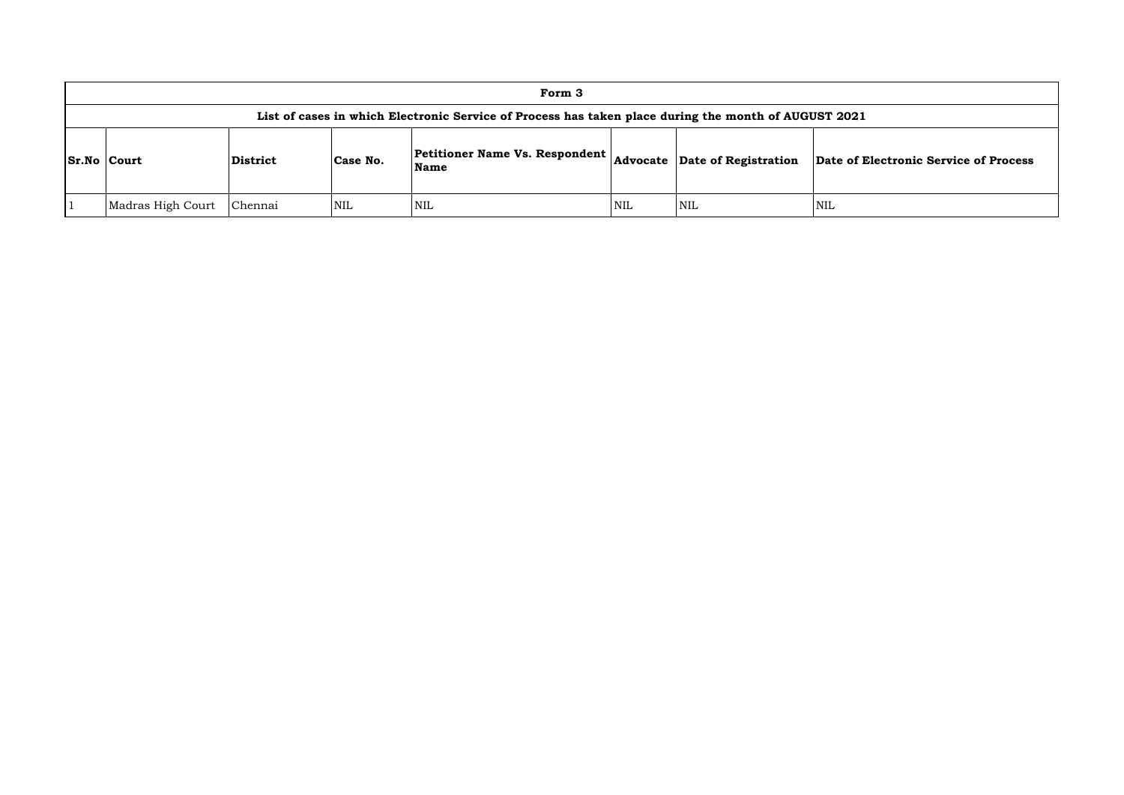|                                                                                                      |                   |          |            | Form 3                                          |            |                               |            |
|------------------------------------------------------------------------------------------------------|-------------------|----------|------------|-------------------------------------------------|------------|-------------------------------|------------|
| List of cases in which Electronic Service of Process has taken place during the month of AUGUST 2021 |                   |          |            |                                                 |            |                               |            |
| <b>Sr.No Court</b>                                                                                   |                   | District | Case No.   | <b>Petitioner Name Vs. Respondent</b>  <br>Name |            | Advocate Date of Registration | Date of I  |
|                                                                                                      | Madras High Court | Chennai  | <b>NIL</b> | <b>NIL</b>                                      | <b>NIL</b> | NIL                           | <b>NIL</b> |

**Name Advocate Date of Registration Date of Electronic Service of Process**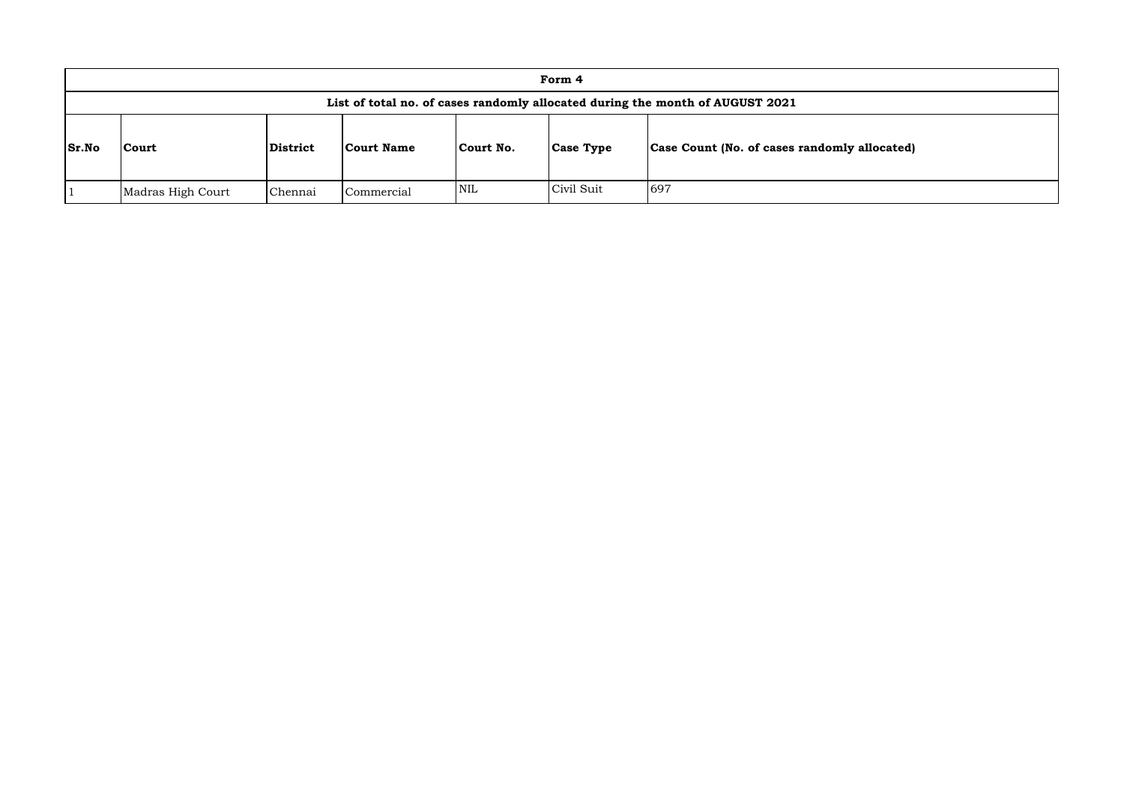|              |                   |          |                   |            | Form 4           |                                                                               |
|--------------|-------------------|----------|-------------------|------------|------------------|-------------------------------------------------------------------------------|
|              |                   |          |                   |            |                  | List of total no. of cases randomly allocated during the month of AUGUST 2021 |
| <b>Sr.No</b> | <b>Court</b>      | District | <b>Court Name</b> | Court No.  | <b>Case Type</b> | Case Count (No. of cases randomly allocated)                                  |
|              | Madras High Court | Chennai  | Commercial        | <b>NIL</b> | Civil Suit       | 697                                                                           |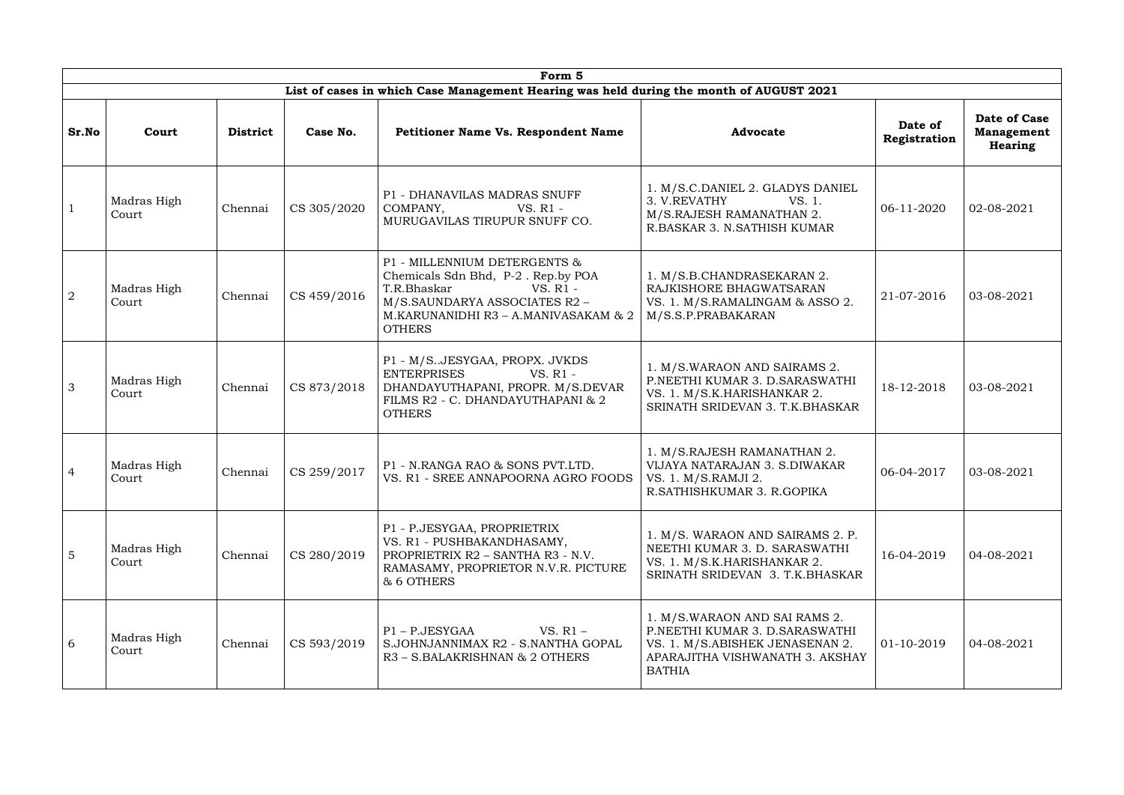|                | Form 5               |                 |             |                                                                                                                                                                                        |                                                                                                                                                        |                         |                                              |  |  |  |
|----------------|----------------------|-----------------|-------------|----------------------------------------------------------------------------------------------------------------------------------------------------------------------------------------|--------------------------------------------------------------------------------------------------------------------------------------------------------|-------------------------|----------------------------------------------|--|--|--|
|                |                      |                 |             | List of cases in which Case Management Hearing was held during the month of AUGUST 2021                                                                                                |                                                                                                                                                        |                         |                                              |  |  |  |
| Sr.No          | Court                | <b>District</b> | Case No.    | <b>Petitioner Name Vs. Respondent Name</b>                                                                                                                                             | <b>Advocate</b>                                                                                                                                        | Date of<br>Registration | Date of Case<br><b>Management</b><br>Hearing |  |  |  |
| $\mathbf{1}$   | Madras High<br>Court | Chennai         | CS 305/2020 | P1 - DHANAVILAS MADRAS SNUFF<br>COMPANY,<br>VS. R1 -<br>MURUGAVILAS TIRUPUR SNUFF CO.                                                                                                  | 1. M/S.C.DANIEL 2. GLADYS DANIEL<br>3. V.REVATHY<br>VS. 1.<br>M/S.RAJESH RAMANATHAN 2.<br>R.BASKAR 3. N.SATHISH KUMAR                                  | 06-11-2020              | 02-08-2021                                   |  |  |  |
| $\overline{2}$ | Madras High<br>Court | Chennai         | CS 459/2016 | P1 - MILLENNIUM DETERGENTS &<br>Chemicals Sdn Bhd, P-2. Rep.by POA<br>T.R.Bhaskar<br>VS. R1 -<br>M/S.SAUNDARYA ASSOCIATES R2-<br>M.KARUNANIDHI R3 - A.MANIVASAKAM & 2<br><b>OTHERS</b> | 1. M/S.B.CHANDRASEKARAN 2.<br>RAJKISHORE BHAGWATSARAN<br>VS. 1. M/S.RAMALINGAM & ASSO 2.<br>M/S.S.P.PRABAKARAN                                         | 21-07-2016              | 03-08-2021                                   |  |  |  |
| $\mathcal{S}$  | Madras High<br>Court | Chennai         | CS 873/2018 | P1 - M/S.JESYGAA, PROPX. JVKDS<br>ENTERPRISES<br>VS. R1 -<br>DHANDAYUTHAPANI, PROPR. M/S.DEVAR<br>FILMS R2 - C. DHANDAYUTHAPANI & 2<br><b>OTHERS</b>                                   | 1. M/S.WARAON AND SAIRAMS 2.<br>P.NEETHI KUMAR 3. D.SARASWATHI<br>VS. 1. M/S.K.HARISHANKAR 2.<br>SRINATH SRIDEVAN 3. T.K.BHASKAR                       | 18-12-2018              | 03-08-2021                                   |  |  |  |
| $\overline{4}$ | Madras High<br>Court | Chennai         | CS 259/2017 | P1 - N.RANGA RAO & SONS PVT.LTD.<br>VS. R1 - SREE ANNAPOORNA AGRO FOODS                                                                                                                | 1. M/S.RAJESH RAMANATHAN 2.<br>VIJAYA NATARAJAN 3. S.DIWAKAR<br>VS. 1. M/S.RAMJI 2.<br>R.SATHISHKUMAR 3. R.GOPIKA                                      | 06-04-2017              | 03-08-2021                                   |  |  |  |
| $\overline{5}$ | Madras High<br>Court | Chennai         | CS 280/2019 | P1 - P.JESYGAA, PROPRIETRIX<br>VS. R1 - PUSHBAKANDHASAMY,<br>PROPRIETRIX R2 - SANTHA R3 - N.V.<br>RAMASAMY, PROPRIETOR N.V.R. PICTURE<br>& 6 OTHERS                                    | 1. M/S. WARAON AND SAIRAMS 2. P.<br>NEETHI KUMAR 3. D. SARASWATHI<br>VS. 1. M/S.K.HARISHANKAR 2.<br>SRINATH SRIDEVAN 3. T.K.BHASKAR                    | 16-04-2019              | 04-08-2021                                   |  |  |  |
| 6              | Madras High<br>Court | Chennai         | CS 593/2019 | VS. $R1 -$<br>P1 - P.JESYGAA<br>S.JOHNJANNIMAX R2 - S.NANTHA GOPAL<br>R3 - S.BALAKRISHNAN & 2 OTHERS                                                                                   | 1. M/S.WARAON AND SAI RAMS 2.<br>P.NEETHI KUMAR 3. D.SARASWATHI<br>VS. 1. M/S.ABISHEK JENASENAN 2.<br>APARAJITHA VISHWANATH 3. AKSHAY<br><b>BATHIA</b> | $01-10-2019$            | 04-08-2021                                   |  |  |  |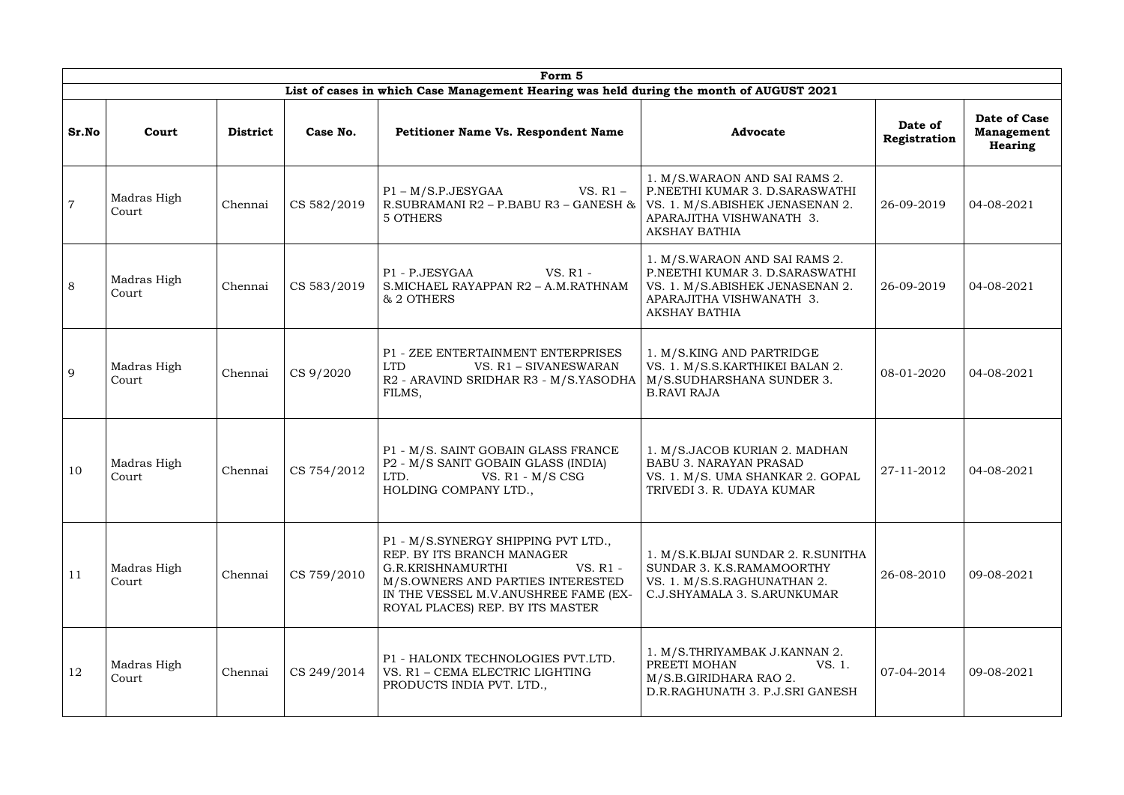|                | Form 5               |                 |             |                                                                                                                                                                                                                     |                                                                                                                                                        |                         |                                                     |  |  |  |
|----------------|----------------------|-----------------|-------------|---------------------------------------------------------------------------------------------------------------------------------------------------------------------------------------------------------------------|--------------------------------------------------------------------------------------------------------------------------------------------------------|-------------------------|-----------------------------------------------------|--|--|--|
|                |                      |                 |             | List of cases in which Case Management Hearing was held during the month of AUGUST 2021                                                                                                                             |                                                                                                                                                        |                         |                                                     |  |  |  |
| Sr.No          | Court                | <b>District</b> | Case No.    | <b>Petitioner Name Vs. Respondent Name</b>                                                                                                                                                                          | <b>Advocate</b>                                                                                                                                        | Date of<br>Registration | Date of Case<br><b>Management</b><br><b>Hearing</b> |  |  |  |
| $\overline{7}$ | Madras High<br>Court | Chennai         | CS 582/2019 | P1 – M/S.P.JESYGAA<br>$VS. R1 -$<br>R.SUBRAMANI R2 - P.BABU R3 - GANESH &<br>5 OTHERS                                                                                                                               | 1. M/S.WARAON AND SAI RAMS 2.<br>P.NEETHI KUMAR 3. D.SARASWATHI<br>VS. 1. M/S.ABISHEK JENASENAN 2.<br>APARAJITHA VISHWANATH 3.<br><b>AKSHAY BATHIA</b> | 26-09-2019              | 04-08-2021                                          |  |  |  |
| 8              | Madras High<br>Court | Chennai         | CS 583/2019 | VS. R1 -<br>P1 - P.JESYGAA<br>S.MICHAEL RAYAPPAN R2 - A.M.RATHNAM<br>& 2 OTHERS                                                                                                                                     | 1. M/S.WARAON AND SAI RAMS 2.<br>P.NEETHI KUMAR 3. D.SARASWATHI<br>VS. 1. M/S.ABISHEK JENASENAN 2.<br>APARAJITHA VISHWANATH 3.<br><b>AKSHAY BATHIA</b> | 26-09-2019              | 04-08-2021                                          |  |  |  |
| 9              | Madras High<br>Court | Chennai         | CS 9/2020   | P1 - ZEE ENTERTAINMENT ENTERPRISES<br><b>LTD</b><br>VS. R1 - SIVANESWARAN<br>R2 - ARAVIND SRIDHAR R3 - M/S.YASODHA<br>FILMS,                                                                                        | 1. M/S.KING AND PARTRIDGE<br>VS. 1. M/S.S.KARTHIKEI BALAN 2.<br>M/S.SUDHARSHANA SUNDER 3.<br><b>B.RAVI RAJA</b>                                        | 08-01-2020              | 04-08-2021                                          |  |  |  |
| 10             | Madras High<br>Court | Chennai         | CS 754/2012 | P1 - M/S. SAINT GOBAIN GLASS FRANCE<br>P2 - M/S SANIT GOBAIN GLASS (INDIA)<br>VS. $R1 - M/S \, \text{CSG}$<br>LTD.<br>HOLDING COMPANY LTD.,                                                                         | 1. M/S.JACOB KURIAN 2. MADHAN<br><b>BABU 3. NARAYAN PRASAD</b><br>VS. 1. M/S. UMA SHANKAR 2. GOPAL<br>TRIVEDI 3. R. UDAYA KUMAR                        | 27-11-2012              | 04-08-2021                                          |  |  |  |
| 11             | Madras High<br>Court | Chennai         | CS 759/2010 | P1 - M/S.SYNERGY SHIPPING PVT LTD.,<br>REP. BY ITS BRANCH MANAGER<br>VS. R1 -<br>G.R.KRISHNAMURTHI<br>M/S.OWNERS AND PARTIES INTERESTED<br>IN THE VESSEL M.V.ANUSHREE FAME (EX-<br>ROYAL PLACES) REP. BY ITS MASTER | 1. M/S.K. BIJAI SUNDAR 2. R. SUNITHA<br>SUNDAR 3. K.S.RAMAMOORTHY<br>VS. 1. M/S.S.RAGHUNATHAN 2.<br>C.J.SHYAMALA 3. S.ARUNKUMAR                        | 26-08-2010              | 09-08-2021                                          |  |  |  |
| 12             | Madras High<br>Court | Chennai         | CS 249/2014 | P1 - HALONIX TECHNOLOGIES PVT.LTD.<br>VS. R1 - CEMA ELECTRIC LIGHTING<br>PRODUCTS INDIA PVT. LTD.,                                                                                                                  | 1. M/S.THRIYAMBAK J.KANNAN 2.<br>PREETI MOHAN<br>VS. 1.<br>M/S.B.GIRIDHARA RAO 2.<br>D.R.RAGHUNATH 3. P.J.SRI GANESH                                   | 07-04-2014              | 09-08-2021                                          |  |  |  |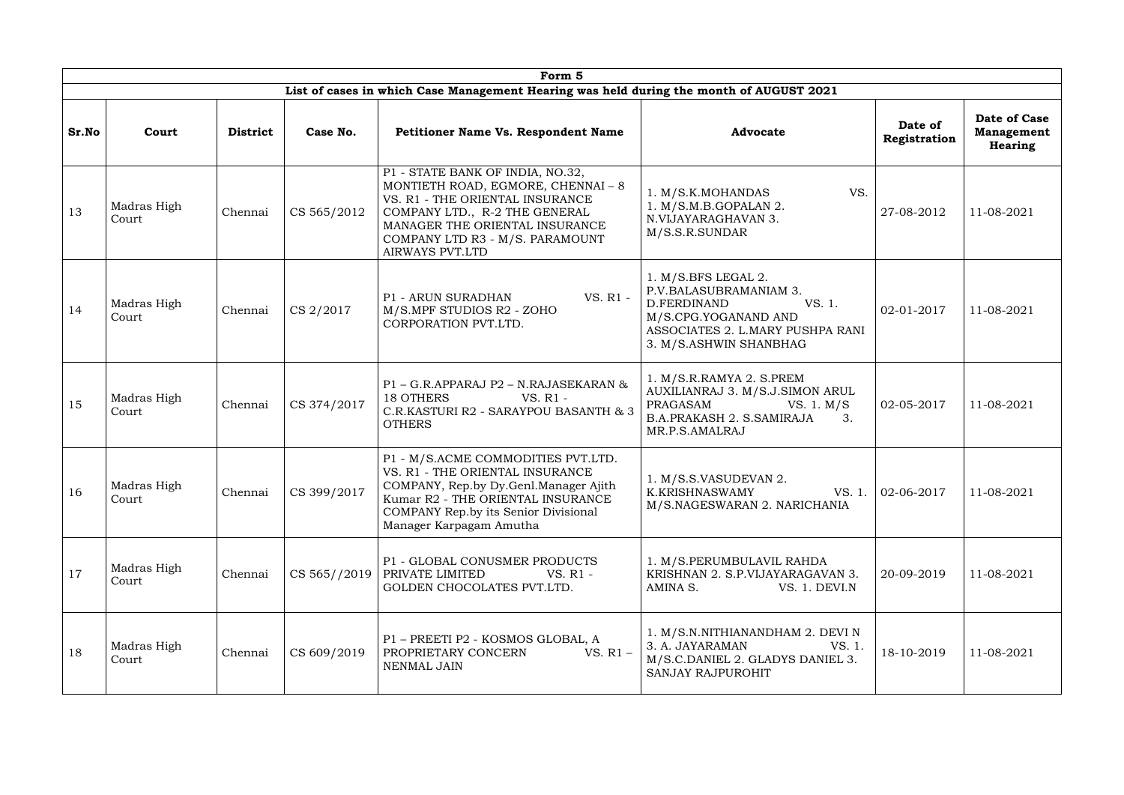|       | Form 5               |                 |              |                                                                                                                                                                                                                                  |                                                                                                                                                              |                                              |                                                     |  |  |  |  |
|-------|----------------------|-----------------|--------------|----------------------------------------------------------------------------------------------------------------------------------------------------------------------------------------------------------------------------------|--------------------------------------------------------------------------------------------------------------------------------------------------------------|----------------------------------------------|-----------------------------------------------------|--|--|--|--|
|       |                      |                 |              | List of cases in which Case Management Hearing was held during the month of AUGUST 2021                                                                                                                                          |                                                                                                                                                              |                                              |                                                     |  |  |  |  |
| Sr.No | Court                | <b>District</b> | Case No.     | <b>Petitioner Name Vs. Respondent Name</b>                                                                                                                                                                                       | <b>Advocate</b>                                                                                                                                              | Date of<br>Registration                      | Date of Case<br><b>Management</b><br><b>Hearing</b> |  |  |  |  |
| 13    | Madras High<br>Court | Chennai         | CS 565/2012  | P1 - STATE BANK OF INDIA, NO.32,<br>MONTIETH ROAD, EGMORE, CHENNAI-8<br>VS. R1 - THE ORIENTAL INSURANCE<br>COMPANY LTD., R-2 THE GENERAL<br>MANAGER THE ORIENTAL INSURANCE<br>COMPANY LTD R3 - M/S. PARAMOUNT<br>AIRWAYS PVT.LTD | VS.<br>1. M/S.K.MOHANDAS<br>1. M/S.M.B.GOPALAN 2.<br>N.VIJAYARAGHAVAN 3.<br>M/S.S.R.SUNDAR                                                                   | 27-08-2012                                   | 11-08-2021                                          |  |  |  |  |
| 14    | Madras High<br>Court | Chennai         | CS 2/2017    | VS. R1 -<br>P1 - ARUN SURADHAN<br>M/S.MPF STUDIOS R2 - ZOHO<br>CORPORATION PVT.LTD.                                                                                                                                              | 1. M/S.BFS LEGAL 2.<br>P.V.BALASUBRAMANIAM 3.<br>D.FERDINAND<br>VS. 1.<br>M/S.CPG.YOGANAND AND<br>ASSOCIATES 2. L.MARY PUSHPA RANI<br>3. M/S.ASHWIN SHANBHAG | 02-01-2017                                   | 11-08-2021                                          |  |  |  |  |
| 15    | Madras High<br>Court | Chennai         | CS 374/2017  | P1 - G.R.APPARAJ P2 - N.RAJASEKARAN &<br>18 OTHERS<br>VS. R1 -<br>C.R.KASTURI R2 - SARAYPOU BASANTH & 3<br><b>OTHERS</b>                                                                                                         | 1. M/S.R.RAMYA 2. S.PREM<br>AUXILIANRAJ 3. M/S.J.SIMON ARUL<br>PRAGASAM<br>VS. 1. M/S<br><b>B.A.PRAKASH 2. S.SAMIRAJA</b><br>3.<br>MR.P.S.AMALRAJ            | 02-05-2017                                   | 11-08-2021                                          |  |  |  |  |
| 16    | Madras High<br>Court | Chennai         | CS 399/2017  | P1 - M/S.ACME COMMODITIES PVT.LTD.<br>VS. R1 - THE ORIENTAL INSURANCE<br>COMPANY, Rep.by Dy.Genl.Manager Ajith<br>Kumar R2 - THE ORIENTAL INSURANCE<br>COMPANY Rep.by its Senior Divisional<br>Manager Karpagam Amutha           | 1. M/S.S.VASUDEVAN 2.<br>K.KRISHNASWAMY<br>M/S.NAGESWARAN 2. NARICHANIA                                                                                      | VS. 1. $\vert$ 02-06-2017 $\vert$ 11-08-2021 |                                                     |  |  |  |  |
| 17    | Madras High<br>Court | Chennai         | CS 565//2019 | P1 - GLOBAL CONUSMER PRODUCTS<br>PRIVATE LIMITED<br>VS. R1 -<br>GOLDEN CHOCOLATES PVT.LTD.                                                                                                                                       | 1. M/S.PERUMBULAVIL RAHDA<br>KRISHNAN 2. S.P.VIJAYARAGAVAN 3.<br>AMINA S.<br>VS. 1. DEVI.N                                                                   | 20-09-2019                                   | 11-08-2021                                          |  |  |  |  |
| 18    | Madras High<br>Court | Chennai         | CS 609/2019  | P1 - PREETI P2 - KOSMOS GLOBAL, A<br>VS. $R1 -$<br>PROPRIETARY CONCERN<br>NENMAL JAIN                                                                                                                                            | 1. M/S.N.NITHIANANDHAM 2. DEVI N<br>3. A. JAYARAMAN<br>VS. 1<br>M/S.C.DANIEL 2. GLADYS DANIEL 3.<br>SANJAY RAJPUROHIT                                        | 18-10-2019                                   | 11-08-2021                                          |  |  |  |  |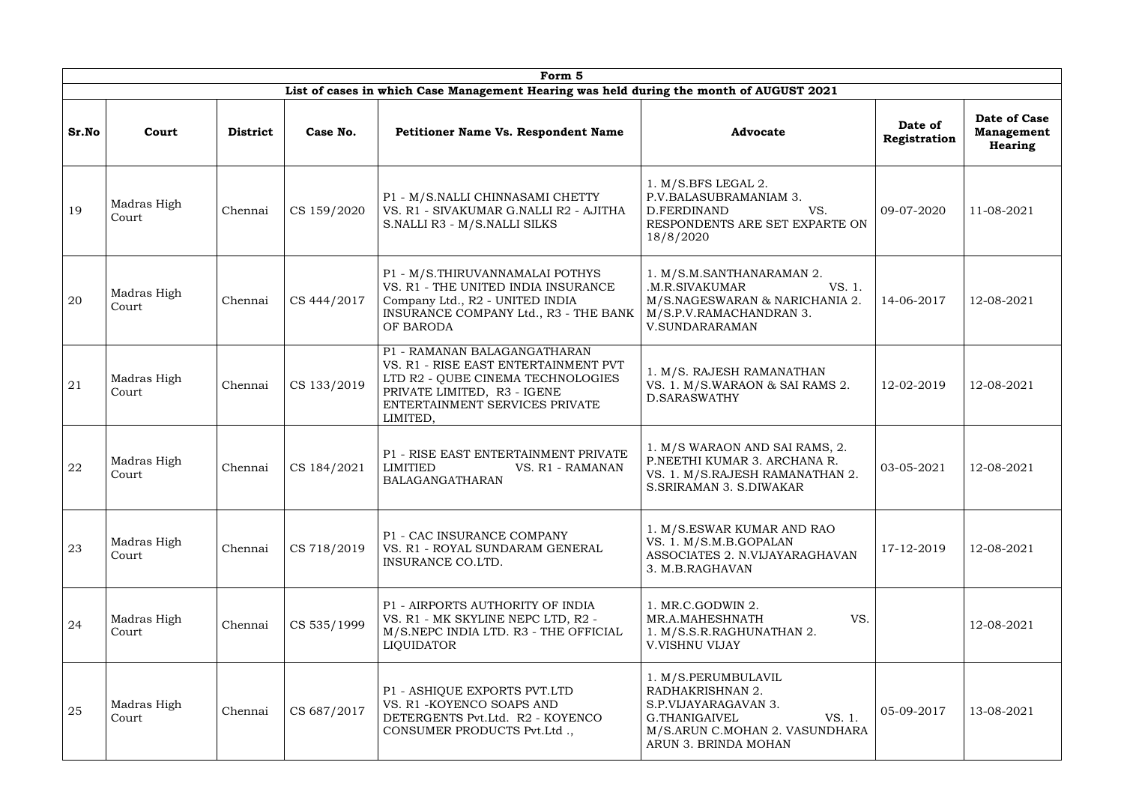|       | Form 5               |                 |             |                                                                                                                                                                                        |                                                                                                                                                      |                         |                                                            |  |  |  |
|-------|----------------------|-----------------|-------------|----------------------------------------------------------------------------------------------------------------------------------------------------------------------------------------|------------------------------------------------------------------------------------------------------------------------------------------------------|-------------------------|------------------------------------------------------------|--|--|--|
|       |                      |                 |             | List of cases in which Case Management Hearing was held during the month of AUGUST 2021                                                                                                |                                                                                                                                                      |                         |                                                            |  |  |  |
| Sr.No | Court                | <b>District</b> | Case No.    | <b>Petitioner Name Vs. Respondent Name</b>                                                                                                                                             | <b>Advocate</b>                                                                                                                                      | Date of<br>Registration | <b>Date of Case</b><br><b>Management</b><br><b>Hearing</b> |  |  |  |
| 19    | Madras High<br>Court | Chennai         | CS 159/2020 | P1 - M/S.NALLI CHINNASAMI CHETTY<br>VS. R1 - SIVAKUMAR G.NALLI R2 - AJITHA<br>S.NALLI R3 - M/S.NALLI SILKS                                                                             | 1. M/S.BFS LEGAL 2.<br>P.V.BALASUBRAMANIAM 3.<br>D.FERDINAND<br>VS.<br>RESPONDENTS ARE SET EXPARTE ON<br>18/8/2020                                   | 09-07-2020              | 11-08-2021                                                 |  |  |  |
| 20    | Madras High<br>Court | Chennai         | CS 444/2017 | P1 - M/S. THIRUVANNAMALAI POTHYS<br>VS. R1 - THE UNITED INDIA INSURANCE<br>Company Ltd., R2 - UNITED INDIA<br>INSURANCE COMPANY Ltd., R3 - THE BANK<br>OF BARODA                       | 1. M/S.M.SANTHANARAMAN 2.<br>VS. 1.<br>.M.R.SIVAKUMAR<br>M/S.NAGESWARAN & NARICHANIA 2.<br>M/S.P.V.RAMACHANDRAN 3.<br><b>V.SUNDARARAMAN</b>          | 14-06-2017              | 12-08-2021                                                 |  |  |  |
| 21    | Madras High<br>Court | Chennai         | CS 133/2019 | P1 - RAMANAN BALAGANGATHARAN<br>VS. R1 - RISE EAST ENTERTAINMENT PVT<br>LTD R2 - QUBE CINEMA TECHNOLOGIES<br>PRIVATE LIMITED, R3 - IGENE<br>ENTERTAINMENT SERVICES PRIVATE<br>LIMITED, | 1. M/S. RAJESH RAMANATHAN<br>VS. 1. M/S.WARAON & SAI RAMS 2.<br>D.SARASWATHY                                                                         | 12-02-2019              | 12-08-2021                                                 |  |  |  |
| 22    | Madras High<br>Court | Chennai         | CS 184/2021 | P1 - RISE EAST ENTERTAINMENT PRIVATE<br>LIMITIED<br>VS. R1 - RAMANAN<br><b>BALAGANGATHARAN</b>                                                                                         | 1. M/S WARAON AND SAI RAMS, 2.<br>P.NEETHI KUMAR 3. ARCHANA R.<br>VS. 1. M/S.RAJESH RAMANATHAN 2.<br>S.SRIRAMAN 3. S.DIWAKAR                         | 03-05-2021              | 12-08-2021                                                 |  |  |  |
| 23    | Madras High<br>Court | Chennai         | CS 718/2019 | P1 - CAC INSURANCE COMPANY<br>VS. R1 - ROYAL SUNDARAM GENERAL<br>INSURANCE CO.LTD.                                                                                                     | 1. M/S.ESWAR KUMAR AND RAO<br>VS. 1. M/S.M.B.GOPALAN<br>ASSOCIATES 2. N.VIJAYARAGHAVAN<br>3. M.B.RAGHAVAN                                            | 17-12-2019              | 12-08-2021                                                 |  |  |  |
| 24    | Madras High<br>Court | Chennai         | CS 535/1999 | P1 - AIRPORTS AUTHORITY OF INDIA<br>VS. R1 - MK SKYLINE NEPC LTD, R2 -<br>M/S.NEPC INDIA LTD. R3 - THE OFFICIAL<br><b>LIQUIDATOR</b>                                                   | 1. MR.C.GODWIN 2.<br>VS.<br>MR.A.MAHESHNATH<br>1. M/S.S.R.RAGHUNATHAN 2.<br>V.VISHNU VIJAY                                                           |                         | 12-08-2021                                                 |  |  |  |
| 25    | Madras High<br>Court | Chennai         | CS 687/2017 | P1 - ASHIQUE EXPORTS PVT.LTD<br>VS. R1 -KOYENCO SOAPS AND<br>DETERGENTS Pvt.Ltd. R2 - KOYENCO<br>CONSUMER PRODUCTS Pvt.Ltd.,                                                           | 1. M/S.PERUMBULAVIL<br>RADHAKRISHNAN 2.<br>S.P.VIJAYARAGAVAN 3.<br>VS. 1.<br>G.THANIGAIVEL<br>M/S.ARUN C.MOHAN 2. VASUNDHARA<br>ARUN 3. BRINDA MOHAN | 05-09-2017              | 13-08-2021                                                 |  |  |  |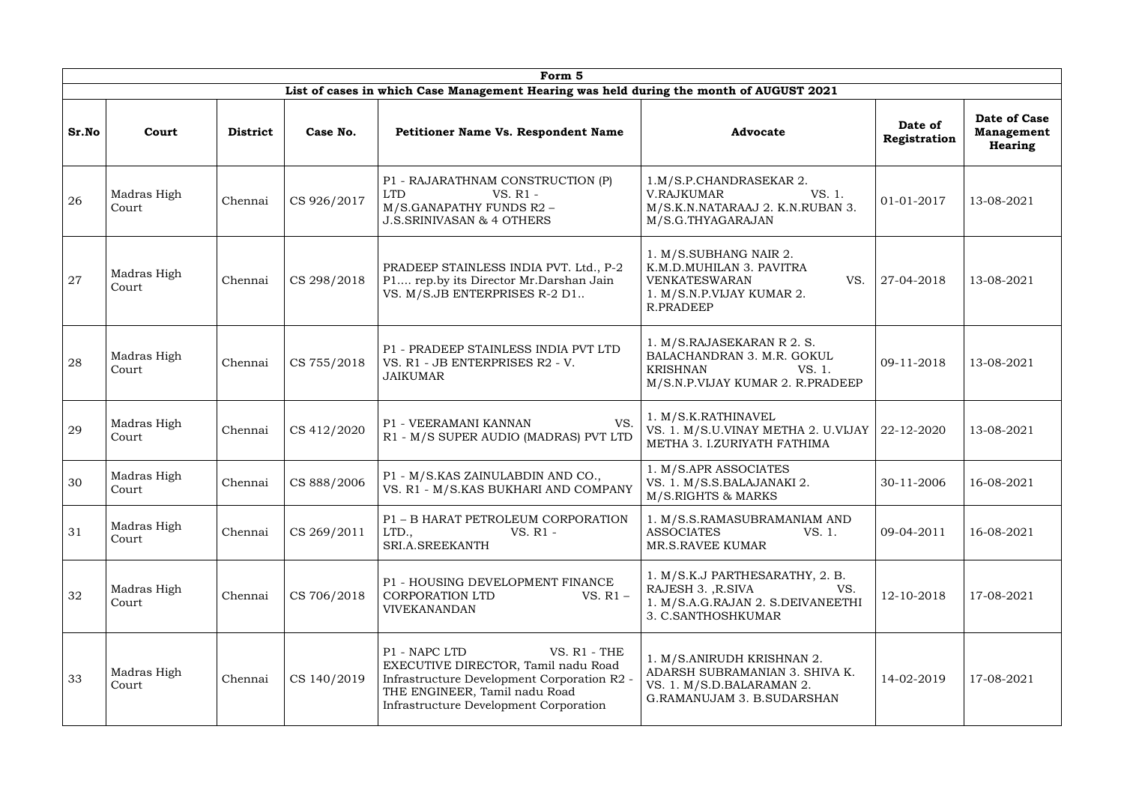|       | Form 5               |                 |             |                                                                                                                                                                                                |                                                                                                                           |                         |                                                     |  |  |  |
|-------|----------------------|-----------------|-------------|------------------------------------------------------------------------------------------------------------------------------------------------------------------------------------------------|---------------------------------------------------------------------------------------------------------------------------|-------------------------|-----------------------------------------------------|--|--|--|
|       |                      |                 |             | List of cases in which Case Management Hearing was held during the month of AUGUST 2021                                                                                                        |                                                                                                                           |                         |                                                     |  |  |  |
| Sr.No | Court                | <b>District</b> | Case No.    | <b>Petitioner Name Vs. Respondent Name</b>                                                                                                                                                     | <b>Advocate</b>                                                                                                           | Date of<br>Registration | Date of Case<br><b>Management</b><br><b>Hearing</b> |  |  |  |
| 26    | Madras High<br>Court | Chennai         | CS 926/2017 | P1 - RAJARATHNAM CONSTRUCTION (P)<br><b>LTD</b><br>VS. R1 -<br>M/S.GANAPATHY FUNDS R2 -<br><b>J.S.SRINIVASAN &amp; 4 OTHERS</b>                                                                | 1.M/S.P.CHANDRASEKAR 2.<br>V.RAJKUMAR<br>VS. 1.<br>M/S.K.N.NATARAAJ 2. K.N.RUBAN 3.<br>M/S.G.THYAGARAJAN                  | 01-01-2017              | 13-08-2021                                          |  |  |  |
| 27    | Madras High<br>Court | Chennai         | CS 298/2018 | PRADEEP STAINLESS INDIA PVT. Ltd., P-2<br>P1 rep.by its Director Mr.Darshan Jain<br>VS. M/S.JB ENTERPRISES R-2 D1                                                                              | 1. M/S.SUBHANG NAIR 2.<br>K.M.D.MUHILAN 3. PAVITRA<br>VS.<br>VENKATESWARAN<br>1. M/S.N.P.VIJAY KUMAR 2.<br>R.PRADEEP      | 27-04-2018              | 13-08-2021                                          |  |  |  |
| 28    | Madras High<br>Court | Chennai         | CS 755/2018 | P1 - PRADEEP STAINLESS INDIA PVT LTD<br>VS. R1 - JB ENTERPRISES R2 - V.<br><b>JAIKUMAR</b>                                                                                                     | 1. M/S.RAJASEKARAN R 2. S.<br>BALACHANDRAN 3. M.R. GOKUL<br><b>KRISHNAN</b><br>VS. 1.<br>M/S.N.P.VIJAY KUMAR 2. R.PRADEEP | 09-11-2018              | 13-08-2021                                          |  |  |  |
| 29    | Madras High<br>Court | Chennai         | CS 412/2020 | VS.<br>P1 - VEERAMANI KANNAN<br>R1 - M/S SUPER AUDIO (MADRAS) PVT LTD                                                                                                                          | 1. M/S.K.RATHINAVEL<br>VS. 1. M/S.U.VINAY METHA 2. U.VIJAY<br>METHA 3. I.ZURIYATH FATHIMA                                 | 22-12-2020              | 13-08-2021                                          |  |  |  |
| 30    | Madras High<br>Court | Chennai         | CS 888/2006 | P1 - M/S.KAS ZAINULABDIN AND CO.,<br>VS. R1 - M/S.KAS BUKHARI AND COMPANY                                                                                                                      | 1. M/S.APR ASSOCIATES<br>VS. 1. M/S.S.BALAJANAKI 2.<br>M/S.RIGHTS & MARKS                                                 | 30-11-2006              | 16-08-2021                                          |  |  |  |
| 31    | Madras High<br>Court | Chennai         | CS 269/2011 | P1 - B HARAT PETROLEUM CORPORATION<br>LTD.,<br>VS. R1 -<br>SRI.A.SREEKANTH                                                                                                                     | 1. M/S.S.RAMASUBRAMANIAM AND<br><b>ASSOCIATES</b><br>VS. 1.<br>MR.S.RAVEE KUMAR                                           | 09-04-2011              | 16-08-2021                                          |  |  |  |
| 32    | Madras High<br>Court | Chennai         | CS 706/2018 | P1 - HOUSING DEVELOPMENT FINANCE<br>CORPORATION LTD<br>VS. $R1 -$<br><b>VIVEKANANDAN</b>                                                                                                       | 1. M/S.K.J PARTHESARATHY, 2. B.<br>RAJESH 3., R.SIVA<br>VS.<br>1. M/S.A.G.RAJAN 2. S.DEIVANEETHI<br>3. C.SANTHOSHKUMAR    | 12-10-2018              | 17-08-2021                                          |  |  |  |
| 33    | Madras High<br>Court | Chennai         | CS 140/2019 | P1 - NAPC LTD<br>VS. R1 - THE<br>EXECUTIVE DIRECTOR, Tamil nadu Road<br>Infrastructure Development Corporation R2 -<br>THE ENGINEER, Tamil nadu Road<br>Infrastructure Development Corporation | 1. M/S.ANIRUDH KRISHNAN 2.<br>ADARSH SUBRAMANIAN 3. SHIVA K.<br>VS. 1. M/S.D.BALARAMAN 2.<br>G.RAMANUJAM 3. B.SUDARSHAN   | 14-02-2019              | 17-08-2021                                          |  |  |  |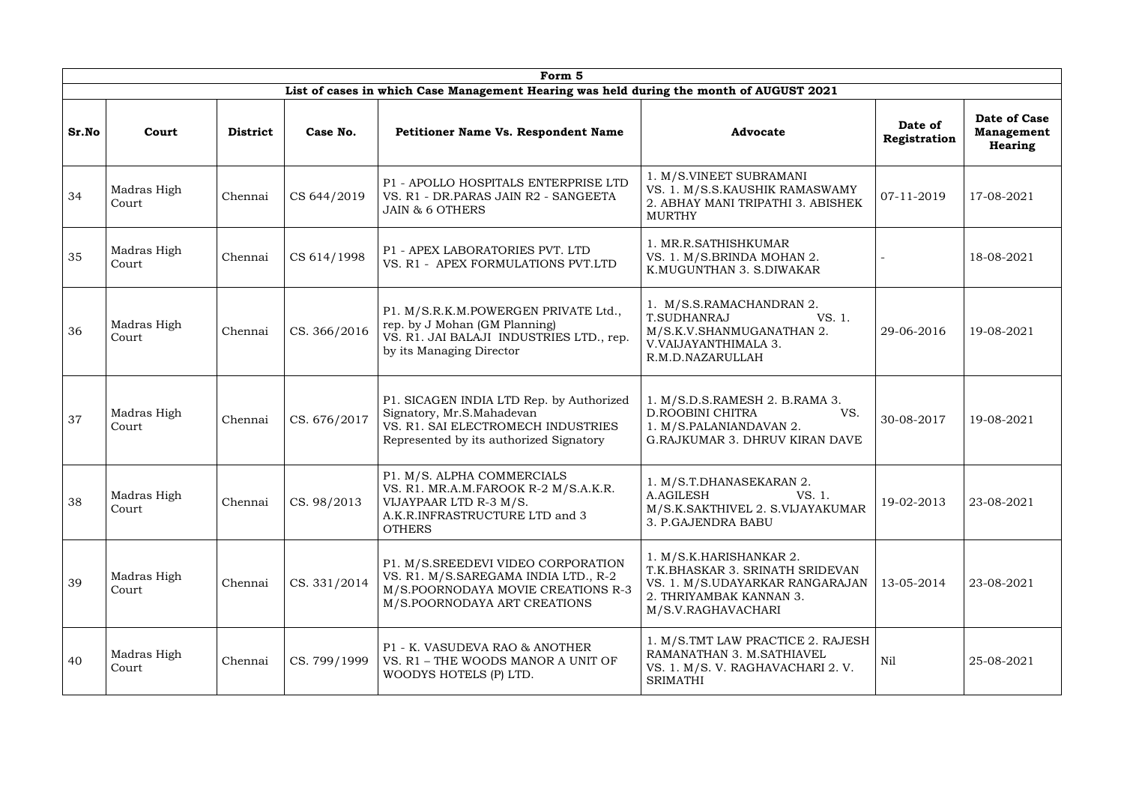|       | Form 5               |                 |              |                                                                                                                                                        |                                                                                                                                                |                         |                                                     |  |  |  |  |
|-------|----------------------|-----------------|--------------|--------------------------------------------------------------------------------------------------------------------------------------------------------|------------------------------------------------------------------------------------------------------------------------------------------------|-------------------------|-----------------------------------------------------|--|--|--|--|
|       |                      |                 |              | List of cases in which Case Management Hearing was held during the month of AUGUST 2021                                                                |                                                                                                                                                |                         |                                                     |  |  |  |  |
| Sr.No | Court                | <b>District</b> | Case No.     | <b>Petitioner Name Vs. Respondent Name</b>                                                                                                             | <b>Advocate</b>                                                                                                                                | Date of<br>Registration | Date of Case<br><b>Management</b><br><b>Hearing</b> |  |  |  |  |
| 34    | Madras High<br>Court | Chennai         | CS 644/2019  | P1 - APOLLO HOSPITALS ENTERPRISE LTD<br>VS. R1 - DR.PARAS JAIN R2 - SANGEETA<br><b>JAIN &amp; 6 OTHERS</b>                                             | 1. M/S.VINEET SUBRAMANI<br>VS. 1. M/S.S.KAUSHIK RAMASWAMY<br>2. ABHAY MANI TRIPATHI 3. ABISHEK<br><b>MURTHY</b>                                | 07-11-2019              | 17-08-2021                                          |  |  |  |  |
| 35    | Madras High<br>Court | Chennai         | CS 614/1998  | P1 - APEX LABORATORIES PVT. LTD<br>VS. R1 - APEX FORMULATIONS PVT.LTD                                                                                  | 1. MR.R.SATHISHKUMAR<br>VS. 1. M/S.BRINDA MOHAN 2.<br>K.MUGUNTHAN 3. S.DIWAKAR                                                                 |                         | 18-08-2021                                          |  |  |  |  |
| 36    | Madras High<br>Court | Chennai         | CS. 366/2016 | P1. M/S.R.K.M.POWERGEN PRIVATE Ltd.,<br>rep. by J Mohan (GM Planning)<br>VS. R1. JAI BALAJI INDUSTRIES LTD., rep.<br>by its Managing Director          | 1. M/S.S.RAMACHANDRAN 2.<br><b>T.SUDHANRAJ</b><br>VS. 1.<br>M/S.K.V.SHANMUGANATHAN 2.<br>V.VAIJAYANTHIMALA 3.<br>R.M.D.NAZARULLAH              | 29-06-2016              | 19-08-2021                                          |  |  |  |  |
| 37    | Madras High<br>Court | Chennai         | CS. 676/2017 | P1. SICAGEN INDIA LTD Rep. by Authorized<br>Signatory, Mr.S.Mahadevan<br>VS. R1. SAI ELECTROMECH INDUSTRIES<br>Represented by its authorized Signatory | 1. M/S.D.S.RAMESH 2. B.RAMA 3.<br>D.ROOBINI CHITRA<br>VS.<br>1. M/S.PALANIANDAVAN 2.<br>G.RAJKUMAR 3. DHRUV KIRAN DAVE                         | 30-08-2017              | 19-08-2021                                          |  |  |  |  |
| 38    | Madras High<br>Court | Chennai         | CS. 98/2013  | P1. M/S. ALPHA COMMERCIALS<br>VS. R1. MR.A.M.FAROOK R-2 M/S.A.K.R.<br>VIJAYPAAR LTD R-3 M/S.<br>A.K.R.INFRASTRUCTURE LTD and 3<br><b>OTHERS</b>        | 1. M/S.T.DHANASEKARAN 2.<br>A.AGILESH<br>VS. 1.<br>M/S.K.SAKTHIVEL 2. S.VIJAYAKUMAR<br>3. P.GAJENDRA BABU                                      | 19-02-2013              | 23-08-2021                                          |  |  |  |  |
| 39    | Madras High<br>Court | Chennai         | CS. 331/2014 | P1. M/S.SREEDEVI VIDEO CORPORATION<br>VS. R1. M/S.SAREGAMA INDIA LTD., R-2<br>M/S.POORNODAYA MOVIE CREATIONS R-3<br>M/S.POORNODAYA ART CREATIONS       | 1. M/S.K.HARISHANKAR 2.<br>T.K.BHASKAR 3. SRINATH SRIDEVAN<br>VS. 1. M/S.UDAYARKAR RANGARAJAN<br>2. THRIYAMBAK KANNAN 3.<br>M/S.V.RAGHAVACHARI | 13-05-2014              | 23-08-2021                                          |  |  |  |  |
| 40    | Madras High<br>Court | Chennai         | CS. 799/1999 | P1 - K. VASUDEVA RAO & ANOTHER<br>VS. R1 - THE WOODS MANOR A UNIT OF<br>WOODYS HOTELS (P) LTD.                                                         | 1. M/S.TMT LAW PRACTICE 2. RAJESH<br>RAMANATHAN 3. M.SATHIAVEL<br>VS. 1. M/S. V. RAGHAVACHARI 2. V.<br><b>SRIMATHI</b>                         | Nil                     | 25-08-2021                                          |  |  |  |  |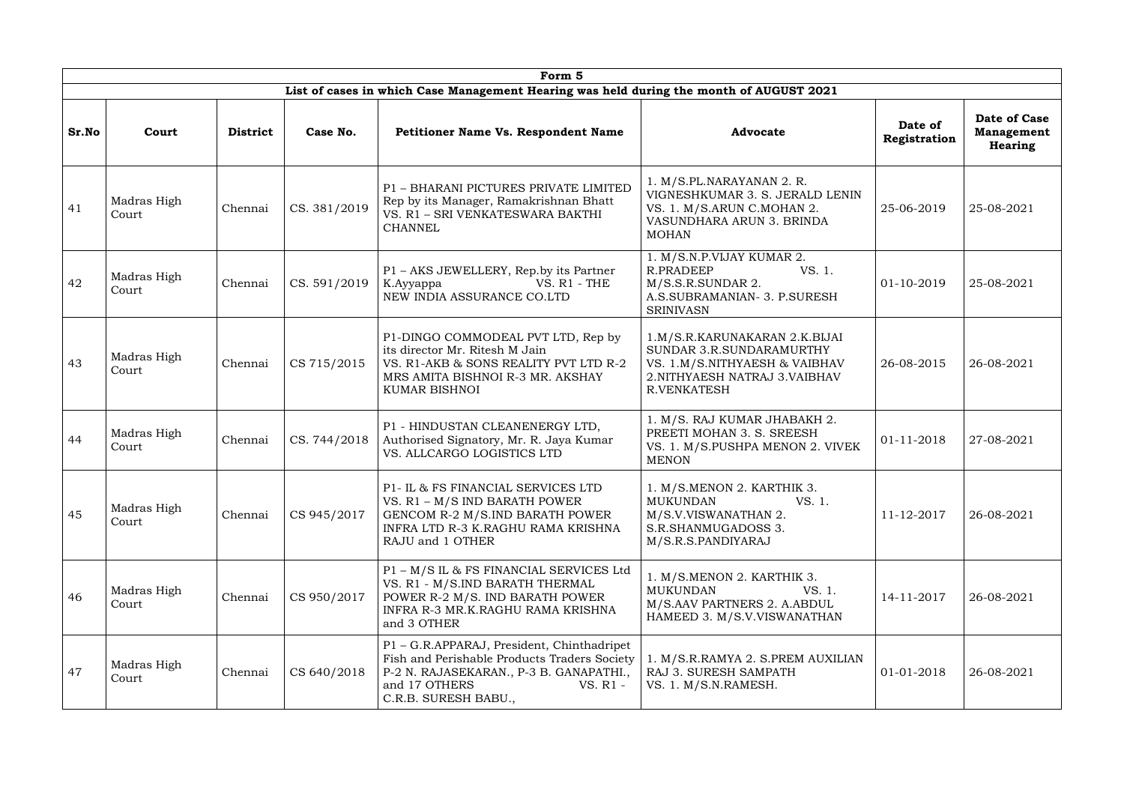|       | Form 5               |                 |              |                                                                                                                                                                                            |                                                                                                                                             |                         |                                                     |  |  |  |
|-------|----------------------|-----------------|--------------|--------------------------------------------------------------------------------------------------------------------------------------------------------------------------------------------|---------------------------------------------------------------------------------------------------------------------------------------------|-------------------------|-----------------------------------------------------|--|--|--|
|       |                      |                 |              | List of cases in which Case Management Hearing was held during the month of AUGUST 2021                                                                                                    |                                                                                                                                             |                         |                                                     |  |  |  |
| Sr.No | Court                | <b>District</b> | Case No.     | <b>Petitioner Name Vs. Respondent Name</b>                                                                                                                                                 | <b>Advocate</b>                                                                                                                             | Date of<br>Registration | Date of Case<br><b>Management</b><br><b>Hearing</b> |  |  |  |
| 41    | Madras High<br>Court | Chennai         | CS. 381/2019 | P1 - BHARANI PICTURES PRIVATE LIMITED<br>Rep by its Manager, Ramakrishnan Bhatt<br>VS. R1 - SRI VENKATESWARA BAKTHI<br><b>CHANNEL</b>                                                      | 1. M/S.PL.NARAYANAN 2. R.<br>VIGNESHKUMAR 3. S. JERALD LENIN<br>VS. 1. M/S.ARUN C.MOHAN 2.<br>VASUNDHARA ARUN 3. BRINDA<br><b>MOHAN</b>     | 25-06-2019              | 25-08-2021                                          |  |  |  |
| 42    | Madras High<br>Court | Chennai         | CS. 591/2019 | P1 – AKS JEWELLERY, Rep.by its Partner<br>$VS. R1 - THE$<br>K.Ayyappa<br>NEW INDIA ASSURANCE CO.LTD                                                                                        | 1. M/S.N.P.VIJAY KUMAR 2.<br>VS. 1.<br>R.PRADEEP<br>M/S.S.R.SUNDAR 2.<br>A.S.SUBRAMANIAN- 3. P.SURESH<br><b>SRINIVASN</b>                   | 01-10-2019              | 25-08-2021                                          |  |  |  |
| 43    | Madras High<br>Court | Chennai         | CS 715/2015  | P1-DINGO COMMODEAL PVT LTD, Rep by<br>its director Mr. Ritesh M Jain<br>VS. R1-AKB & SONS REALITY PVT LTD R-2<br>MRS AMITA BISHNOI R-3 MR. AKSHAY<br>KUMAR BISHNOI                         | 1.M/S.R.KARUNAKARAN 2.K.BIJAI<br>SUNDAR 3.R.SUNDARAMURTHY<br>VS. 1.M/S.NITHYAESH & VAIBHAV<br>2. NITHYAESH NATRAJ 3. VAIBHAV<br>R.VENKATESH | 26-08-2015              | 26-08-2021                                          |  |  |  |
| 44    | Madras High<br>Court | Chennai         | CS. 744/2018 | P1 - HINDUSTAN CLEANENERGY LTD,<br>Authorised Signatory, Mr. R. Jaya Kumar<br>VS. ALLCARGO LOGISTICS LTD                                                                                   | 1. M/S. RAJ KUMAR JHABAKH 2.<br>PREETI MOHAN 3. S. SREESH<br>VS. 1. M/S.PUSHPA MENON 2. VIVEK<br><b>MENON</b>                               | 01-11-2018              | 27-08-2021                                          |  |  |  |
| 45    | Madras High<br>Court | Chennai         | CS 945/2017  | P1- IL & FS FINANCIAL SERVICES LTD<br>VS. R1 - M/S IND BARATH POWER<br>GENCOM R-2 M/S.IND BARATH POWER<br>INFRA LTD R-3 K.RAGHU RAMA KRISHNA<br>RAJU and 1 OTHER                           | 1. M/S.MENON 2. KARTHIK 3.<br><b>MUKUNDAN</b><br>VS. 1.<br>M/S.V.VISWANATHAN 2.<br>S.R.SHANMUGADOSS 3.<br>M/S.R.S.PANDIYARAJ                | 11-12-2017              | 26-08-2021                                          |  |  |  |
| 46    | Madras High<br>Court | Chennai         | CS 950/2017  | P1 - M/S IL & FS FINANCIAL SERVICES Ltd<br>VS. R1 - M/S.IND BARATH THERMAL<br>POWER R-2 M/S. IND BARATH POWER<br>INFRA R-3 MR.K.RAGHU RAMA KRISHNA<br>and 3 OTHER                          | 1. M/S.MENON 2. KARTHIK 3.<br>MUKUNDAN<br>VS. 1.<br>M/S.AAV PARTNERS 2. A.ABDUL<br>HAMEED 3. M/S.V.VISWANATHAN                              | 14-11-2017              | 26-08-2021                                          |  |  |  |
| 47    | Madras High<br>Court | Chennai         | CS 640/2018  | P1 - G.R.APPARAJ, President, Chinthadripet<br>Fish and Perishable Products Traders Society<br>P-2 N. RAJASEKARAN., P-3 B. GANAPATHI.,<br>and 17 OTHERS<br>VS. R1 -<br>C.R.B. SURESH BABU., | 1. M/S.R.RAMYA 2. S.PREM AUXILIAN<br>RAJ 3. SURESH SAMPATH<br>VS. 1. M/S.N.RAMESH.                                                          | 01-01-2018              | 26-08-2021                                          |  |  |  |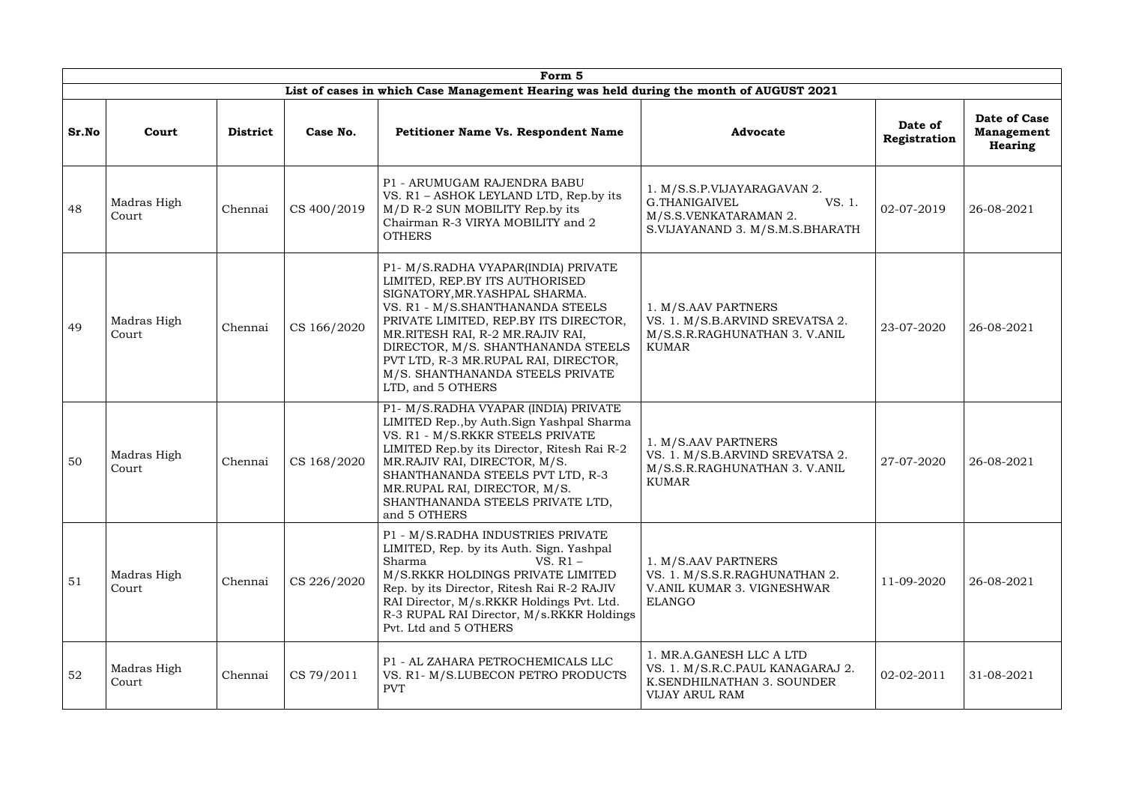| Form 5 |                      |                 |             |                                                                                                                                                                                                                                                                                                                                                                 |                                                                                                                     |                         |                                              |
|--------|----------------------|-----------------|-------------|-----------------------------------------------------------------------------------------------------------------------------------------------------------------------------------------------------------------------------------------------------------------------------------------------------------------------------------------------------------------|---------------------------------------------------------------------------------------------------------------------|-------------------------|----------------------------------------------|
|        |                      |                 |             | List of cases in which Case Management Hearing was held during the month of AUGUST 2021                                                                                                                                                                                                                                                                         |                                                                                                                     |                         |                                              |
| Sr.No  | Court                | <b>District</b> | Case No.    | <b>Petitioner Name Vs. Respondent Name</b>                                                                                                                                                                                                                                                                                                                      | <b>Advocate</b>                                                                                                     | Date of<br>Registration | Date of Case<br><b>Management</b><br>Hearing |
| 48     | Madras High<br>Court | Chennai         | CS 400/2019 | P1 - ARUMUGAM RAJENDRA BABU<br>VS. R1 - ASHOK LEYLAND LTD, Rep.by its<br>M/D R-2 SUN MOBILITY Rep.by its<br>Chairman R-3 VIRYA MOBILITY and 2<br><b>OTHERS</b>                                                                                                                                                                                                  | 1. M/S.S.P.VIJAYARAGAVAN 2.<br>VS. 1.<br>G.THANIGAIVEL<br>M/S.S.VENKATARAMAN 2.<br>S.VIJAYANAND 3. M/S.M.S.BHARATH  | 02-07-2019              | 26-08-2021                                   |
| 49     | Madras High<br>Court | Chennai         | CS 166/2020 | P1- M/S.RADHA VYAPAR(INDIA) PRIVATE<br>LIMITED, REP.BY ITS AUTHORISED<br>SIGNATORY, MR. YASHPAL SHARMA.<br>VS. R1 - M/S.SHANTHANANDA STEELS<br>PRIVATE LIMITED, REP.BY ITS DIRECTOR,<br>MR.RITESH RAI, R-2 MR.RAJIV RAI,<br>DIRECTOR, M/S. SHANTHANANDA STEELS<br>PVT LTD, R-3 MR.RUPAL RAI, DIRECTOR,<br>M/S. SHANTHANANDA STEELS PRIVATE<br>LTD, and 5 OTHERS | 1. M/S.AAV PARTNERS<br>VS. 1. M/S.B.ARVIND SREVATSA 2.<br>M/S.S.R.RAGHUNATHAN 3. V.ANIL<br><b>KUMAR</b>             | 23-07-2020              | 26-08-2021                                   |
| 50     | Madras High<br>Court | Chennai         | CS 168/2020 | P1- M/S.RADHA VYAPAR (INDIA) PRIVATE<br>LIMITED Rep., by Auth. Sign Yashpal Sharma<br>VS. R1 - M/S.RKKR STEELS PRIVATE<br>LIMITED Rep.by its Director, Ritesh Rai R-2<br>MR.RAJIV RAI, DIRECTOR, M/S.<br>SHANTHANANDA STEELS PVT LTD, R-3<br>MR.RUPAL RAI, DIRECTOR, M/S.<br>SHANTHANANDA STEELS PRIVATE LTD,<br>and 5 OTHERS                                   | 1. M/S.AAV PARTNERS<br>VS. 1. M/S.B.ARVIND SREVATSA 2.<br>M/S.S.R.RAGHUNATHAN 3. V.ANIL<br><b>KUMAR</b>             | 27-07-2020              | 26-08-2021                                   |
| 51     | Madras High<br>Court | Chennai         | CS 226/2020 | P1 - M/S.RADHA INDUSTRIES PRIVATE<br>LIMITED, Rep. by its Auth. Sign. Yashpal<br>Sharma<br>VS. $R1 -$<br>M/S.RKKR HOLDINGS PRIVATE LIMITED<br>Rep. by its Director, Ritesh Rai R-2 RAJIV<br>RAI Director, M/s.RKKR Holdings Pvt. Ltd.<br>R-3 RUPAL RAI Director, M/s.RKKR Holdings<br>Pvt. Ltd and 5 OTHERS                                                     | 1. M/S.AAV PARTNERS<br>VS. 1. M/S.S.R.RAGHUNATHAN 2.<br>V.ANIL KUMAR 3. VIGNESHWAR<br><b>ELANGO</b>                 | 11-09-2020              | 26-08-2021                                   |
| 52     | Madras High<br>Court | Chennai         | CS 79/2011  | P1 - AL ZAHARA PETROCHEMICALS LLC<br>VS. R1- M/S.LUBECON PETRO PRODUCTS<br><b>PVT</b>                                                                                                                                                                                                                                                                           | 1. MR.A.GANESH LLC A LTD<br>VS. 1. M/S.R.C.PAUL KANAGARAJ 2.<br>K.SENDHILNATHAN 3. SOUNDER<br><b>VIJAY ARUL RAM</b> | 02-02-2011              | 31-08-2021                                   |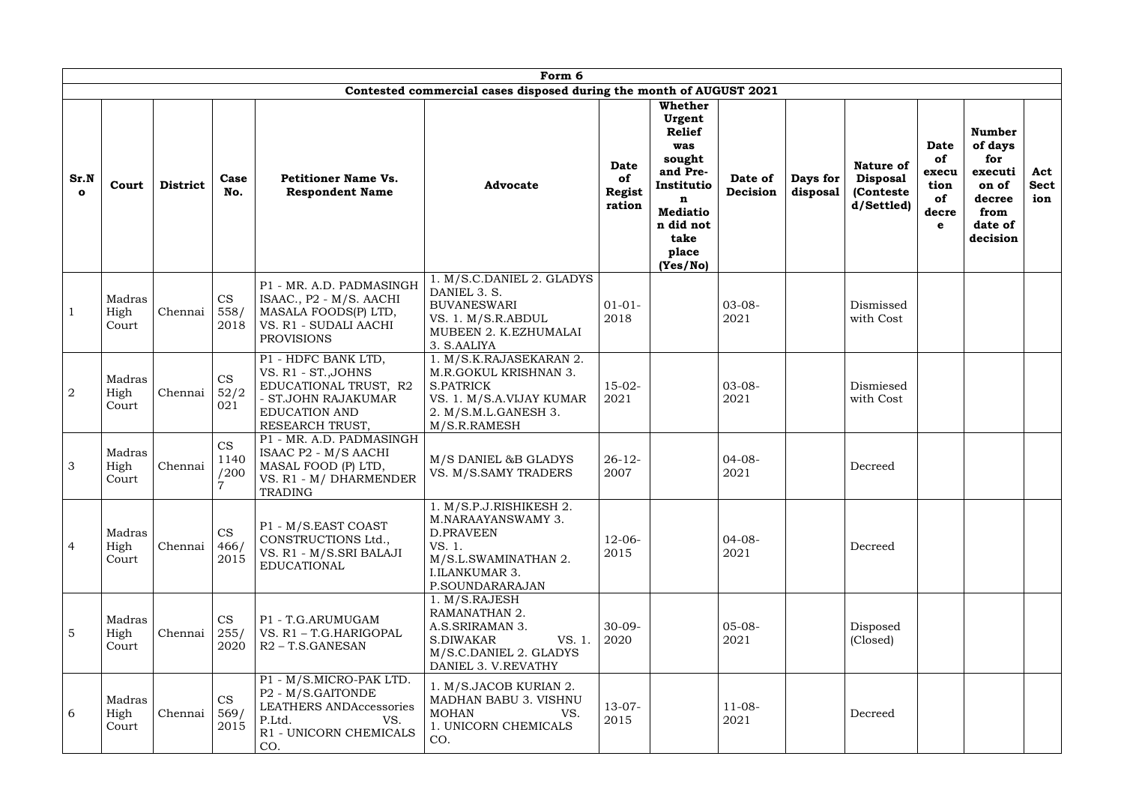|                      |                         |                 |                                             |                                                                                                                                       | Form 6                                                                                                                                   |                                       |                                                                                                                                                        |                     |                      |                                                                |                                                        |                                                                                              |                           |
|----------------------|-------------------------|-----------------|---------------------------------------------|---------------------------------------------------------------------------------------------------------------------------------------|------------------------------------------------------------------------------------------------------------------------------------------|---------------------------------------|--------------------------------------------------------------------------------------------------------------------------------------------------------|---------------------|----------------------|----------------------------------------------------------------|--------------------------------------------------------|----------------------------------------------------------------------------------------------|---------------------------|
|                      |                         |                 |                                             |                                                                                                                                       | Contested commercial cases disposed during the month of AUGUST 2021                                                                      |                                       |                                                                                                                                                        |                     |                      |                                                                |                                                        |                                                                                              |                           |
| Sr.N<br>$\mathbf{o}$ | Court                   | <b>District</b> | Case<br>No.                                 | <b>Petitioner Name Vs.</b><br><b>Respondent Name</b>                                                                                  | <b>Advocate</b>                                                                                                                          | <b>Date</b><br>of<br>Regist<br>ration | <b>Whether</b><br>Urgent<br><b>Relief</b><br>was<br>sought<br>and Pre-<br>Institutio<br>n<br><b>Mediatio</b><br>n did not<br>take<br>place<br>(Yes/No) | Date of<br>Decision | Days for<br>disposal | <b>Nature of</b><br><b>Disposal</b><br>(Conteste<br>d/Settled) | <b>Date</b><br>of<br>execu<br>tion<br>of<br>decre<br>e | <b>Number</b><br>of days<br>for<br>executi<br>on of<br>decree<br>from<br>date of<br>decision | Act<br><b>Sect</b><br>ion |
|                      | Madras<br>High<br>Court | Chennai         | CS<br>558/<br>2018                          | P1 - MR. A.D. PADMASINGH<br>ISAAC., P2 - M/S. AACHI<br>MASALA FOODS(P) LTD,<br>VS. R1 - SUDALI AACHI<br><b>PROVISIONS</b>             | 1. M/S.C.DANIEL 2. GLADYS<br>DANIEL 3. S.<br><b>BUVANESWARI</b><br>VS. 1. M/S.R.ABDUL<br>MUBEEN 2. K.EZHUMALAI<br>3. S.AALIYA            | $01 - 01 -$<br>2018                   |                                                                                                                                                        | $03 - 08 -$<br>2021 |                      | Dismissed<br>with Cost                                         |                                                        |                                                                                              |                           |
| $\overline{2}$       | Madras<br>High<br>Court | Chennai         | CS<br>52/2<br>021                           | P1 - HDFC BANK LTD,<br>VS. R1 - ST., JOHNS<br>EDUCATIONAL TRUST, R2<br>- ST.JOHN RAJAKUMAR<br><b>EDUCATION AND</b><br>RESEARCH TRUST, | 1. M/S.K.RAJASEKARAN 2.<br>M.R.GOKUL KRISHNAN 3.<br><b>S.PATRICK</b><br>VS. 1. M/S.A.VIJAY KUMAR<br>2. M/S.M.L.GANESH 3.<br>M/S.R.RAMESH | $15-02-$<br>2021                      |                                                                                                                                                        | $03-08-$<br>2021    |                      | Dismiesed<br>with Cost                                         |                                                        |                                                                                              |                           |
| 3                    | Madras<br>High<br>Court | Chennai         | <b>CS</b><br>1140<br>/200<br>$\overline{7}$ | P1 - MR. A.D. PADMASINGH<br>ISAAC P2 - M/S AACHI<br>MASAL FOOD (P) LTD,<br>VS. R1 - M/ DHARMENDER<br><b>TRADING</b>                   | M/S DANIEL &B GLADYS<br>VS. M/S.SAMY TRADERS                                                                                             | $26 - 12$<br>2007                     |                                                                                                                                                        | $04 - 08 -$<br>2021 |                      | Decreed                                                        |                                                        |                                                                                              |                           |
| $\overline{4}$       | Madras<br>High<br>Court | Chennai         | CS<br>466/<br>2015                          | P1 - M/S.EAST COAST<br>CONSTRUCTIONS Ltd.,<br>VS. R1 - M/S.SRI BALAJI<br>EDUCATIONAL                                                  | 1. M/S.P.J.RISHIKESH 2.<br>M.NARAAYANSWAMY 3.<br>D.PRAVEEN<br>VS. 1.<br>M/S.L.SWAMINATHAN 2.<br><b>I.ILANKUMAR 3.</b><br>P.SOUNDARARAJAN | $12 - 06 -$<br>2015                   |                                                                                                                                                        | $04 - 08 -$<br>2021 |                      | Decreed                                                        |                                                        |                                                                                              |                           |
| 5                    | Madras<br>High<br>Court | Chennai         | <b>CS</b><br>255/<br>2020                   | P1 - T.G.ARUMUGAM<br>VS. R1 - T.G.HARIGOPAL<br>R <sub>2</sub> - T.S.GANESAN                                                           | 1. M/S.RAJESH<br>RAMANATHAN 2.<br>A.S.SRIRAMAN 3.<br>S.DIWAKAR<br>VS. 1.<br>M/S.C.DANIEL 2. GLADYS<br>DANIEL 3. V.REVATHY                | $30-09-$<br>2020                      |                                                                                                                                                        | $05-08-$<br>2021    |                      | Disposed<br>(Closed)                                           |                                                        |                                                                                              |                           |
| 6                    | Madras<br>High<br>Court | Chennai         | CS<br>569/<br>2015                          | P1 - M/S.MICRO-PAK LTD.<br>P2 - M/S.GAITONDE<br>LEATHERS ANDAccessories<br>P.Ltd.<br>VS.<br>R1 - UNICORN CHEMICALS<br>CO.             | 1. M/S.JACOB KURIAN 2.<br>MADHAN BABU 3. VISHNU<br><b>MOHAN</b><br>VS.<br>1. UNICORN CHEMICALS<br>CO.                                    | $13-07-$<br>2015                      |                                                                                                                                                        | $11-08-$<br>2021    |                      | Decreed                                                        |                                                        |                                                                                              |                           |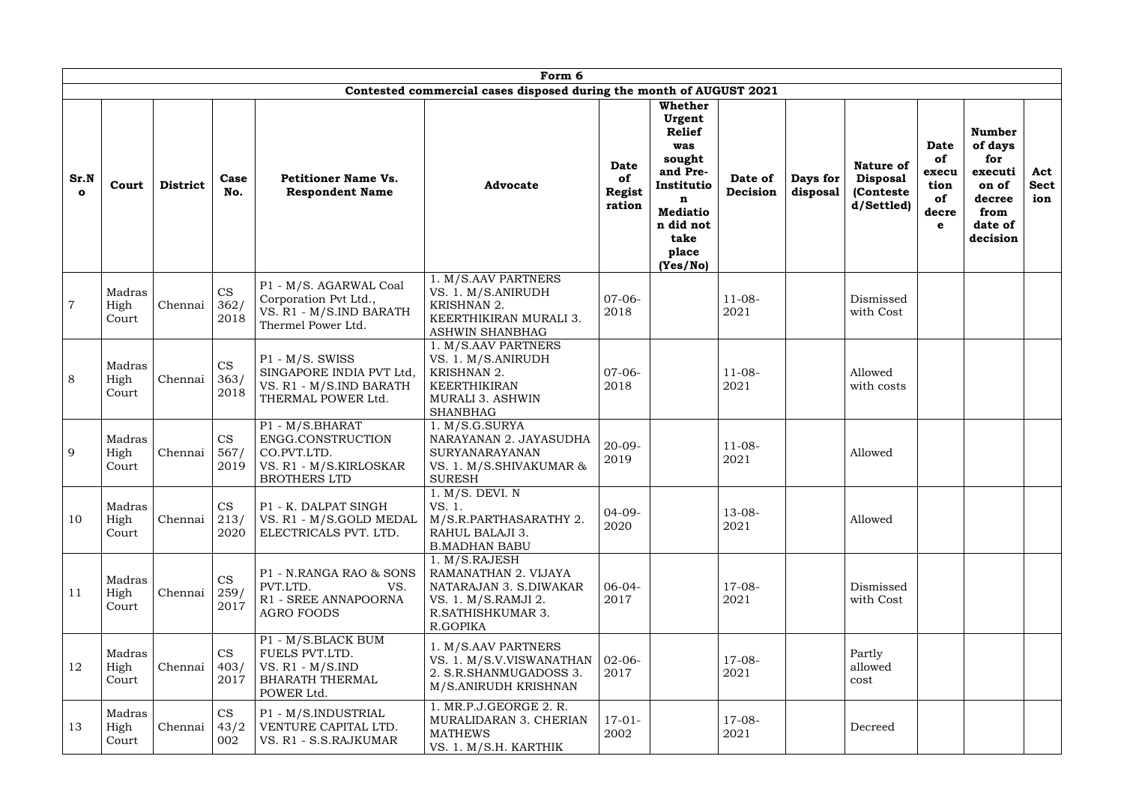|                      |                         |                 |                           |                                                                                                      | Form 6                                                                                                                        |                                       |                                                                                                                                                                  |                     |                      |                                                                |                                                        |                                                                                              |                           |
|----------------------|-------------------------|-----------------|---------------------------|------------------------------------------------------------------------------------------------------|-------------------------------------------------------------------------------------------------------------------------------|---------------------------------------|------------------------------------------------------------------------------------------------------------------------------------------------------------------|---------------------|----------------------|----------------------------------------------------------------|--------------------------------------------------------|----------------------------------------------------------------------------------------------|---------------------------|
|                      |                         |                 |                           |                                                                                                      | Contested commercial cases disposed during the month of AUGUST 2021                                                           |                                       |                                                                                                                                                                  |                     |                      |                                                                |                                                        |                                                                                              |                           |
| Sr.N<br>$\mathbf{o}$ | Court                   | <b>District</b> | Case<br>No.               | <b>Petitioner Name Vs.</b><br><b>Respondent Name</b>                                                 | <b>Advocate</b>                                                                                                               | <b>Date</b><br>of<br>Regist<br>ration | <b>Whether</b><br>Urgent<br><b>Relief</b><br>was<br>sought<br>and Pre-<br>Institutio<br>$\mathbf n$<br><b>Mediatio</b><br>n did not<br>take<br>place<br>(Yes/No) | Date of<br>Decision | Days for<br>disposal | <b>Nature of</b><br><b>Disposal</b><br>(Conteste<br>d/Settled) | <b>Date</b><br>of<br>execu<br>tion<br>of<br>decre<br>e | <b>Number</b><br>of days<br>for<br>executi<br>on of<br>decree<br>from<br>date of<br>decision | Act<br><b>Sect</b><br>ion |
|                      | Madras<br>High<br>Court | Chennai         | CS<br>362/<br>2018        | P1 - M/S. AGARWAL Coal<br>Corporation Pvt Ltd.,<br>VS. R1 - M/S.IND BARATH<br>Thermel Power Ltd.     | 1. M/S.AAV PARTNERS<br>VS. 1. M/S.ANIRUDH<br>KRISHNAN 2.<br>KEERTHIKIRAN MURALI 3.<br><b>ASHWIN SHANBHAG</b>                  | $07-06-$<br>2018                      |                                                                                                                                                                  | $11-08-$<br>2021    |                      | Dismissed<br>with Cost                                         |                                                        |                                                                                              |                           |
| 8                    | Madras<br>High<br>Court | Chennai         | CS<br>363/<br>2018        | $P1 - M/S.$ SWISS<br>SINGAPORE INDIA PVT Ltd,<br>VS. R1 - M/S.IND BARATH<br>THERMAL POWER Ltd.       | 1. M/S.AAV PARTNERS<br>VS. 1. M/S.ANIRUDH<br>KRISHNAN 2.<br><b>KEERTHIKIRAN</b><br><b>MURALI 3. ASHWIN</b><br><b>SHANBHAG</b> | $07-06-$<br>2018                      |                                                                                                                                                                  | $11-08-$<br>2021    |                      | Allowed<br>with costs                                          |                                                        |                                                                                              |                           |
| 9                    | Madras<br>High<br>Court | Chennai         | CS<br>567/<br>2019        | P1 - M/S.BHARAT<br>ENGG.CONSTRUCTION<br>CO.PVT.LTD.<br>VS. R1 - M/S.KIRLOSKAR<br><b>BROTHERS LTD</b> | 1. M/S.G.SURYA<br>NARAYANAN 2. JAYASUDHA<br>SURYANARAYANAN<br>VS. 1. M/S.SHIVAKUMAR &<br><b>SURESH</b>                        | $20 - 09 -$<br>2019                   |                                                                                                                                                                  | $11-08-$<br>2021    |                      | Allowed                                                        |                                                        |                                                                                              |                           |
| 10                   | Madras<br>High<br>Court | Chennai         | <b>CS</b><br>213/<br>2020 | P1 - K. DALPAT SINGH<br>VS. R1 - M/S.GOLD MEDAL<br>ELECTRICALS PVT. LTD.                             | 1. M/S. DEVI. N<br>VS. 1.<br>M/S.R.PARTHASARATHY 2.<br>RAHUL BALAJI 3.<br><b>B.MADHAN BABU</b>                                | $04-09-$<br>2020                      |                                                                                                                                                                  | $13 - 08 -$<br>2021 |                      | Allowed                                                        |                                                        |                                                                                              |                           |
| 11                   | Madras<br>High<br>Court | Chennai         | <b>CS</b><br>259/<br>2017 | P1 - N.RANGA RAO & SONS<br>PVT.LTD.<br>VS.<br>R1 - SREE ANNAPOORNA<br><b>AGRO FOODS</b>              | 1. M/S.RAJESH<br>RAMANATHAN 2. VIJAYA<br>NATARAJAN 3. S.DIWAKAR<br>VS. 1. M/S.RAMJI 2.<br>R.SATHISHKUMAR 3.<br>R.GOPIKA       | $06-04-$<br>2017                      |                                                                                                                                                                  | $17-08-$<br>2021    |                      | Dismissed<br>with Cost                                         |                                                        |                                                                                              |                           |
| 12                   | Madras<br>High<br>Court | Chennai         | <b>CS</b><br>403/<br>2017 | P1 - M/S.BLACK BUM<br>FUELS PVT.LTD.<br>VS. $R1 - M/S$ . IND<br><b>BHARATH THERMAL</b><br>POWER Ltd. | 1. M/S.AAV PARTNERS<br>VS. 1. M/S.V.VISWANATHAN<br>2. S.R.SHANMUGADOSS 3.<br>M/S.ANIRUDH KRISHNAN                             | $ 02-06-$<br>2017                     |                                                                                                                                                                  | $17-08-$<br>2021    |                      | Partly<br>allowed<br>cost                                      |                                                        |                                                                                              |                           |
| 13                   | Madras<br>High<br>Court | Chennai         | <b>CS</b><br>43/2<br>002  | P1 - M/S.INDUSTRIAL<br>VENTURE CAPITAL LTD.<br>VS. R1 - S.S.RAJKUMAR                                 | 1. MR.P.J.GEORGE 2. R.<br>MURALIDARAN 3. CHERIAN<br><b>MATHEWS</b><br>VS. 1. M/S.H. KARTHIK                                   | $17-01-$<br>2002                      |                                                                                                                                                                  | $17-08-$<br>2021    |                      | Decreed                                                        |                                                        |                                                                                              |                           |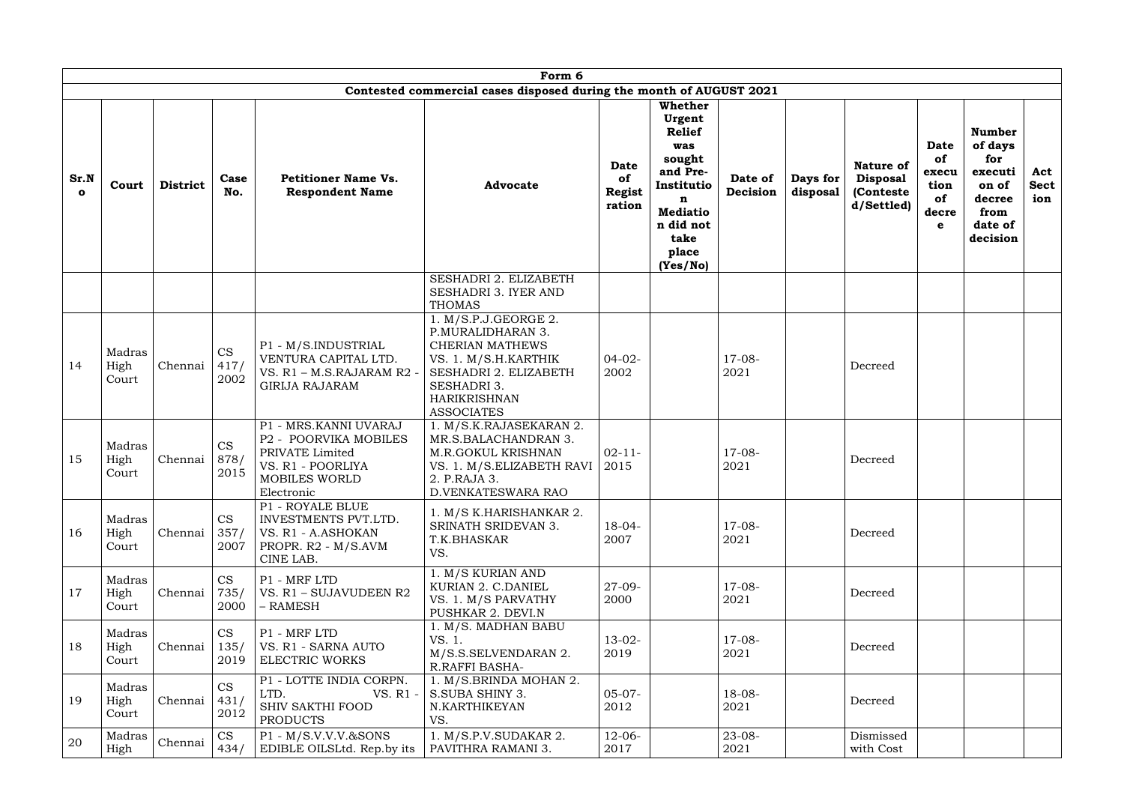|                      | Form 6                  |                 |                           |                                                                                                                              |                                                                                                                                                                                        |                                       |                                                                                                                                                        |                     |                      |                                                                |                                                        |                                                                                              |                           |
|----------------------|-------------------------|-----------------|---------------------------|------------------------------------------------------------------------------------------------------------------------------|----------------------------------------------------------------------------------------------------------------------------------------------------------------------------------------|---------------------------------------|--------------------------------------------------------------------------------------------------------------------------------------------------------|---------------------|----------------------|----------------------------------------------------------------|--------------------------------------------------------|----------------------------------------------------------------------------------------------|---------------------------|
|                      |                         |                 |                           |                                                                                                                              | Contested commercial cases disposed during the month of AUGUST 2021                                                                                                                    |                                       |                                                                                                                                                        |                     |                      |                                                                |                                                        |                                                                                              |                           |
| Sr.N<br>$\mathbf{o}$ | Court                   | <b>District</b> | Case<br>No.               | <b>Petitioner Name Vs.</b><br><b>Respondent Name</b>                                                                         | <b>Advocate</b>                                                                                                                                                                        | <b>Date</b><br>of<br>Regist<br>ration | <b>Whether</b><br>Urgent<br><b>Relief</b><br>was<br>sought<br>and Pre-<br>Institutio<br>n<br><b>Mediatio</b><br>n did not<br>take<br>place<br>(Yes/No) | Date of<br>Decision | Days for<br>disposal | <b>Nature of</b><br><b>Disposal</b><br>(Conteste<br>d/Settled) | <b>Date</b><br>of<br>execu<br>tion<br>of<br>decre<br>e | <b>Number</b><br>of days<br>for<br>executi<br>on of<br>decree<br>from<br>date of<br>decision | Act<br><b>Sect</b><br>ion |
|                      |                         |                 |                           |                                                                                                                              | SESHADRI 2. ELIZABETH<br>SESHADRI 3. IYER AND<br><b>THOMAS</b>                                                                                                                         |                                       |                                                                                                                                                        |                     |                      |                                                                |                                                        |                                                                                              |                           |
| 14                   | Madras<br>High<br>Court | Chennai         | <b>CS</b><br>417/<br>2002 | P1 - M/S.INDUSTRIAL<br>VENTURA CAPITAL LTD.<br>VS. R1 - M.S.RAJARAM R2 -<br><b>GIRIJA RAJARAM</b>                            | 1. M/S.P.J.GEORGE 2.<br>P.MURALIDHARAN 3.<br><b>CHERIAN MATHEWS</b><br>VS. 1. M/S.H.KARTHIK<br>SESHADRI 2. ELIZABETH<br><b>SESHADRI 3.</b><br><b>HARIKRISHNAN</b><br><b>ASSOCIATES</b> | $04-02-$<br>2002                      |                                                                                                                                                        | $17-08-$<br>2021    |                      | Decreed                                                        |                                                        |                                                                                              |                           |
| 15                   | Madras<br>High<br>Court | Chennai         | <b>CS</b><br>878/<br>2015 | P1 - MRS.KANNI UVARAJ<br>P2 - POORVIKA MOBILES<br>PRIVATE Limited<br>VS. R1 - POORLIYA<br><b>MOBILES WORLD</b><br>Electronic | 1. M/S.K.RAJASEKARAN 2.<br>MR.S.BALACHANDRAN 3.<br>M.R.GOKUL KRISHNAN<br>VS. 1. M/S.ELIZABETH RAVI<br>2. P.RAJA 3.<br>D.VENKATESWARA RAO                                               | $02 - 11 -$<br>2015                   |                                                                                                                                                        | $17-08-$<br>2021    |                      | Decreed                                                        |                                                        |                                                                                              |                           |
| 16                   | Madras<br>High<br>Court | Chennai         | <b>CS</b><br>357/<br>2007 | P1 - ROYALE BLUE<br>INVESTMENTS PVT.LTD.<br>VS. R1 - A.ASHOKAN<br>PROPR. R2 - M/S.AVM<br>CINE LAB.                           | 1. M/S K.HARISHANKAR 2.<br><b>SRINATH SRIDEVAN 3.</b><br>T.K.BHASKAR<br>VS.                                                                                                            | $18-04-$<br>2007                      |                                                                                                                                                        | $17-08-$<br>2021    |                      | Decreed                                                        |                                                        |                                                                                              |                           |
| 17                   | Madras<br>High<br>Court | Chennai         | <b>CS</b><br>735/<br>2000 | P1 - MRF LTD<br>VS. R1 - SUJAVUDEEN R2<br>- RAMESH                                                                           | 1. M/S KURIAN AND<br>KURIAN 2. C.DANIEL<br>VS. 1. M/S PARVATHY<br>PUSHKAR 2. DEVI.N                                                                                                    | $27-09-$<br>2000                      |                                                                                                                                                        | $17-08-$<br>2021    |                      | Decreed                                                        |                                                        |                                                                                              |                           |
| 18                   | Madras<br>High<br>Court | Chennai         | CS<br>135/<br>2019        | P1 - MRF LTD<br>VS. R1 - SARNA AUTO<br><b>ELECTRIC WORKS</b>                                                                 | 1. M/S. MADHAN BABU<br>VS. 1.<br>M/S.S.SELVENDARAN 2.<br><b>R.RAFFI BASHA-</b>                                                                                                         | $13-02-$<br>2019                      |                                                                                                                                                        | $17-08-$<br>2021    |                      | Decreed                                                        |                                                        |                                                                                              |                           |
| 19                   | Madras<br>High<br>Court | Chennai         | <b>CS</b><br>431/<br>2012 | P1 - LOTTE INDIA CORPN.<br>LTD.<br>VS. R1 -<br><b>SHIV SAKTHI FOOD</b><br><b>PRODUCTS</b>                                    | 1. M/S.BRINDA MOHAN 2.<br>S.SUBA SHINY 3.<br>N.KARTHIKEYAN<br>VS.                                                                                                                      | $05-07-$<br>2012                      |                                                                                                                                                        | $18-08-$<br>2021    |                      | Decreed                                                        |                                                        |                                                                                              |                           |
| 20                   | Madras<br>High          | Chennai         | CS<br>434/                | $P1 - M/S.V.V.V.$ &SONS<br>EDIBLE OILSLtd. Rep.by its                                                                        | 1. M/S.P.V.SUDAKAR 2.<br>PAVITHRA RAMANI 3.                                                                                                                                            | $12 - 06 -$<br>2017                   |                                                                                                                                                        | $23 - 08 -$<br>2021 |                      | Dismissed<br>with Cost                                         |                                                        |                                                                                              |                           |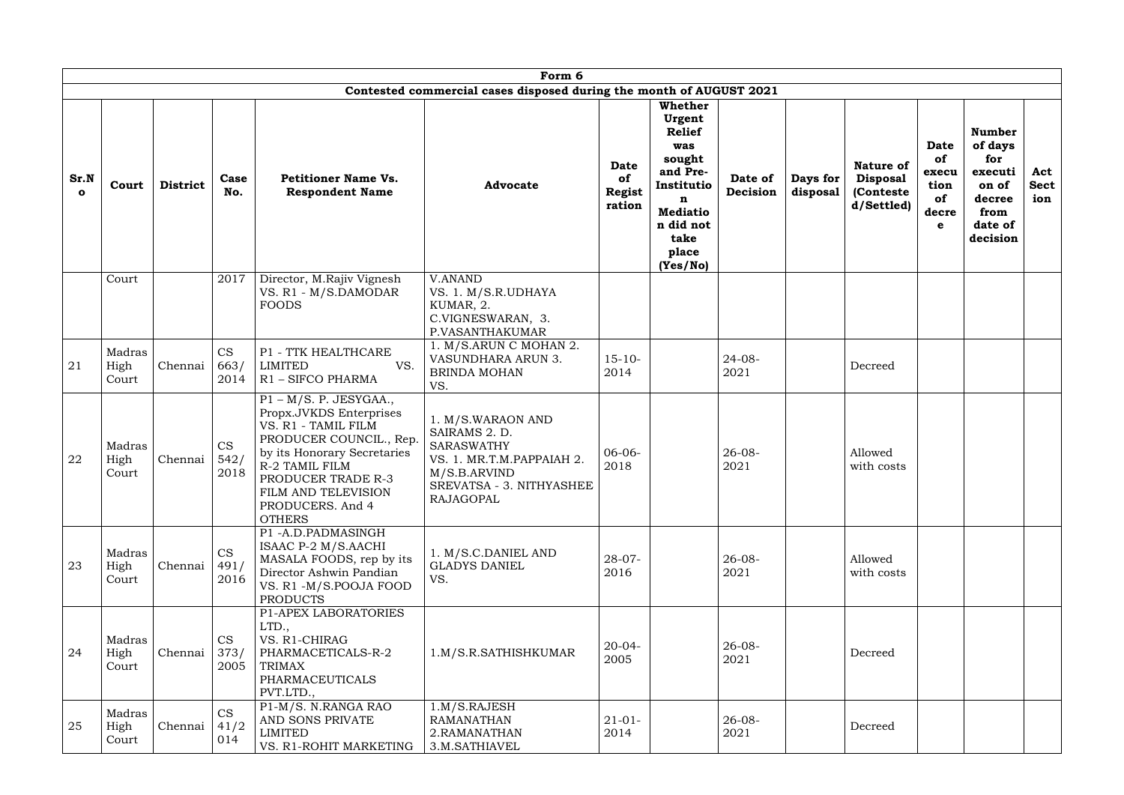|                      |                         |                 |                           |                                                                                                                                                                                                                                          | Form 6                                                                                                                                                |                                              |                                                                                                                                                        |                     |                      |                                                                |                                                        |                                                                                              |                           |
|----------------------|-------------------------|-----------------|---------------------------|------------------------------------------------------------------------------------------------------------------------------------------------------------------------------------------------------------------------------------------|-------------------------------------------------------------------------------------------------------------------------------------------------------|----------------------------------------------|--------------------------------------------------------------------------------------------------------------------------------------------------------|---------------------|----------------------|----------------------------------------------------------------|--------------------------------------------------------|----------------------------------------------------------------------------------------------|---------------------------|
|                      |                         |                 |                           |                                                                                                                                                                                                                                          | Contested commercial cases disposed during the month of AUGUST 2021                                                                                   |                                              |                                                                                                                                                        |                     |                      |                                                                |                                                        |                                                                                              |                           |
| Sr.N<br>$\mathbf{o}$ | Court                   | <b>District</b> | Case<br>No.               | <b>Petitioner Name Vs.</b><br><b>Respondent Name</b>                                                                                                                                                                                     | <b>Advocate</b>                                                                                                                                       | <b>Date</b><br>of<br><b>Regist</b><br>ration | <b>Whether</b><br>Urgent<br><b>Relief</b><br>was<br>sought<br>and Pre-<br>Institutio<br>n<br><b>Mediatio</b><br>n did not<br>take<br>place<br>(Yes/No) | Date of<br>Decision | Days for<br>disposal | <b>Nature of</b><br><b>Disposal</b><br>(Conteste<br>d/Settled) | <b>Date</b><br>of<br>execu<br>tion<br>of<br>decre<br>e | <b>Number</b><br>of days<br>for<br>executi<br>on of<br>decree<br>from<br>date of<br>decision | Act<br><b>Sect</b><br>ion |
|                      | Court                   |                 | 2017                      | Director, M.Rajiv Vignesh<br>VS. R1 - M/S.DAMODAR<br><b>FOODS</b>                                                                                                                                                                        | <b>V.ANAND</b><br>VS. 1. M/S.R.UDHAYA<br>KUMAR, 2.<br>C.VIGNESWARAN, 3.<br>P.VASANTHAKUMAR                                                            |                                              |                                                                                                                                                        |                     |                      |                                                                |                                                        |                                                                                              |                           |
| 21                   | Madras<br>High<br>Court | Chennai         | <b>CS</b><br>663/<br>2014 | P1 - TTK HEALTHCARE<br><b>LIMITED</b><br>VS.<br>R1 - SIFCO PHARMA                                                                                                                                                                        | 1. M/S.ARUN C MOHAN 2.<br>VASUNDHARA ARUN 3.<br><b>BRINDA MOHAN</b><br>VS.                                                                            | $15 - 10 -$<br>2014                          |                                                                                                                                                        | $24 - 08 -$<br>2021 |                      | Decreed                                                        |                                                        |                                                                                              |                           |
| 22                   | Madras<br>High<br>Court | Chennai         | CS<br>542/<br>2018        | $P1 - M/S.$ P. JESYGAA.,<br>Propx.JVKDS Enterprises<br>VS. R1 - TAMIL FILM<br>PRODUCER COUNCIL., Rep.<br>by its Honorary Secretaries<br>R-2 TAMIL FILM<br>PRODUCER TRADE R-3<br>FILM AND TELEVISION<br>PRODUCERS. And 4<br><b>OTHERS</b> | 1. M/S.WARAON AND<br>SAIRAMS 2. D.<br><b>SARASWATHY</b><br>VS. 1. MR.T.M.PAPPAIAH 2.<br>M/S.B. ARVIND<br>SREVATSA - 3. NITHYASHEE<br><b>RAJAGOPAL</b> | $06-06-$<br>2018                             |                                                                                                                                                        | $26 - 08 -$<br>2021 |                      | Allowed<br>with costs                                          |                                                        |                                                                                              |                           |
| 23                   | Madras<br>High<br>Court | Chennai         | CS<br>491/<br>2016        | P1 - A.D. PADMASINGH<br>ISAAC P-2 M/S.AACHI<br>MASALA FOODS, rep by its<br>Director Ashwin Pandian<br>VS. R1 -M/S.POOJA FOOD<br><b>PRODUCTS</b>                                                                                          | 1. M/S.C.DANIEL AND<br><b>GLADYS DANIEL</b><br>VS.                                                                                                    | $28 - 07 -$<br>2016                          |                                                                                                                                                        | $26 - 08 -$<br>2021 |                      | Allowed<br>with costs                                          |                                                        |                                                                                              |                           |
| 24                   | Madras<br>High<br>Court | Chennai         | <b>CS</b><br>373/<br>2005 | P1-APEX LABORATORIES<br>LTD.,<br>VS. R1-CHIRAG<br>PHARMACETICALS-R-2<br><b>TRIMAX</b><br>PHARMACEUTICALS<br>PVT.LTD.,                                                                                                                    | 1.M/S.R.SATHISHKUMAR                                                                                                                                  | $20 - 04 -$<br>2005                          |                                                                                                                                                        | $26 - 08 -$<br>2021 |                      | Decreed                                                        |                                                        |                                                                                              |                           |
| 25                   | Madras<br>High<br>Court | Chennai         | <b>CS</b><br>41/2<br>014  | P1-M/S. N.RANGA RAO<br>AND SONS PRIVATE<br>LIMITED<br>VS. R1-ROHIT MARKETING                                                                                                                                                             | 1.M/S.RAJESH<br><b>RAMANATHAN</b><br>2. RAMANATHAN<br>3.M.SATHIAVEL                                                                                   | $21 - 01 -$<br>2014                          |                                                                                                                                                        | $26 - 08 -$<br>2021 |                      | Decreed                                                        |                                                        |                                                                                              |                           |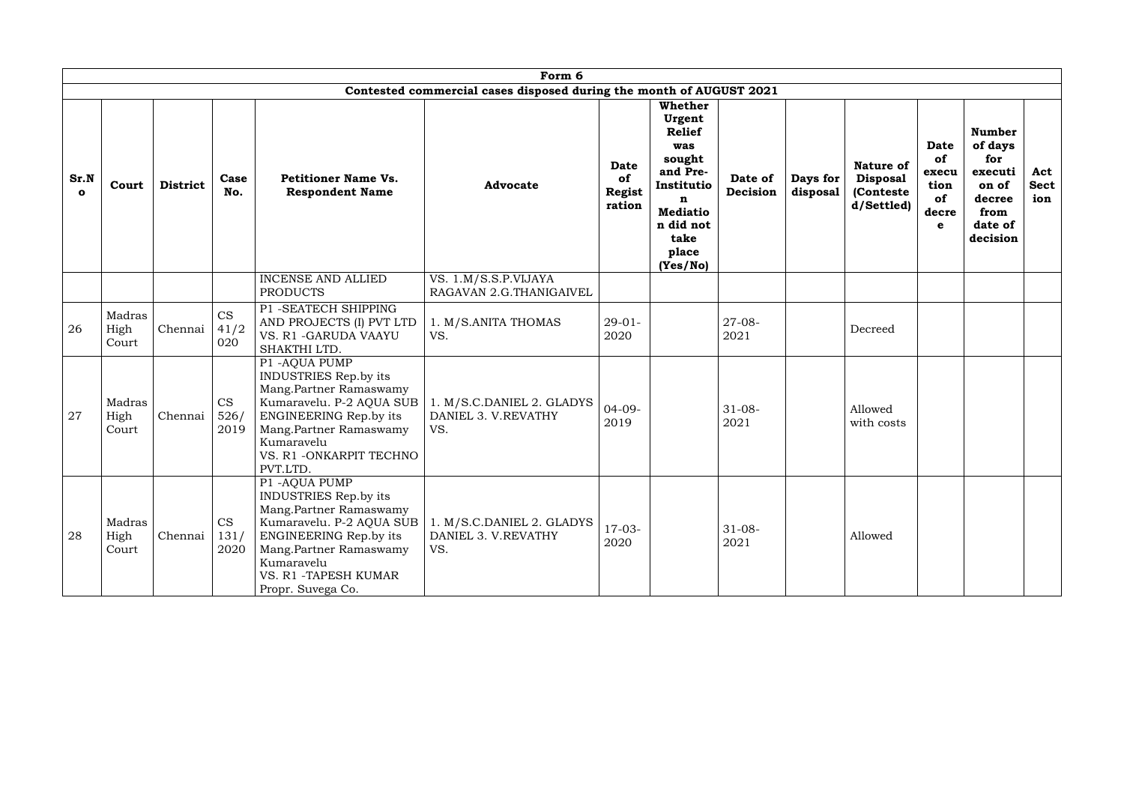| Form 6               |                         |                 |                           |                                                                                                                                                                                                              |                                                                     |                                       |                                                                                                                                                        |                     |                          |                                                                |                                                 |                                                                                              |                           |
|----------------------|-------------------------|-----------------|---------------------------|--------------------------------------------------------------------------------------------------------------------------------------------------------------------------------------------------------------|---------------------------------------------------------------------|---------------------------------------|--------------------------------------------------------------------------------------------------------------------------------------------------------|---------------------|--------------------------|----------------------------------------------------------------|-------------------------------------------------|----------------------------------------------------------------------------------------------|---------------------------|
|                      |                         |                 |                           |                                                                                                                                                                                                              | Contested commercial cases disposed during the month of AUGUST 2021 |                                       |                                                                                                                                                        |                     |                          |                                                                |                                                 |                                                                                              |                           |
| Sr.N<br>$\mathbf{o}$ | Court                   | <b>District</b> | Case<br>No.               | <b>Petitioner Name Vs.</b><br><b>Respondent Name</b>                                                                                                                                                         | <b>Advocate</b>                                                     | <b>Date</b><br>of<br>Regist<br>ration | <b>Whether</b><br>Urgent<br><b>Relief</b><br>was<br>sought<br>and Pre-<br>Institutio<br>n<br><b>Mediatio</b><br>n did not<br>take<br>place<br>(Yes/No) | Date of<br>Decision | Days for $ $<br>disposal | <b>Nature of</b><br><b>Disposal</b><br>(Conteste<br>d/Settled) | Date<br>of<br>execu<br>tion<br>of<br>decre<br>e | <b>Number</b><br>of days<br>for<br>executi<br>on of<br>decree<br>from<br>date of<br>decision | Act<br><b>Sect</b><br>ion |
|                      |                         |                 |                           | <b>INCENSE AND ALLIED</b><br><b>PRODUCTS</b>                                                                                                                                                                 | VS. 1.M/S.S.P.VIJAYA<br>RAGAVAN 2.G.THANIGAIVEL                     |                                       |                                                                                                                                                        |                     |                          |                                                                |                                                 |                                                                                              |                           |
| 26                   | Madras<br>High<br>Court | Chennai         | <b>CS</b><br>41/2<br>020  | P1 -SEATECH SHIPPING<br>AND PROJECTS (I) PVT LTD<br>VS. R1 - GARUDA VAAYU<br>SHAKTHI LTD.                                                                                                                    | 1. M/S.ANITA THOMAS<br>VS.                                          | $29-01-$<br>2020                      |                                                                                                                                                        | $27-08-$<br>2021    |                          | Decreed                                                        |                                                 |                                                                                              |                           |
| 27                   | Madras<br>High<br>Court | Chennai         | <b>CS</b><br>526/<br>2019 | P1 - AQUA PUMP<br>INDUSTRIES Rep.by its<br>Mang.Partner Ramaswamy<br>Kumaravelu. P-2 AQUA SUB<br>ENGINEERING Rep.by its<br>Mang.Partner Ramaswamy<br>Kumaravelu<br>VS. R1 - ONKARPIT TECHNO<br>PVT.LTD.      | 1. M/S.C.DANIEL 2. GLADYS<br>DANIEL 3. V.REVATHY<br>VS.             | $04 - 09 -$<br>2019                   |                                                                                                                                                        | $31 - 08 -$<br>2021 |                          | Allowed<br>with costs                                          |                                                 |                                                                                              |                           |
| 28                   | Madras<br>High<br>Court | Chennai         | <b>CS</b><br>131/<br>2020 | P1 -AQUA PUMP<br>INDUSTRIES Rep.by its<br>Mang.Partner Ramaswamy<br>Kumaravelu. P-2 AQUA SUB<br>ENGINEERING Rep.by its<br>Mang.Partner Ramaswamy<br>Kumaravelu<br>VS. R1 - TAPESH KUMAR<br>Propr. Suvega Co. | 1. M/S.C.DANIEL 2. GLADYS<br>DANIEL 3. V.REVATHY<br>VS.             | $17-03-$<br>2020                      |                                                                                                                                                        | $31-08-$<br>2021    |                          | Allowed                                                        |                                                 |                                                                                              |                           |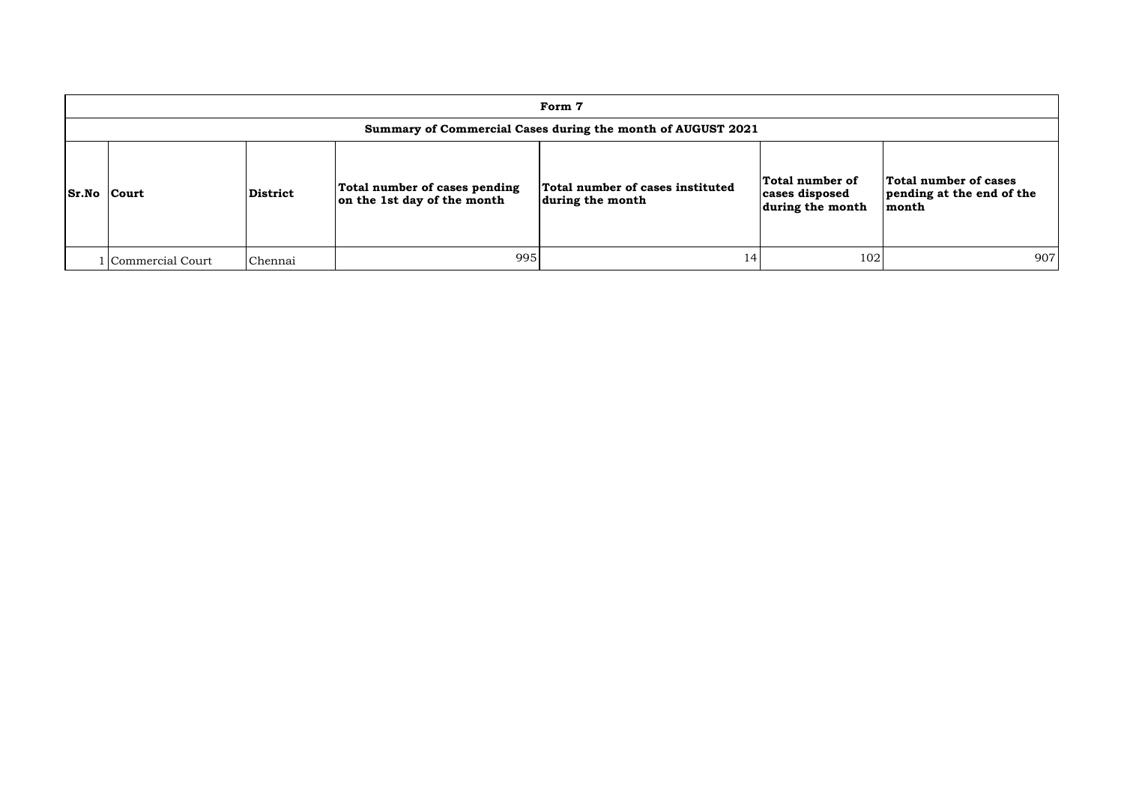|                    | Form 7             |                 |                                                              |                                                             |                                                       |                                                             |  |  |  |  |
|--------------------|--------------------|-----------------|--------------------------------------------------------------|-------------------------------------------------------------|-------------------------------------------------------|-------------------------------------------------------------|--|--|--|--|
|                    |                    |                 |                                                              | Summary of Commercial Cases during the month of AUGUST 2021 |                                                       |                                                             |  |  |  |  |
| <b>Sr.No Court</b> |                    | <b>District</b> | Total number of cases pending<br>on the 1st day of the month | Total number of cases instituted<br>during the month        | Total number of<br>cases disposed<br>during the month | Total number of cases<br>pending at the end of the<br>month |  |  |  |  |
|                    | l Commercial Court | Chennai         | 995                                                          | 14                                                          | 102                                                   | 907                                                         |  |  |  |  |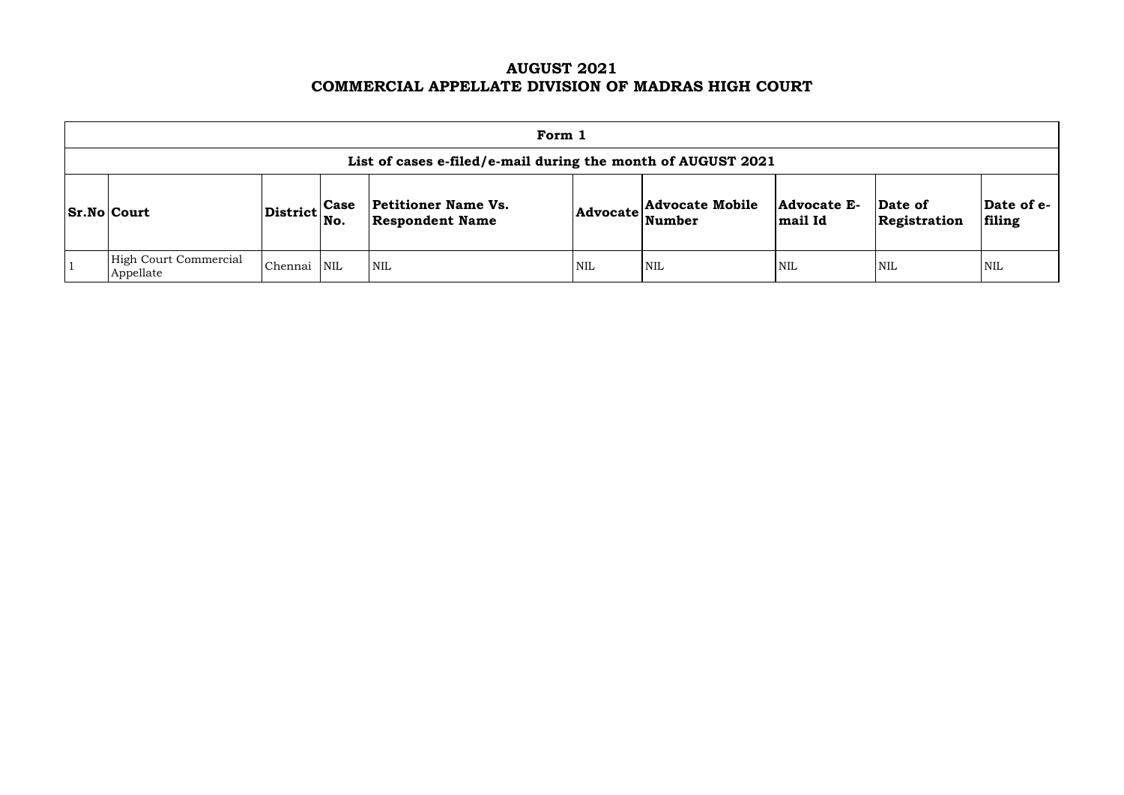# **AUGUST 2021 COMMERCIAL APPELLATE DIVISION OF MADRAS HIGH COURT**

| Form 1                                                       |                              |             |                                                      |     |                                                           |                        |                         |                      |  |
|--------------------------------------------------------------|------------------------------|-------------|------------------------------------------------------|-----|-----------------------------------------------------------|------------------------|-------------------------|----------------------|--|
| List of cases e-filed/e-mail during the month of AUGUST 2021 |                              |             |                                                      |     |                                                           |                        |                         |                      |  |
| Sr.No Court                                                  | $ {\rm District} _{\rm No.}$ | <b>Case</b> | <b>Petitioner Name Vs.</b><br><b>Respondent Name</b> |     | <b>Advocate Mobile</b><br>$ {\bf Advocate}\rangle$ Number | Advocate E-<br>mail Id | Date of<br>Registration | Date of e-<br>filing |  |
| High Court Commercial<br>Appellate                           | Chennai                      | <b>NIL</b>  | <b>NIL</b>                                           | NIL | <b>NIL</b>                                                | <b>NIL</b>             | NIL                     | <b>NIL</b>           |  |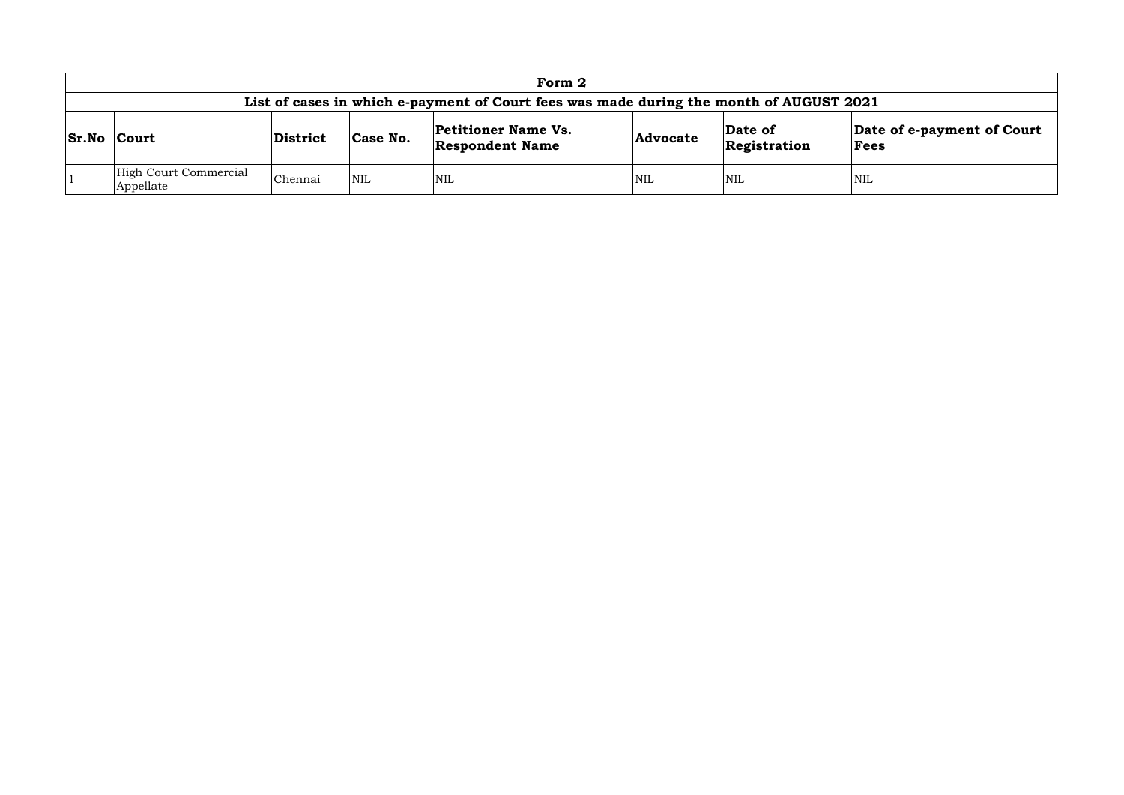|                                    |          |            | Form 2                                                                                  |                 |                         |                    |
|------------------------------------|----------|------------|-----------------------------------------------------------------------------------------|-----------------|-------------------------|--------------------|
|                                    |          |            | List of cases in which e-payment of Court fees was made during the month of AUGUST 2021 |                 |                         |                    |
| <b>Sr.No Court</b>                 | District | Case No.   | <b>Petitioner Name Vs.</b><br><b>Respondent Name</b>                                    | <b>Advocate</b> | Date of<br>Registration | Dat<br>$ {\bf Fe}$ |
| High Court Commercial<br>Appellate | Chennai  | <b>NIL</b> | <b>NIL</b>                                                                              | <b>NIL</b>      | <b>NIL</b>              | NIL                |

## **Date of e-payment of Court Fees**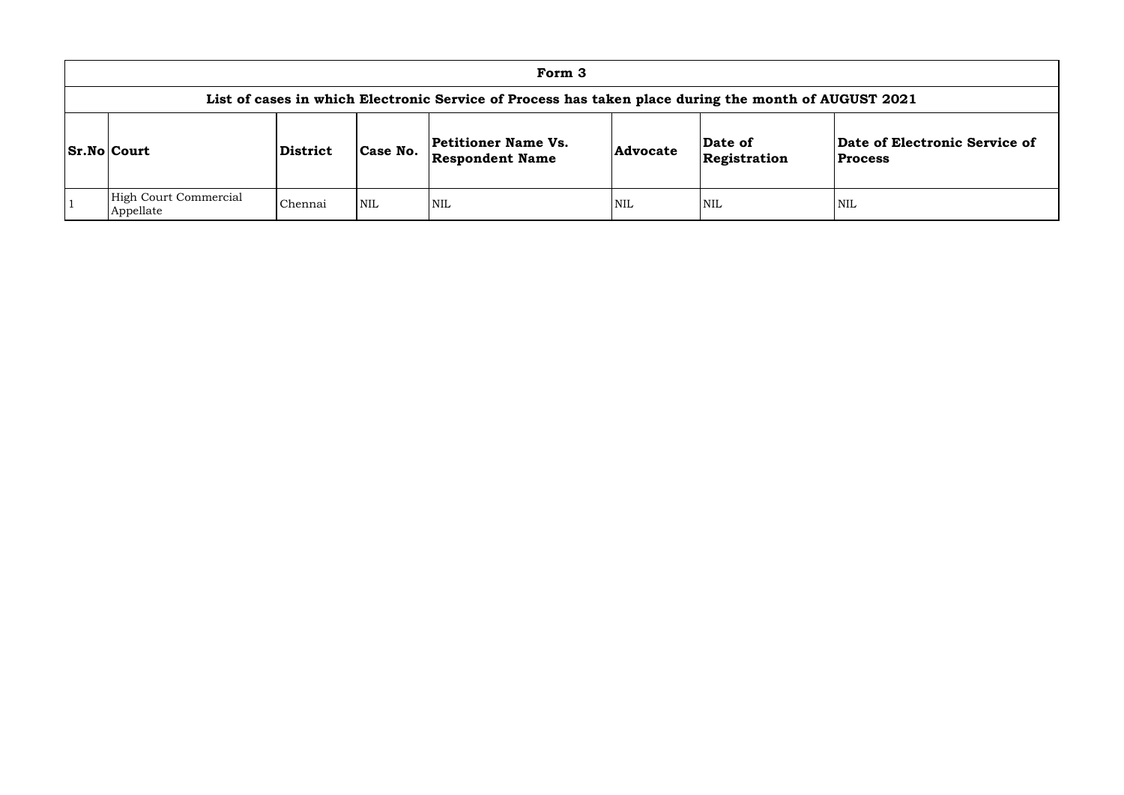|                                                                                                      |                             |            | Form 3                                               |                 |                         |                                |  |  |  |  |  |
|------------------------------------------------------------------------------------------------------|-----------------------------|------------|------------------------------------------------------|-----------------|-------------------------|--------------------------------|--|--|--|--|--|
| List of cases in which Electronic Service of Process has taken place during the month of AUGUST 2021 |                             |            |                                                      |                 |                         |                                |  |  |  |  |  |
| <b>Sr.No Court</b>                                                                                   | Case No.<br><b>District</b> |            | <b>Petitioner Name Vs.</b><br><b>Respondent Name</b> | <b>Advocate</b> | Date of<br>Registration | Date of Elec<br><b>Process</b> |  |  |  |  |  |
| <b>High Court Commercial</b><br>Appellate                                                            | Chennai                     | <b>NIL</b> | <b>NIL</b>                                           | <b>NIL</b>      | NIL                     | <b>NIL</b>                     |  |  |  |  |  |

## **Date of Electronic Service of Process**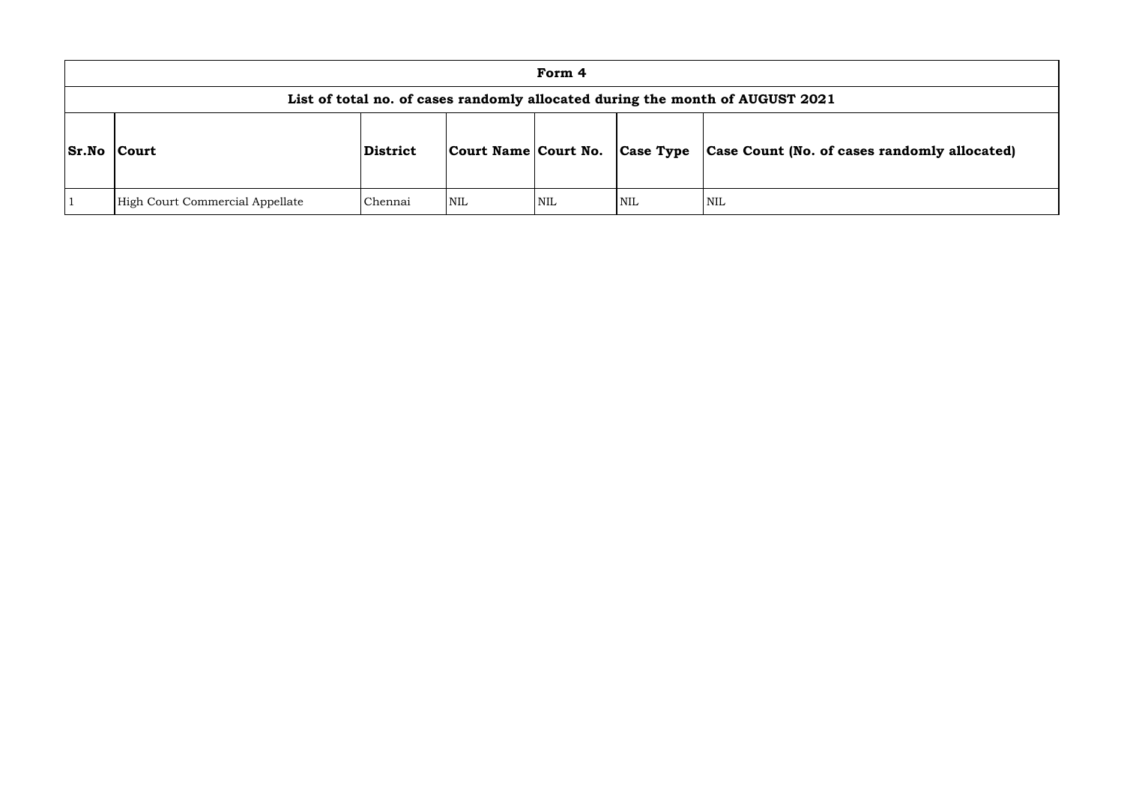|              |                                 |          |                      | Form 4 |                  |                                                                               |
|--------------|---------------------------------|----------|----------------------|--------|------------------|-------------------------------------------------------------------------------|
|              |                                 |          |                      |        |                  | List of total no. of cases randomly allocated during the month of AUGUST 2021 |
| <b>Sr.No</b> | <b>Court</b>                    | District | Court Name Court No. |        | <b>Case Type</b> | <b>Case Count (No. of ca</b>                                                  |
|              | High Court Commercial Appellate | Chennai  | <b>NIL</b>           | NIL    | <b>NIL</b>       | NIL                                                                           |

# **Sr.No Court District Court Name Court No. Case Type Case Count (No. of cases randomly allocated)**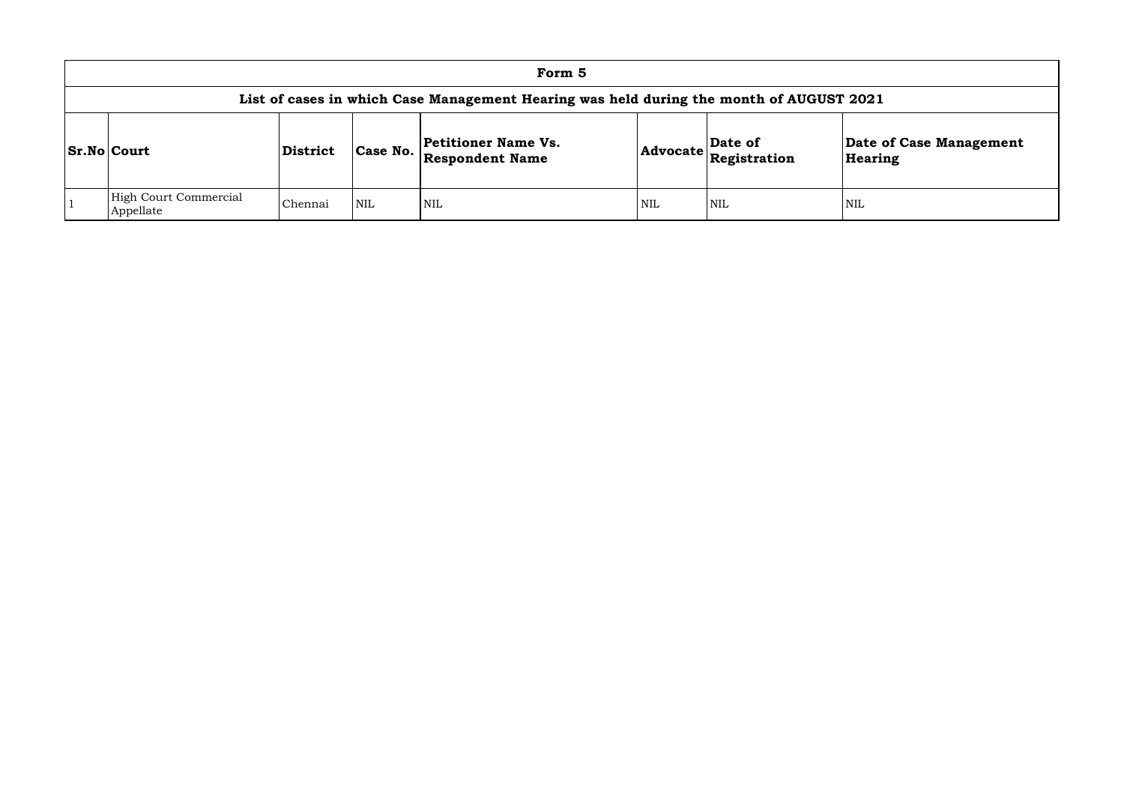|                                                                                         |                 |            | Form 5                                               |            |                                                                                                                  |                      |  |  |  |  |  |  |
|-----------------------------------------------------------------------------------------|-----------------|------------|------------------------------------------------------|------------|------------------------------------------------------------------------------------------------------------------|----------------------|--|--|--|--|--|--|
| List of cases in which Case Management Hearing was held during the month of AUGUST 2021 |                 |            |                                                      |            |                                                                                                                  |                      |  |  |  |  |  |  |
| <b>Sr.No Court</b>                                                                      | <b>District</b> | Case No.   | <b>Petitioner Name Vs.</b><br><b>Respondent Name</b> |            | $\begin{array}{ l } \hline \textbf{Advocate} & \textbf{Date of} \\ \hline \textbf{Registribution} & \end{array}$ | Date<br><b>Heari</b> |  |  |  |  |  |  |
| High Court Commercial<br>Appellate                                                      | Chennai         | <b>NIL</b> | NIL                                                  | <b>NIL</b> | <b>NIL</b>                                                                                                       | NIL                  |  |  |  |  |  |  |

## **Date of Case Management Hearing**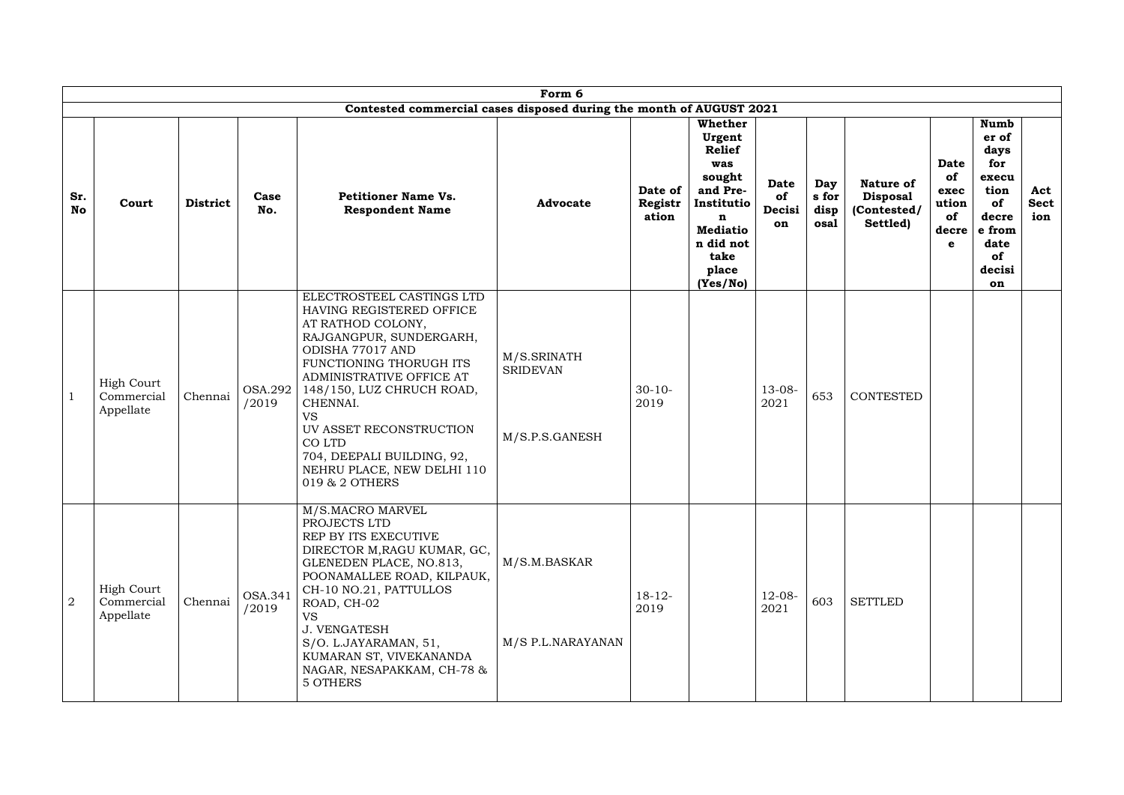|                  |                                              |                 |                  |                                                                                                                                                                                                                                                                                                                                                           | Form 6                                           |                             |                                                                                                                                                        |                                   |                              |                                                                |                                                        |                                                                                                             |                           |
|------------------|----------------------------------------------|-----------------|------------------|-----------------------------------------------------------------------------------------------------------------------------------------------------------------------------------------------------------------------------------------------------------------------------------------------------------------------------------------------------------|--------------------------------------------------|-----------------------------|--------------------------------------------------------------------------------------------------------------------------------------------------------|-----------------------------------|------------------------------|----------------------------------------------------------------|--------------------------------------------------------|-------------------------------------------------------------------------------------------------------------|---------------------------|
|                  |                                              |                 |                  | Contested commercial cases disposed during the month of AUGUST 2021                                                                                                                                                                                                                                                                                       |                                                  |                             |                                                                                                                                                        |                                   |                              |                                                                |                                                        |                                                                                                             |                           |
| Sr.<br><b>No</b> | Court                                        | <b>District</b> | Case<br>No.      | <b>Petitioner Name Vs.</b><br><b>Respondent Name</b>                                                                                                                                                                                                                                                                                                      | <b>Advocate</b>                                  | Date of<br>Registr<br>ation | <b>Whether</b><br>Urgent<br><b>Relief</b><br>was<br>sought<br>and Pre-<br>Institutio<br>n<br><b>Mediatio</b><br>n did not<br>take<br>place<br>(Yes/No) | <b>Date</b><br>of<br>Decisi<br>on | Day<br>s for<br>disp<br>osal | <b>Nature of</b><br><b>Disposal</b><br>(Contested/<br>Settled) | <b>Date</b><br>of<br>exec<br>ution<br>of<br>decre<br>e | <b>Numb</b><br>er of<br>days<br>for<br>execu<br>tion<br>of<br>decre<br>e from<br>date<br>of<br>decisi<br>on | Act<br><b>Sect</b><br>ion |
|                  | <b>High Court</b><br>Commercial<br>Appellate | Chennai         | OSA.292<br>/2019 | ELECTROSTEEL CASTINGS LTD<br>HAVING REGISTERED OFFICE<br>AT RATHOD COLONY,<br>RAJGANGPUR, SUNDERGARH,<br>ODISHA 77017 AND<br>FUNCTIONING THORUGH ITS<br>ADMINISTRATIVE OFFICE AT<br>148/150, LUZ CHRUCH ROAD,<br>CHENNAI.<br><b>VS</b><br>UV ASSET RECONSTRUCTION<br>CO LTD<br>704, DEEPALI BUILDING, 92,<br>NEHRU PLACE, NEW DELHI 110<br>019 & 2 OTHERS | M/S.SRINATH<br><b>SRIDEVAN</b><br>M/S.P.S.GANESH | $30 - 10 -$<br>2019         |                                                                                                                                                        | $13-08-$<br>2021                  | 653                          | <b>CONTESTED</b>                                               |                                                        |                                                                                                             |                           |
| $\overline{2}$   | <b>High Court</b><br>Commercial<br>Appellate | Chennai         | OSA.341<br>/2019 | M/S.MACRO MARVEL<br>PROJECTS LTD<br>REP BY ITS EXECUTIVE<br>DIRECTOR M, RAGU KUMAR, GC,<br>GLENEDEN PLACE, NO.813,<br>POONAMALLEE ROAD, KILPAUK,<br>CH-10 NO.21, PATTULLOS<br>ROAD, CH-02<br><b>VS</b><br><b>J. VENGATESH</b><br>S/O. L.JAYARAMAN, 51,<br>KUMARAN ST, VIVEKANANDA<br>NAGAR, NESAPAKKAM, CH-78 &<br>5 OTHERS                               | M/S.M.BASKAR<br>M/S P.L.NARAYANAN                | $18 - 12 -$<br>2019         |                                                                                                                                                        | $12 - 08 -$<br>2021               | 603                          | <b>SETTLED</b>                                                 |                                                        |                                                                                                             |                           |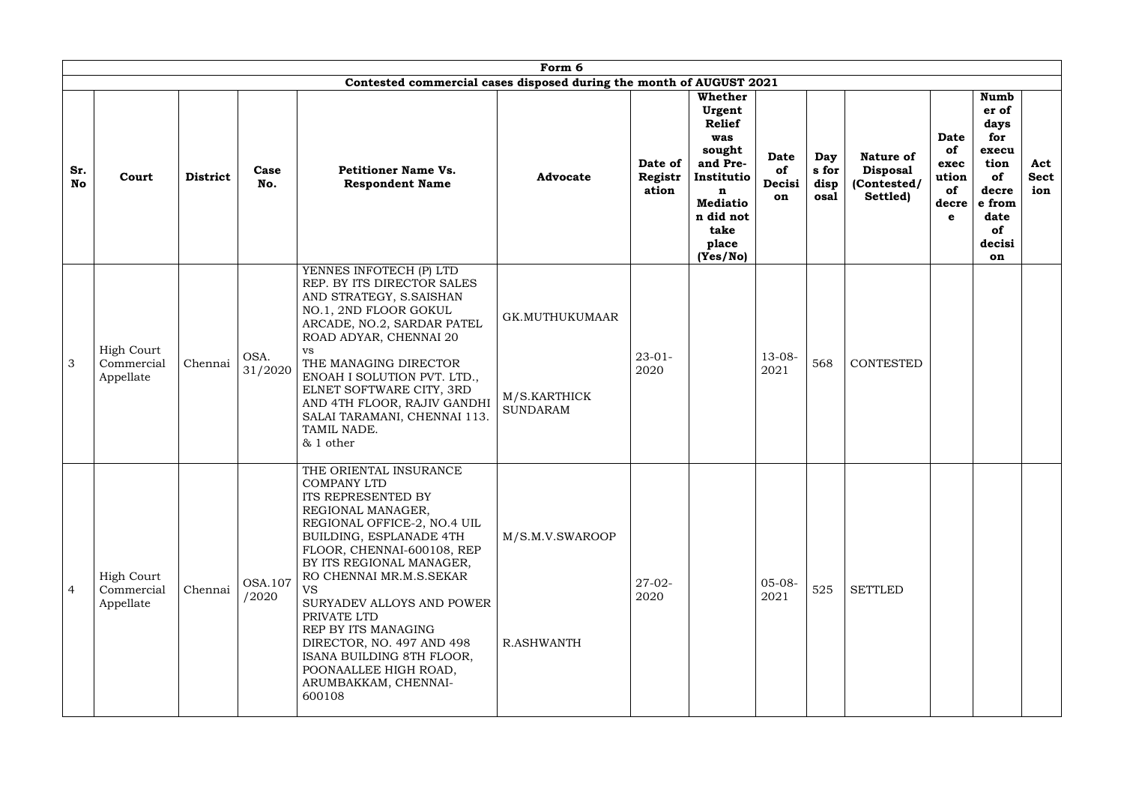|                  |                                              |                 |                  |                                                                                                                                                                                                                                                                                                                                                                                                                                      | Form 6                                                   |                             |                                                                                                                                      |                                   |                              |                                                                |                                                                  |                                                                                              |                           |
|------------------|----------------------------------------------|-----------------|------------------|--------------------------------------------------------------------------------------------------------------------------------------------------------------------------------------------------------------------------------------------------------------------------------------------------------------------------------------------------------------------------------------------------------------------------------------|----------------------------------------------------------|-----------------------------|--------------------------------------------------------------------------------------------------------------------------------------|-----------------------------------|------------------------------|----------------------------------------------------------------|------------------------------------------------------------------|----------------------------------------------------------------------------------------------|---------------------------|
|                  |                                              |                 |                  | Contested commercial cases disposed during the month of AUGUST 2021                                                                                                                                                                                                                                                                                                                                                                  |                                                          |                             | Whether                                                                                                                              |                                   |                              |                                                                |                                                                  | <b>Numb</b>                                                                                  |                           |
| Sr.<br><b>No</b> | Court                                        | <b>District</b> | Case<br>No.      | <b>Petitioner Name Vs.</b><br><b>Respondent Name</b>                                                                                                                                                                                                                                                                                                                                                                                 | <b>Advocate</b>                                          | Date of<br>Registr<br>ation | Urgent<br><b>Relief</b><br>was<br>sought<br>and Pre-<br>Institutio<br>n<br><b>Mediatio</b><br>n did not<br>take<br>place<br>(Yes/No) | <b>Date</b><br>of<br>Decisi<br>on | Day<br>s for<br>disp<br>osal | <b>Nature of</b><br><b>Disposal</b><br>(Contested/<br>Settled) | <b>Date</b><br>of<br>exec<br>ution<br>of<br>decre<br>$\mathbf e$ | er of<br>days<br>for<br>execu<br>tion<br>of<br>decre<br>e from<br>date<br>of<br>decisi<br>on | Act<br><b>Sect</b><br>ion |
| 3                | <b>High Court</b><br>Commercial<br>Appellate | Chennai         | OSA.<br>31/2020  | YENNES INFOTECH (P) LTD<br>REP. BY ITS DIRECTOR SALES<br>AND STRATEGY, S.SAISHAN<br>NO.1, 2ND FLOOR GOKUL<br>ARCADE, NO.2, SARDAR PATEL<br>ROAD ADYAR, CHENNAI 20<br><b>vs</b><br>THE MANAGING DIRECTOR<br>ENOAH I SOLUTION PVT. LTD.,<br>ELNET SOFTWARE CITY, 3RD<br>AND 4TH FLOOR, RAJIV GANDHI<br>SALAI TARAMANI, CHENNAI 113.<br>TAMIL NADE.<br>& 1 other                                                                        | <b>GK.MUTHUKUMAAR</b><br>M/S.KARTHICK<br><b>SUNDARAM</b> | $23 - 01 -$<br>2020         |                                                                                                                                      | $13-08-$<br>2021                  | 568                          | <b>CONTESTED</b>                                               |                                                                  |                                                                                              |                           |
| $\overline{4}$   | <b>High Court</b><br>Commercial<br>Appellate | Chennai         | OSA.107<br>/2020 | THE ORIENTAL INSURANCE<br>COMPANY LTD<br>ITS REPRESENTED BY<br>REGIONAL MANAGER,<br>REGIONAL OFFICE-2, NO.4 UIL<br>BUILDING, ESPLANADE 4TH<br>FLOOR, CHENNAI-600108, REP<br>BY ITS REGIONAL MANAGER,<br>RO CHENNAI MR.M.S.SEKAR<br><b>VS</b><br>SURYADEV ALLOYS AND POWER<br>PRIVATE LTD<br>REP BY ITS MANAGING<br>DIRECTOR, NO. 497 AND 498<br>ISANA BUILDING 8TH FLOOR,<br>POONAALLEE HIGH ROAD,<br>ARUMBAKKAM, CHENNAI-<br>600108 | M/S.M.V.SWAROOP<br>R.ASHWANTH                            | $27-02-$<br>2020            |                                                                                                                                      | $05-08-$<br>2021                  | 525                          | <b>SETTLED</b>                                                 |                                                                  |                                                                                              |                           |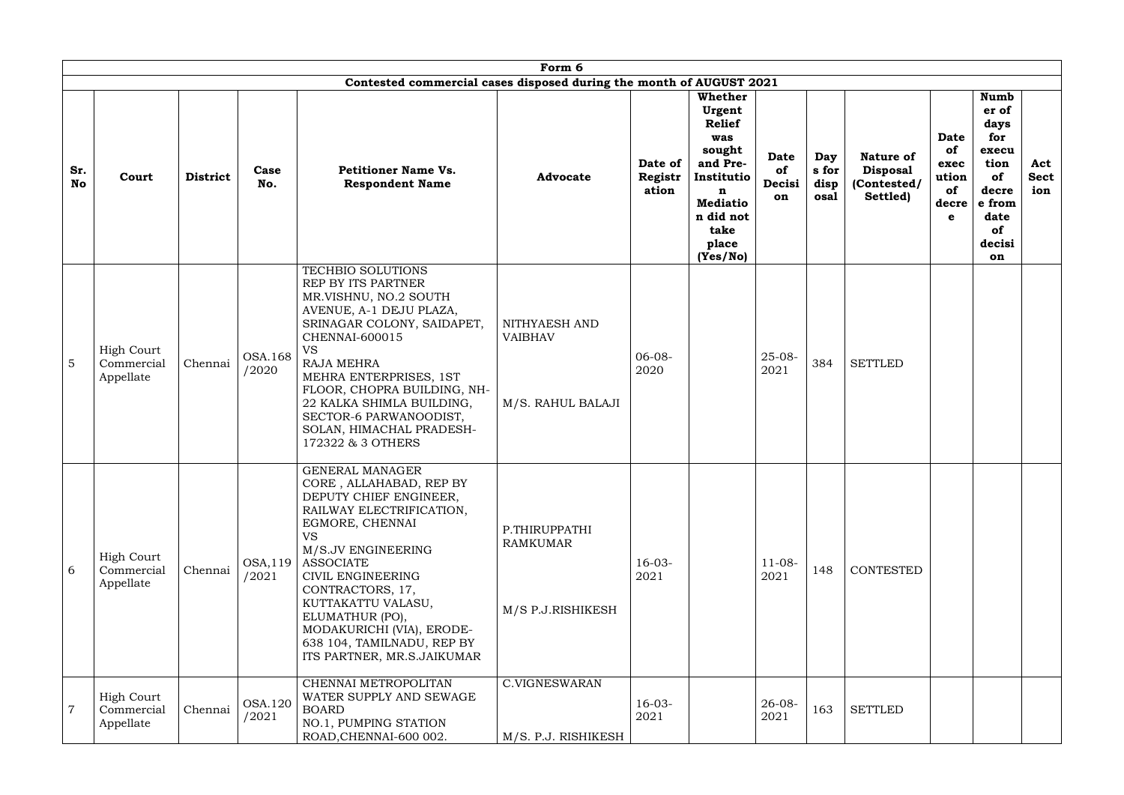|                  | Form 6<br>Contested commercial cases disposed during the month of AUGUST 2021 |                 |                   |                                                                                                                                                                                                                                                                                                                                                              |                                                       |                             |                                                                                                                                                        |                                   |                              |                                                                |                                                        |                                                                                                             |                           |
|------------------|-------------------------------------------------------------------------------|-----------------|-------------------|--------------------------------------------------------------------------------------------------------------------------------------------------------------------------------------------------------------------------------------------------------------------------------------------------------------------------------------------------------------|-------------------------------------------------------|-----------------------------|--------------------------------------------------------------------------------------------------------------------------------------------------------|-----------------------------------|------------------------------|----------------------------------------------------------------|--------------------------------------------------------|-------------------------------------------------------------------------------------------------------------|---------------------------|
|                  |                                                                               |                 |                   |                                                                                                                                                                                                                                                                                                                                                              |                                                       |                             |                                                                                                                                                        |                                   |                              |                                                                |                                                        |                                                                                                             |                           |
| Sr.<br><b>No</b> | Court                                                                         | <b>District</b> | Case<br>No.       | <b>Petitioner Name Vs.</b><br><b>Respondent Name</b>                                                                                                                                                                                                                                                                                                         | <b>Advocate</b>                                       | Date of<br>Registr<br>ation | <b>Whether</b><br>Urgent<br><b>Relief</b><br>was<br>sought<br>and Pre-<br>Institutio<br>n<br><b>Mediatio</b><br>n did not<br>take<br>place<br>(Yes/No) | <b>Date</b><br>of<br>Decisi<br>on | Day<br>s for<br>disp<br>osal | <b>Nature of</b><br><b>Disposal</b><br>(Contested/<br>Settled) | <b>Date</b><br>of<br>exec<br>ution<br>of<br>decre<br>e | <b>Numb</b><br>er of<br>days<br>for<br>execu<br>tion<br>of<br>decre<br>e from<br>date<br>of<br>decisi<br>on | Act<br><b>Sect</b><br>ion |
| 5                | <b>High Court</b><br>Commercial<br>Appellate                                  | Chennai         | OSA.168<br>/2020  | <b>TECHBIO SOLUTIONS</b><br>REP BY ITS PARTNER<br>MR.VISHNU, NO.2 SOUTH<br>AVENUE, A-1 DEJU PLAZA,<br>SRINAGAR COLONY, SAIDAPET,<br><b>CHENNAI-600015</b><br><b>VS</b><br><b>RAJA MEHRA</b><br>MEHRA ENTERPRISES, 1ST<br>FLOOR, CHOPRA BUILDING, NH-<br>22 KALKA SHIMLA BUILDING,<br>SECTOR-6 PARWANOODIST,<br>SOLAN, HIMACHAL PRADESH-<br>172322 & 3 OTHERS | NITHYAESH AND<br><b>VAIBHAV</b><br>M/S. RAHUL BALAJI  | $06-08-$<br>2020            |                                                                                                                                                        | $25 - 08 -$<br>2021               | 384                          | <b>SETTLED</b>                                                 |                                                        |                                                                                                             |                           |
| 6                | <b>High Court</b><br>Commercial<br>Appellate                                  | Chennai         | OSA, 119<br>/2021 | <b>GENERAL MANAGER</b><br>CORE, ALLAHABAD, REP BY<br>DEPUTY CHIEF ENGINEER,<br>RAILWAY ELECTRIFICATION,<br>EGMORE, CHENNAI<br><b>VS</b><br>M/S.JV ENGINEERING<br><b>ASSOCIATE</b><br>CIVIL ENGINEERING<br>CONTRACTORS, 17,<br>KUTTAKATTU VALASU,<br>ELUMATHUR (PO),<br>MODAKURICHI (VIA), ERODE-<br>638 104, TAMILNADU, REP BY<br>ITS PARTNER, MR.S.JAIKUMAR | P.THIRUPPATHI<br><b>RAMKUMAR</b><br>M/S P.J.RISHIKESH | $16-03-$<br>2021            |                                                                                                                                                        | $11-08-$<br>2021                  | 148                          | <b>CONTESTED</b>                                               |                                                        |                                                                                                             |                           |
| $\overline{7}$   | <b>High Court</b><br>Commercial<br>Appellate                                  | Chennai         | OSA.120<br>/2021  | CHENNAI METROPOLITAN<br>WATER SUPPLY AND SEWAGE<br><b>BOARD</b><br>NO.1, PUMPING STATION<br>ROAD, CHENNAI-600 002.                                                                                                                                                                                                                                           | <b>C.VIGNESWARAN</b><br>M/S. P.J. RISHIKESH           | $16-03-$<br>2021            |                                                                                                                                                        | $26 - 08 -$<br>2021               | 163                          | <b>SETTLED</b>                                                 |                                                        |                                                                                                             |                           |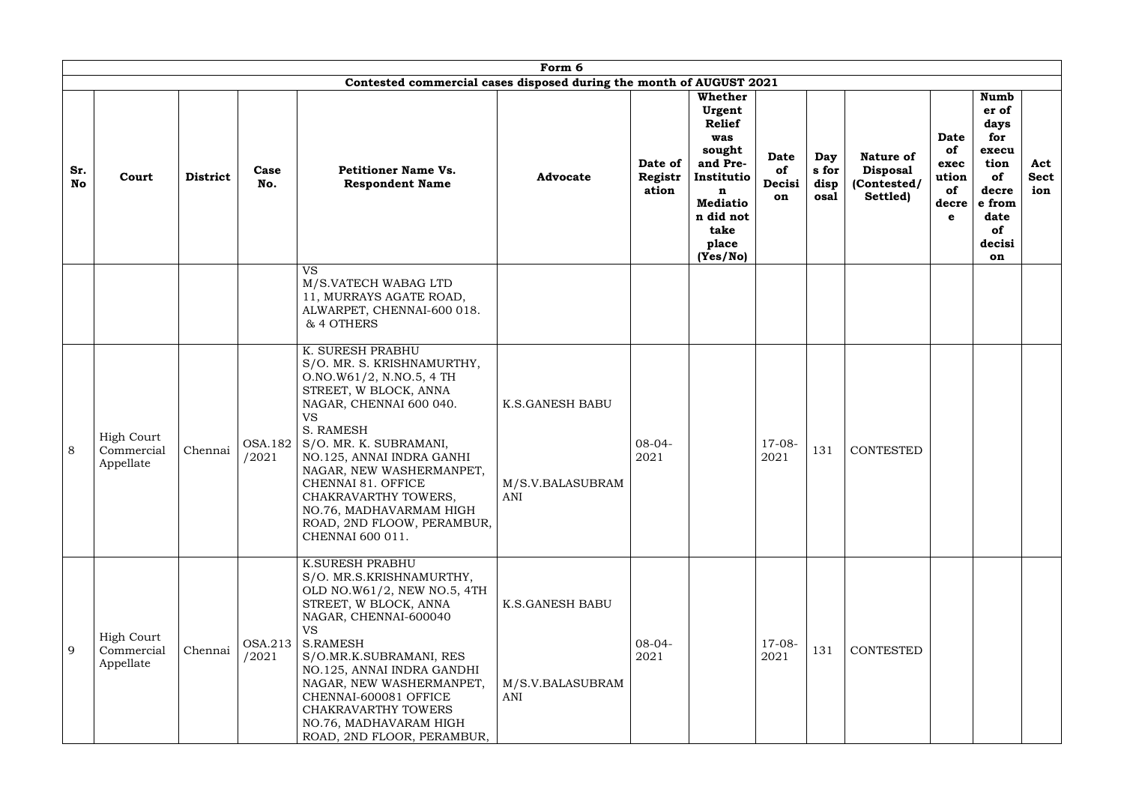|                  | Form 6<br>Contested commercial cases disposed during the month of AUGUST 2021 |                 |                  |                                                                                                                                                                                                                                                                                                                                                                        |                                                   |                             |                                                                                                                                                        |                                   |                              |                                                                |                                                        |                                                                                                                    |                           |
|------------------|-------------------------------------------------------------------------------|-----------------|------------------|------------------------------------------------------------------------------------------------------------------------------------------------------------------------------------------------------------------------------------------------------------------------------------------------------------------------------------------------------------------------|---------------------------------------------------|-----------------------------|--------------------------------------------------------------------------------------------------------------------------------------------------------|-----------------------------------|------------------------------|----------------------------------------------------------------|--------------------------------------------------------|--------------------------------------------------------------------------------------------------------------------|---------------------------|
|                  |                                                                               |                 |                  |                                                                                                                                                                                                                                                                                                                                                                        |                                                   |                             |                                                                                                                                                        |                                   |                              |                                                                |                                                        |                                                                                                                    |                           |
| Sr.<br><b>No</b> | Court                                                                         | <b>District</b> | Case<br>No.      | <b>Petitioner Name Vs.</b><br><b>Respondent Name</b>                                                                                                                                                                                                                                                                                                                   | <b>Advocate</b>                                   | Date of<br>Registr<br>ation | <b>Whether</b><br>Urgent<br><b>Relief</b><br>was<br>sought<br>and Pre-<br>Institutio<br>n<br><b>Mediatio</b><br>n did not<br>take<br>place<br>(Yes/No) | <b>Date</b><br>of<br>Decisi<br>on | Day<br>s for<br>disp<br>osal | <b>Nature of</b><br><b>Disposal</b><br>(Contested/<br>Settled) | <b>Date</b><br>of<br>exec<br>ution<br>of<br>decre<br>e | <b>Numb</b><br>er of<br>days<br>for<br>execu<br>tion<br>of<br>decre<br>e from<br>date<br><b>of</b><br>decisi<br>on | Act<br><b>Sect</b><br>ion |
|                  |                                                                               |                 |                  | <b>VS</b><br>M/S.VATECH WABAG LTD<br>11, MURRAYS AGATE ROAD,<br>ALWARPET, CHENNAI-600 018.<br>& 4 OTHERS                                                                                                                                                                                                                                                               |                                                   |                             |                                                                                                                                                        |                                   |                              |                                                                |                                                        |                                                                                                                    |                           |
| 8                | <b>High Court</b><br>Commercial<br>Appellate                                  | Chennai         | OSA.182<br>/2021 | K. SURESH PRABHU<br>S/O. MR. S. KRISHNAMURTHY,<br>O.NO.W61/2, N.NO.5, 4 TH<br>STREET, W BLOCK, ANNA<br>NAGAR, CHENNAI 600 040.<br><b>VS</b><br>S. RAMESH<br>S/O. MR. K. SUBRAMANI,<br>NO.125, ANNAI INDRA GANHI<br>NAGAR, NEW WASHERMANPET,<br>CHENNAI 81. OFFICE<br>CHAKRAVARTHY TOWERS,<br>NO.76, MADHAVARMAM HIGH<br>ROAD, 2ND FLOOW, PERAMBUR,<br>CHENNAI 600 011. | <b>K.S.GANESH BABU</b><br>M/S.V.BALASUBRAM<br>ANI | $08-04-$<br>2021            |                                                                                                                                                        | $17-08-$<br>2021                  | 131                          | CONTESTED                                                      |                                                        |                                                                                                                    |                           |
| 9                | <b>High Court</b><br>Commercial<br>Appellate                                  | Chennai         | OSA.213<br>/2021 | <b>K.SURESH PRABHU</b><br>S/O. MR.S.KRISHNAMURTHY,<br>OLD NO.W61/2, NEW NO.5, 4TH<br>STREET, W BLOCK, ANNA<br>NAGAR, CHENNAI-600040<br><b>VS</b><br><b>S.RAMESH</b><br>S/O.MR.K.SUBRAMANI, RES<br>NO.125, ANNAI INDRA GANDHI<br>NAGAR, NEW WASHERMANPET,<br>CHENNAI-600081 OFFICE<br>CHAKRAVARTHY TOWERS<br>NO.76, MADHAVARAM HIGH<br>ROAD, 2ND FLOOR, PERAMBUR,       | K.S.GANESH BABU<br>M/S.V.BALASUBRAM<br>ANI        | $08-04-$<br>2021            |                                                                                                                                                        | $17-08-$<br>2021                  | 131                          | CONTESTED                                                      |                                                        |                                                                                                                    |                           |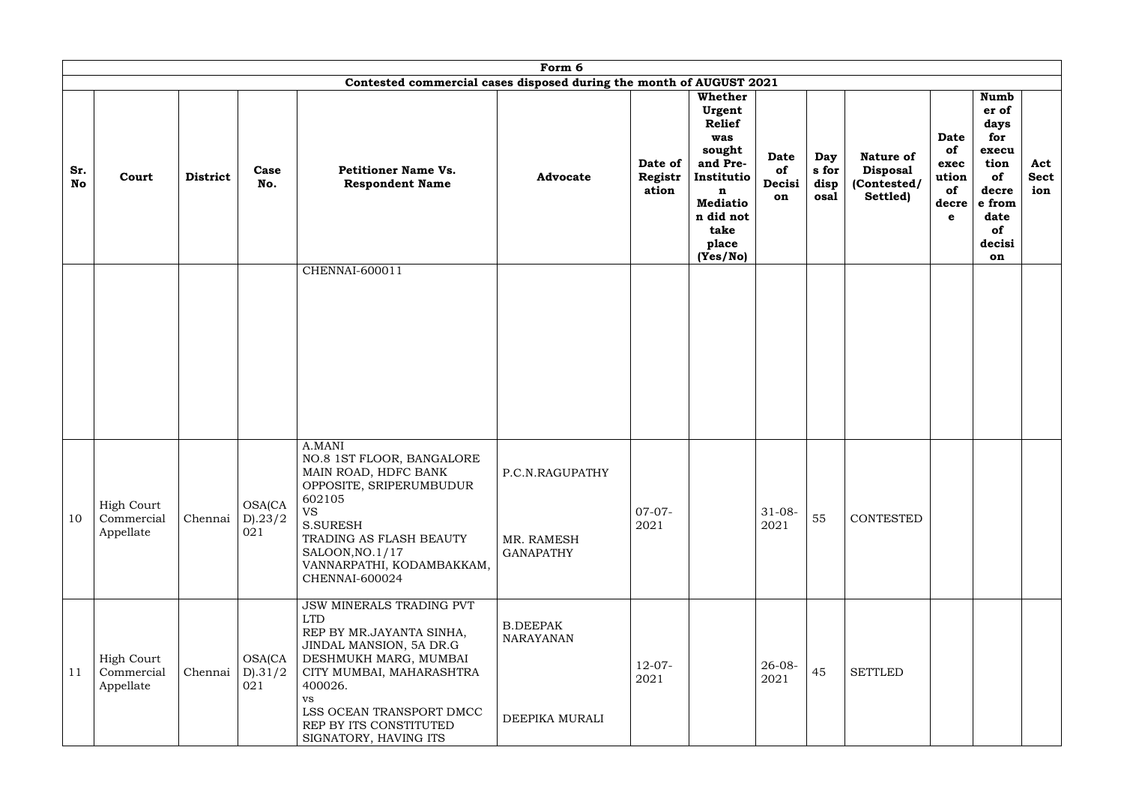|                  |                                              |                 |                                    |                                                                                                                                                                                                                                                           | Form 6                                                |                             |                                                                                                                                                                  |                                   |                              |                                                                |                                                        |                                                                                                             |                           |
|------------------|----------------------------------------------|-----------------|------------------------------------|-----------------------------------------------------------------------------------------------------------------------------------------------------------------------------------------------------------------------------------------------------------|-------------------------------------------------------|-----------------------------|------------------------------------------------------------------------------------------------------------------------------------------------------------------|-----------------------------------|------------------------------|----------------------------------------------------------------|--------------------------------------------------------|-------------------------------------------------------------------------------------------------------------|---------------------------|
| Sr.<br><b>No</b> | Court                                        | <b>District</b> | Case<br>No.                        | Contested commercial cases disposed during the month of AUGUST 2021<br><b>Petitioner Name Vs.</b><br><b>Respondent Name</b>                                                                                                                               | <b>Advocate</b>                                       | Date of<br>Registr<br>ation | <b>Whether</b><br>Urgent<br><b>Relief</b><br>was<br>sought<br>and Pre-<br>Institutio<br>$\mathbf n$<br><b>Mediatio</b><br>n did not<br>take<br>place<br>(Yes/No) | <b>Date</b><br>of<br>Decisi<br>on | Day<br>s for<br>disp<br>osal | <b>Nature of</b><br><b>Disposal</b><br>(Contested/<br>Settled) | <b>Date</b><br>of<br>exec<br>ution<br>of<br>decre<br>e | <b>Numb</b><br>er of<br>days<br>for<br>execu<br>tion<br>of<br>decre<br>e from<br>date<br>of<br>decisi<br>on | Act<br><b>Sect</b><br>ion |
|                  |                                              |                 |                                    | CHENNAI-600011                                                                                                                                                                                                                                            |                                                       |                             |                                                                                                                                                                  |                                   |                              |                                                                |                                                        |                                                                                                             |                           |
| 10               | <b>High Court</b><br>Commercial<br>Appellate | Chennai         | <b>OSA(CA</b><br>$D$ ).23/2<br>021 | A.MANI<br>NO.8 1ST FLOOR, BANGALORE<br>MAIN ROAD, HDFC BANK<br>OPPOSITE, SRIPERUMBUDUR<br>602105<br><b>VS</b><br>S.SURESH<br>TRADING AS FLASH BEAUTY<br>SALOON, NO. 1/17<br>VANNARPATHI, KODAMBAKKAM,<br>CHENNAI-600024                                   | P.C.N.RAGUPATHY<br>MR. RAMESH<br><b>GANAPATHY</b>     | $07-07-$<br>2021            |                                                                                                                                                                  | $31-08-$<br>2021                  | 55                           | CONTESTED                                                      |                                                        |                                                                                                             |                           |
| 11               | <b>High Court</b><br>Commercial<br>Appellate | Chennai         | OSA(CA<br>$D$ ).31/2<br>021        | JSW MINERALS TRADING PVT<br><b>LTD</b><br>REP BY MR.JAYANTA SINHA,<br>JINDAL MANSION, 5A DR.G<br>DESHMUKH MARG, MUMBAI<br>CITY MUMBAI, MAHARASHTRA<br>400026.<br><b>VS</b><br>LSS OCEAN TRANSPORT DMCC<br>REP BY ITS CONSTITUTED<br>SIGNATORY, HAVING ITS | <b>B.DEEPAK</b><br><b>NARAYANAN</b><br>DEEPIKA MURALI | $12-07-$<br>2021            |                                                                                                                                                                  | $26 - 08 -$<br>2021               | 45                           | <b>SETTLED</b>                                                 |                                                        |                                                                                                             |                           |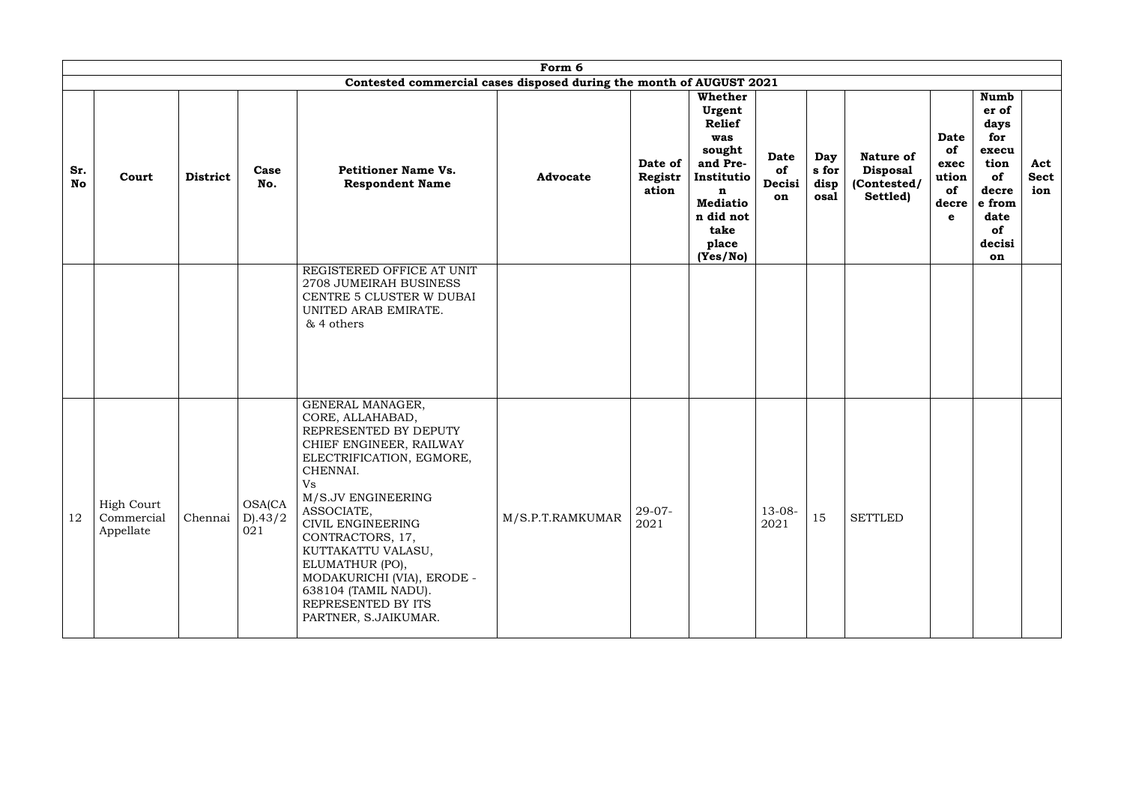|                  | Form 6<br>Contested commercial cases disposed during the month of AUGUST 2021 |                 |                             |                                                                                                                                                                                                                                                                                                                                                                  |                  |                             |                                                                                                                                                 |                            |                              |                                                                |                                                                  |                                                                                                             |                           |  |
|------------------|-------------------------------------------------------------------------------|-----------------|-----------------------------|------------------------------------------------------------------------------------------------------------------------------------------------------------------------------------------------------------------------------------------------------------------------------------------------------------------------------------------------------------------|------------------|-----------------------------|-------------------------------------------------------------------------------------------------------------------------------------------------|----------------------------|------------------------------|----------------------------------------------------------------|------------------------------------------------------------------|-------------------------------------------------------------------------------------------------------------|---------------------------|--|
|                  |                                                                               |                 |                             |                                                                                                                                                                                                                                                                                                                                                                  |                  |                             |                                                                                                                                                 |                            |                              |                                                                |                                                                  |                                                                                                             |                           |  |
| Sr.<br><b>No</b> | Court                                                                         | <b>District</b> | Case<br>No.                 | <b>Petitioner Name Vs.</b><br><b>Respondent Name</b>                                                                                                                                                                                                                                                                                                             | <b>Advocate</b>  | Date of<br>Registr<br>ation | Whether<br>Urgent<br><b>Relief</b><br>was<br>sought<br>and Pre-<br>Institutio<br>n<br><b>Mediatio</b><br>n did not<br>take<br>place<br>(Yes/No) | Date<br>of<br>Decisi<br>on | Day<br>s for<br>disp<br>osal | <b>Nature of</b><br><b>Disposal</b><br>(Contested/<br>Settled) | <b>Date</b><br>of<br>exec<br>ution<br>of<br>decre<br>$\mathbf e$ | <b>Numb</b><br>er of<br>days<br>for<br>execu<br>tion<br>of<br>decre<br>e from<br>date<br>of<br>decisi<br>on | Act<br><b>Sect</b><br>ion |  |
|                  |                                                                               |                 |                             | REGISTERED OFFICE AT UNIT<br>2708 JUMEIRAH BUSINESS<br>CENTRE 5 CLUSTER W DUBAI<br>UNITED ARAB EMIRATE.<br>& 4 others                                                                                                                                                                                                                                            |                  |                             |                                                                                                                                                 |                            |                              |                                                                |                                                                  |                                                                                                             |                           |  |
| 12               | <b>High Court</b><br>Commercial<br>Appellate                                  | Chennai         | OSA(CA<br>$D$ ).43/2<br>021 | GENERAL MANAGER,<br>CORE, ALLAHABAD,<br>REPRESENTED BY DEPUTY<br>CHIEF ENGINEER, RAILWAY<br>ELECTRIFICATION, EGMORE,<br>CHENNAI.<br>Vs<br>M/S.JV ENGINEERING<br>ASSOCIATE,<br>CIVIL ENGINEERING<br>CONTRACTORS, 17,<br>KUTTAKATTU VALASU,<br>ELUMATHUR (PO),<br>MODAKURICHI (VIA), ERODE -<br>638104 (TAMIL NADU).<br>REPRESENTED BY ITS<br>PARTNER, S.JAIKUMAR. | M/S.P.T.RAMKUMAR | $29-07-$<br>2021            |                                                                                                                                                 | $13-08-$<br>2021           | 15                           | <b>SETTLED</b>                                                 |                                                                  |                                                                                                             |                           |  |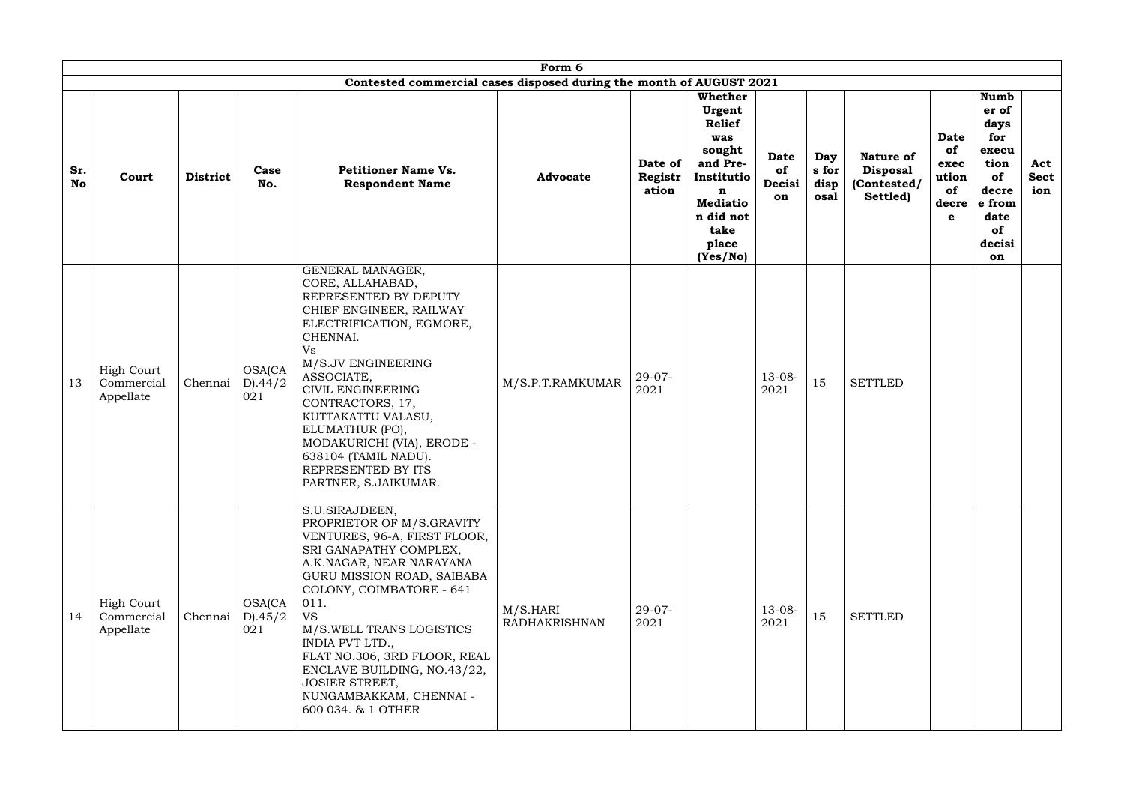|                  |                                              | Form 6<br>Contested commercial cases disposed during the month of AUGUST 2021 |                             |                                                                                                                                                                                                                                                                                                                                                                                                          |                                  |                                    |                                                                                                                                                 |                                          |                              |                                                                |                                                                  |                                                                                                             |                           |
|------------------|----------------------------------------------|-------------------------------------------------------------------------------|-----------------------------|----------------------------------------------------------------------------------------------------------------------------------------------------------------------------------------------------------------------------------------------------------------------------------------------------------------------------------------------------------------------------------------------------------|----------------------------------|------------------------------------|-------------------------------------------------------------------------------------------------------------------------------------------------|------------------------------------------|------------------------------|----------------------------------------------------------------|------------------------------------------------------------------|-------------------------------------------------------------------------------------------------------------|---------------------------|
| Sr.<br><b>No</b> | Court                                        | <b>District</b>                                                               | Case<br>No.                 | <b>Petitioner Name Vs.</b><br><b>Respondent Name</b>                                                                                                                                                                                                                                                                                                                                                     | <b>Advocate</b>                  | Date of<br><b>Registr</b><br>ation | Whether<br>Urgent<br><b>Relief</b><br>was<br>sought<br>and Pre-<br>Institutio<br>n<br><b>Mediatio</b><br>n did not<br>take<br>place<br>(Yes/No) | <b>Date</b><br><b>of</b><br>Decisi<br>on | Day<br>s for<br>disp<br>osal | <b>Nature of</b><br><b>Disposal</b><br>(Contested/<br>Settled) | <b>Date</b><br>of<br>exec<br>ution<br>of<br>decre<br>$\mathbf e$ | <b>Numb</b><br>er of<br>days<br>for<br>execu<br>tion<br>of<br>decre<br>e from<br>date<br>of<br>decisi<br>on | Act<br><b>Sect</b><br>ion |
| 13               | <b>High Court</b><br>Commercial<br>Appellate | Chennai                                                                       | OSA(CA<br>$D$ ).44/2<br>021 | GENERAL MANAGER,<br>CORE, ALLAHABAD,<br>REPRESENTED BY DEPUTY<br>CHIEF ENGINEER, RAILWAY<br>ELECTRIFICATION, EGMORE,<br>CHENNAI.<br>Vs<br>M/S.JV ENGINEERING<br>ASSOCIATE,<br>CIVIL ENGINEERING<br>CONTRACTORS, 17,<br>KUTTAKATTU VALASU,<br>ELUMATHUR (PO),<br>MODAKURICHI (VIA), ERODE -<br>638104 (TAMIL NADU).<br>REPRESENTED BY ITS<br>PARTNER, S.JAIKUMAR.                                         | M/S.P.T.RAMKUMAR                 | $29-07-$<br>2021                   |                                                                                                                                                 | $13 - 08 -$<br>2021                      | 15                           | <b>SETTLED</b>                                                 |                                                                  |                                                                                                             |                           |
| 14               | <b>High Court</b><br>Commercial<br>Appellate | Chennai                                                                       | OSA(CA<br>D).45/2<br>021    | S.U.SIRAJDEEN,<br>PROPRIETOR OF M/S.GRAVITY<br>VENTURES, 96-A, FIRST FLOOR,<br>SRI GANAPATHY COMPLEX,<br>A.K.NAGAR, NEAR NARAYANA<br>GURU MISSION ROAD, SAIBABA<br>COLONY, COIMBATORE - 641<br>011.<br><b>VS</b><br>M/S.WELL TRANS LOGISTICS<br>INDIA PVT LTD.,<br>FLAT NO.306, 3RD FLOOR, REAL<br>ENCLAVE BUILDING, NO.43/22,<br><b>JOSIER STREET,</b><br>NUNGAMBAKKAM, CHENNAI -<br>600 034. & 1 OTHER | M/S.HARI<br><b>RADHAKRISHNAN</b> | $29-07-$<br>2021                   |                                                                                                                                                 | $13-08-$<br>2021                         | 15                           | <b>SETTLED</b>                                                 |                                                                  |                                                                                                             |                           |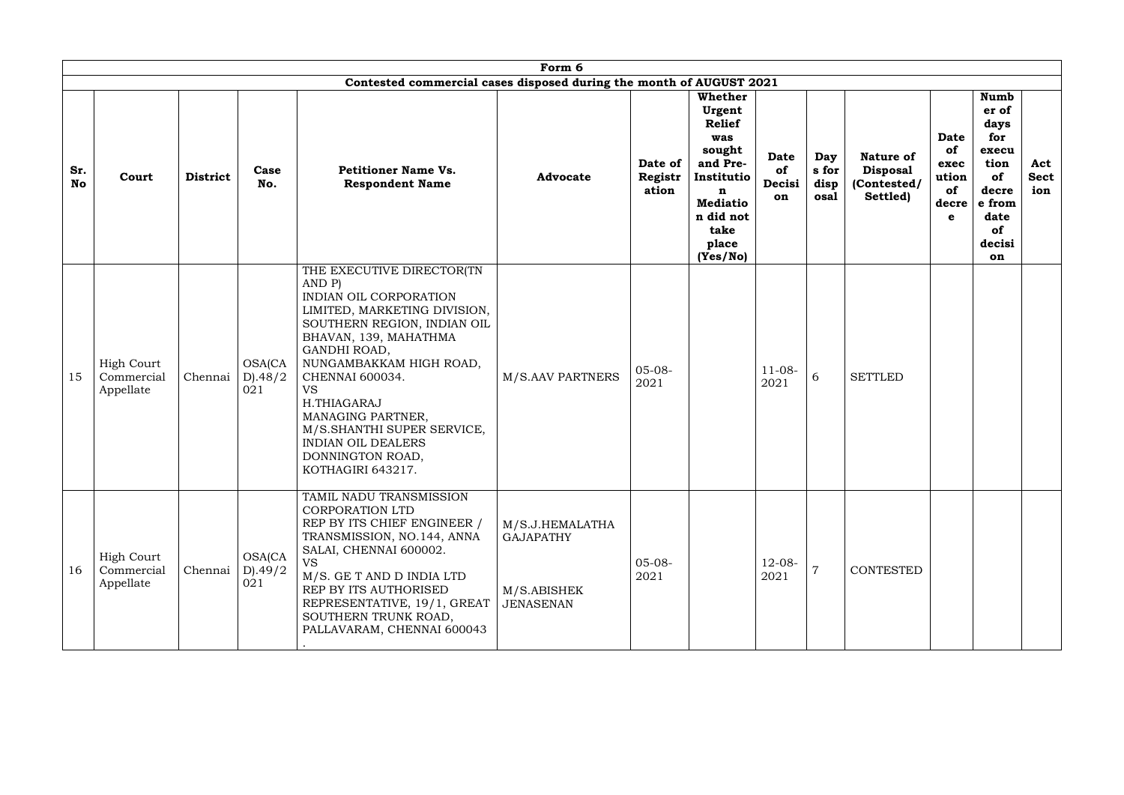|                  | Form 6<br>Contested commercial cases disposed during the month of AUGUST 2021 |                 |                             |                                                                                                                                                                                                                                                                                                                                                                          |                                                                        |                             |                                                                                                                                                                  |                                   |                              |                                                                |                                                        |                                                                                                             |                           |
|------------------|-------------------------------------------------------------------------------|-----------------|-----------------------------|--------------------------------------------------------------------------------------------------------------------------------------------------------------------------------------------------------------------------------------------------------------------------------------------------------------------------------------------------------------------------|------------------------------------------------------------------------|-----------------------------|------------------------------------------------------------------------------------------------------------------------------------------------------------------|-----------------------------------|------------------------------|----------------------------------------------------------------|--------------------------------------------------------|-------------------------------------------------------------------------------------------------------------|---------------------------|
|                  |                                                                               |                 |                             |                                                                                                                                                                                                                                                                                                                                                                          |                                                                        |                             |                                                                                                                                                                  |                                   |                              |                                                                |                                                        |                                                                                                             |                           |
| Sr.<br><b>No</b> | Court                                                                         | <b>District</b> | Case<br>No.                 | <b>Petitioner Name Vs.</b><br><b>Respondent Name</b>                                                                                                                                                                                                                                                                                                                     | <b>Advocate</b>                                                        | Date of<br>Registr<br>ation | <b>Whether</b><br>Urgent<br><b>Relief</b><br>was<br>sought<br>and Pre-<br>Institutio<br>$\mathbf n$<br><b>Mediatio</b><br>n did not<br>take<br>place<br>(Yes/No) | <b>Date</b><br>of<br>Decisi<br>on | Day<br>s for<br>disp<br>osal | <b>Nature of</b><br><b>Disposal</b><br>(Contested/<br>Settled) | <b>Date</b><br>of<br>exec<br>ution<br>of<br>decre<br>e | <b>Numb</b><br>er of<br>days<br>for<br>execu<br>tion<br>of<br>decre<br>e from<br>date<br>of<br>decisi<br>on | Act<br><b>Sect</b><br>ion |
| 15               | High Court<br>Commercial<br>Appellate                                         | Chennai         | OSA(CA<br>$D$ ).48/2<br>021 | THE EXECUTIVE DIRECTOR(TN<br>AND P)<br>INDIAN OIL CORPORATION<br>LIMITED, MARKETING DIVISION,<br>SOUTHERN REGION, INDIAN OIL<br>BHAVAN, 139, MAHATHMA<br>GANDHI ROAD,<br>NUNGAMBAKKAM HIGH ROAD,<br>CHENNAI 600034.<br><b>VS</b><br>H.THIAGARAJ<br>MANAGING PARTNER,<br>M/S.SHANTHI SUPER SERVICE,<br><b>INDIAN OIL DEALERS</b><br>DONNINGTON ROAD,<br>KOTHAGIRI 643217. | M/S.AAV PARTNERS                                                       | $05-08-$<br>2021            |                                                                                                                                                                  | $11-08-$<br>2021                  | 6                            | <b>SETTLED</b>                                                 |                                                        |                                                                                                             |                           |
| 16               | <b>High Court</b><br>Commercial<br>Appellate                                  | Chennai         | OSA(CA<br>$D$ ).49/2<br>021 | TAMIL NADU TRANSMISSION<br>CORPORATION LTD<br>REP BY ITS CHIEF ENGINEER /<br>TRANSMISSION, NO.144, ANNA<br>SALAI, CHENNAI 600002.<br><b>VS</b><br>$\rm M/S.$ GE T AND D INDIA LTD<br>REP BY ITS AUTHORISED<br>REPRESENTATIVE, 19/1, GREAT<br>SOUTHERN TRUNK ROAD,<br>PALLAVARAM, CHENNAI 600043                                                                          | M/S.J.HEMALATHA<br><b>GAJAPATHY</b><br>M/S.ABISHEK<br><b>JENASENAN</b> | $05 - 08 -$<br>2021         |                                                                                                                                                                  | $12 - 08 -$<br>2021               |                              | CONTESTED                                                      |                                                        |                                                                                                             |                           |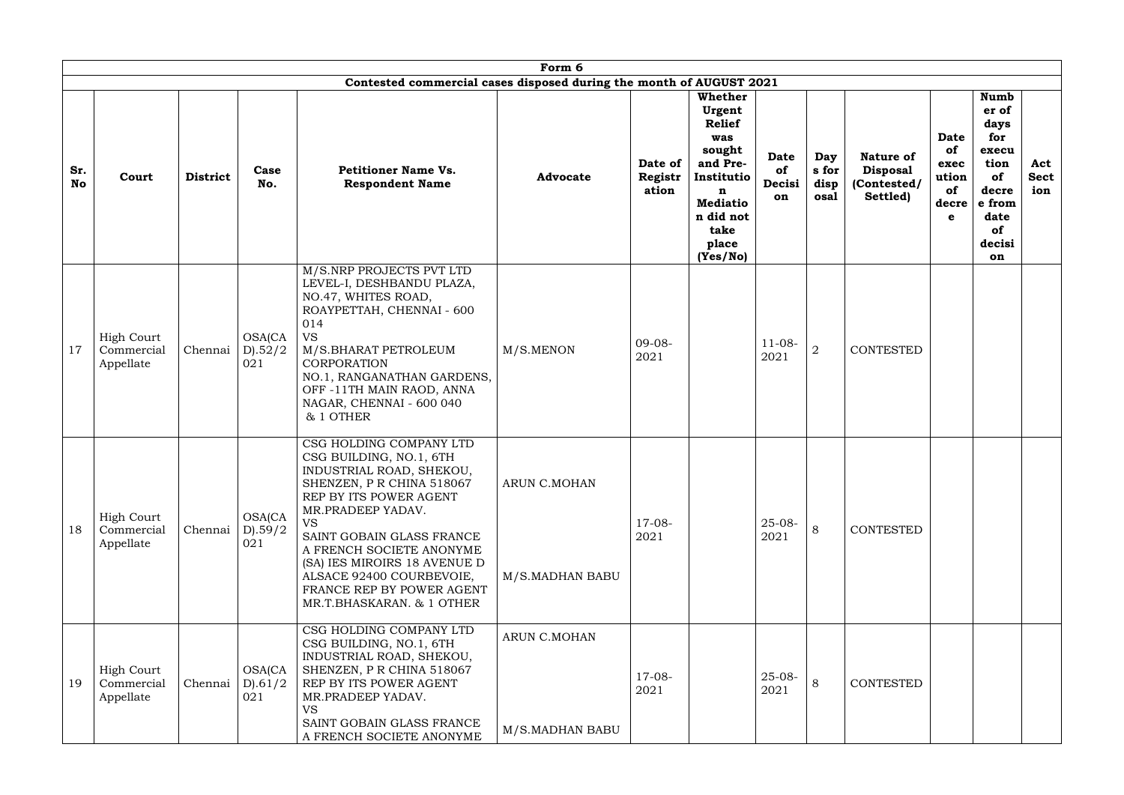|                  | Form 6<br>Contested commercial cases disposed during the month of AUGUST 2021 |                 |                                    |                                                                                                                                                                                                                                                                                                                                                        |                                        |                             |                                                                                                                                                 |                                          |                              |                                                                |                                                        |                                                                                                             |                           |  |
|------------------|-------------------------------------------------------------------------------|-----------------|------------------------------------|--------------------------------------------------------------------------------------------------------------------------------------------------------------------------------------------------------------------------------------------------------------------------------------------------------------------------------------------------------|----------------------------------------|-----------------------------|-------------------------------------------------------------------------------------------------------------------------------------------------|------------------------------------------|------------------------------|----------------------------------------------------------------|--------------------------------------------------------|-------------------------------------------------------------------------------------------------------------|---------------------------|--|
| Sr.<br><b>No</b> | Court                                                                         | <b>District</b> | Case<br>No.                        | <b>Petitioner Name Vs.</b><br><b>Respondent Name</b>                                                                                                                                                                                                                                                                                                   | <b>Advocate</b>                        | Date of<br>Registr<br>ation | Whether<br>Urgent<br><b>Relief</b><br>was<br>sought<br>and Pre-<br>Institutio<br>n<br><b>Mediatio</b><br>n did not<br>take<br>place<br>(Yes/No) | <b>Date</b><br><b>of</b><br>Decisi<br>on | Day<br>s for<br>disp<br>osal | <b>Nature of</b><br><b>Disposal</b><br>(Contested/<br>Settled) | <b>Date</b><br>of<br>exec<br>ution<br>of<br>decre<br>e | <b>Numb</b><br>er of<br>days<br>for<br>execu<br>tion<br>of<br>decre<br>e from<br>date<br>of<br>decisi<br>on | Act<br><b>Sect</b><br>ion |  |
| 17               | <b>High Court</b><br>Commercial<br>Appellate                                  | Chennai         | OSA(CA<br>$D$ ).52/2<br>021        | M/S.NRP PROJECTS PVT LTD<br>LEVEL-I, DESHBANDU PLAZA,<br>NO.47, WHITES ROAD,<br>ROAYPETTAH, CHENNAI - 600<br>014<br><b>VS</b><br>M/S.BHARAT PETROLEUM<br>CORPORATION<br>NO.1, RANGANATHAN GARDENS,<br>OFF-11TH MAIN RAOD, ANNA<br>NAGAR, CHENNAI - 600 040<br>& 1 OTHER                                                                                | M/S.MENON                              | $09-08-$<br>2021            |                                                                                                                                                 | $11-08-$<br>2021                         | $\overline{2}$               | <b>CONTESTED</b>                                               |                                                        |                                                                                                             |                           |  |
| 18               | <b>High Court</b><br>Commercial<br>Appellate                                  | Chennai         | <b>OSA(CA</b><br>$D$ ).59/2<br>021 | CSG HOLDING COMPANY LTD<br>CSG BUILDING, NO.1, 6TH<br>INDUSTRIAL ROAD, SHEKOU,<br>SHENZEN, P R CHINA 518067<br>REP BY ITS POWER AGENT<br>MR.PRADEEP YADAV.<br><b>VS</b><br>SAINT GOBAIN GLASS FRANCE<br>A FRENCH SOCIETE ANONYME<br>(SA) IES MIROIRS 18 AVENUE D<br>ALSACE 92400 COURBEVOIE,<br>FRANCE REP BY POWER AGENT<br>MR.T.BHASKARAN. & 1 OTHER | ARUN C.MOHAN<br>M/S.MADHAN BABU        | $17-08-$<br>2021            |                                                                                                                                                 | $25 - 08 -$<br>2021                      | 8                            | CONTESTED                                                      |                                                        |                                                                                                             |                           |  |
| 19               | <b>High Court</b><br>Commercial<br>Appellate                                  | Chennai         | OSA(CA<br>$D$ ).61/2<br>021        | CSG HOLDING COMPANY LTD<br>CSG BUILDING, NO.1, 6TH<br>INDUSTRIAL ROAD, SHEKOU,<br>SHENZEN, P R CHINA 518067<br>REP BY ITS POWER AGENT<br>MR.PRADEEP YADAV.<br><b>VS</b><br>SAINT GOBAIN GLASS FRANCE<br>A FRENCH SOCIETE ANONYME                                                                                                                       | <b>ARUN C.MOHAN</b><br>M/S.MADHAN BABU | $17-08-$<br>2021            |                                                                                                                                                 | $25 - 08 -$<br>2021                      | 8                            | CONTESTED                                                      |                                                        |                                                                                                             |                           |  |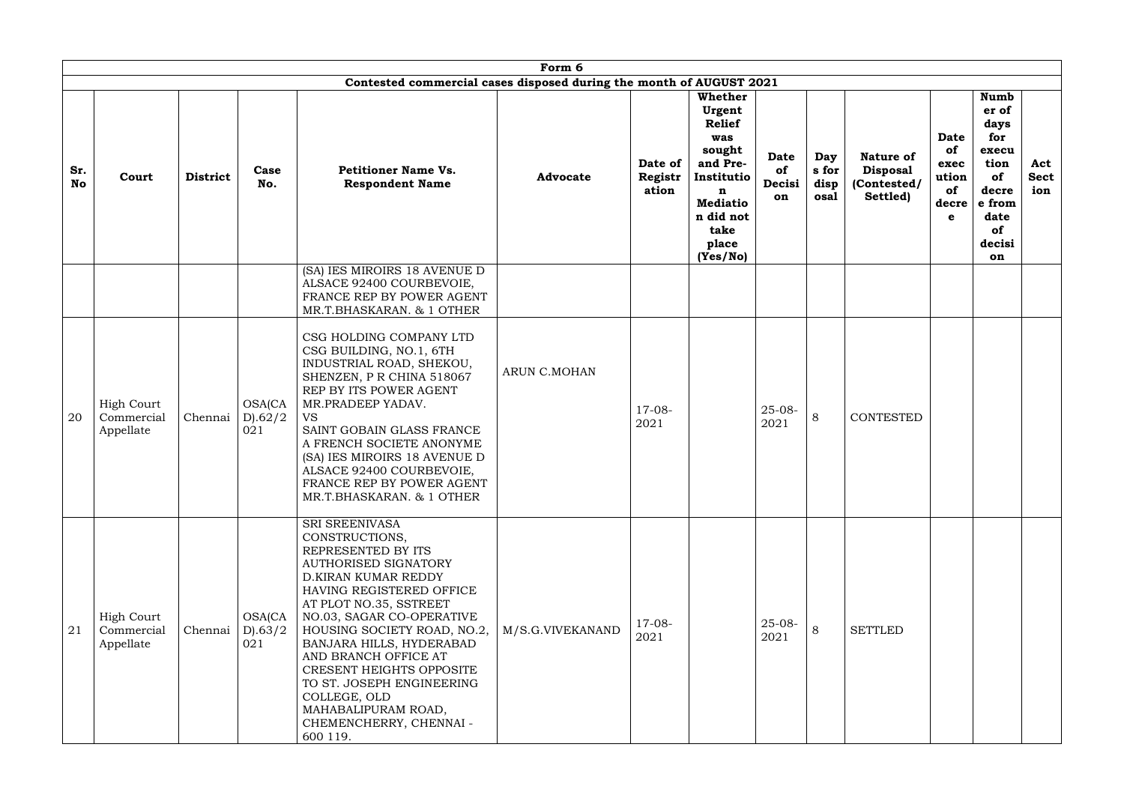|                  | Form 6<br>Contested commercial cases disposed during the month of AUGUST 2021 |                 |                             |                                                                                                                                                                                                                                                                                                                                                                                                                           |                     |                                    |                                                                                                                                                        |                                   |                              |                                                                |                                                        |                                                                                                             |                           |  |
|------------------|-------------------------------------------------------------------------------|-----------------|-----------------------------|---------------------------------------------------------------------------------------------------------------------------------------------------------------------------------------------------------------------------------------------------------------------------------------------------------------------------------------------------------------------------------------------------------------------------|---------------------|------------------------------------|--------------------------------------------------------------------------------------------------------------------------------------------------------|-----------------------------------|------------------------------|----------------------------------------------------------------|--------------------------------------------------------|-------------------------------------------------------------------------------------------------------------|---------------------------|--|
| Sr.<br><b>No</b> | Court                                                                         | <b>District</b> | Case<br>No.                 | <b>Petitioner Name Vs.</b><br><b>Respondent Name</b>                                                                                                                                                                                                                                                                                                                                                                      | <b>Advocate</b>     | Date of<br><b>Registr</b><br>ation | <b>Whether</b><br>Urgent<br><b>Relief</b><br>was<br>sought<br>and Pre-<br>Institutio<br>n<br><b>Mediatio</b><br>n did not<br>take<br>place<br>(Yes/No) | <b>Date</b><br>of<br>Decisi<br>on | Day<br>s for<br>disp<br>osal | <b>Nature of</b><br><b>Disposal</b><br>(Contested/<br>Settled) | <b>Date</b><br>of<br>exec<br>ution<br>of<br>decre<br>e | <b>Numb</b><br>er of<br>days<br>for<br>execu<br>tion<br>of<br>decre<br>e from<br>date<br>of<br>decisi<br>on | Act<br><b>Sect</b><br>ion |  |
|                  |                                                                               |                 |                             | (SA) IES MIROIRS 18 AVENUE D<br>ALSACE 92400 COURBEVOIE,<br>FRANCE REP BY POWER AGENT<br>MR.T.BHASKARAN. & 1 OTHER                                                                                                                                                                                                                                                                                                        |                     |                                    |                                                                                                                                                        |                                   |                              |                                                                |                                                        |                                                                                                             |                           |  |
| 20               | <b>High Court</b><br>Commercial<br>Appellate                                  | Chennai         | OSA(CA<br>$D$ ).62/2<br>021 | CSG HOLDING COMPANY LTD<br>CSG BUILDING, NO.1, 6TH<br>INDUSTRIAL ROAD, SHEKOU,<br>SHENZEN, P R CHINA 518067<br>REP BY ITS POWER AGENT<br>MR.PRADEEP YADAV.<br><b>VS</b><br>SAINT GOBAIN GLASS FRANCE<br>A FRENCH SOCIETE ANONYME<br>(SA) IES MIROIRS 18 AVENUE D<br>ALSACE 92400 COURBEVOIE,<br>FRANCE REP BY POWER AGENT<br>MR.T.BHASKARAN. & 1 OTHER                                                                    | <b>ARUN C.MOHAN</b> | $17-08-$<br>2021                   |                                                                                                                                                        | $25 - 08 -$<br>2021               | 8                            | <b>CONTESTED</b>                                               |                                                        |                                                                                                             |                           |  |
| 21               | <b>High Court</b><br>Commercial<br>Appellate                                  | Chennai         | OSA(CA<br>$D$ ).63/2<br>021 | <b>SRI SREENIVASA</b><br>CONSTRUCTIONS,<br>REPRESENTED BY ITS<br>AUTHORISED SIGNATORY<br>D.KIRAN KUMAR REDDY<br>HAVING REGISTERED OFFICE<br>AT PLOT NO.35, SSTREET<br>NO.03, SAGAR CO-OPERATIVE<br>HOUSING SOCIETY ROAD, NO.2,<br>BANJARA HILLS, HYDERABAD<br>AND BRANCH OFFICE AT<br>CRESENT HEIGHTS OPPOSITE<br>TO ST. JOSEPH ENGINEERING<br>COLLEGE, OLD<br>MAHABALIPURAM ROAD,<br>CHEMENCHERRY, CHENNAI -<br>600 119. | M/S.G.VIVEKANAND    | $17-08-$<br>2021                   |                                                                                                                                                        | $25 - 08 -$<br>2021               | 8                            | <b>SETTLED</b>                                                 |                                                        |                                                                                                             |                           |  |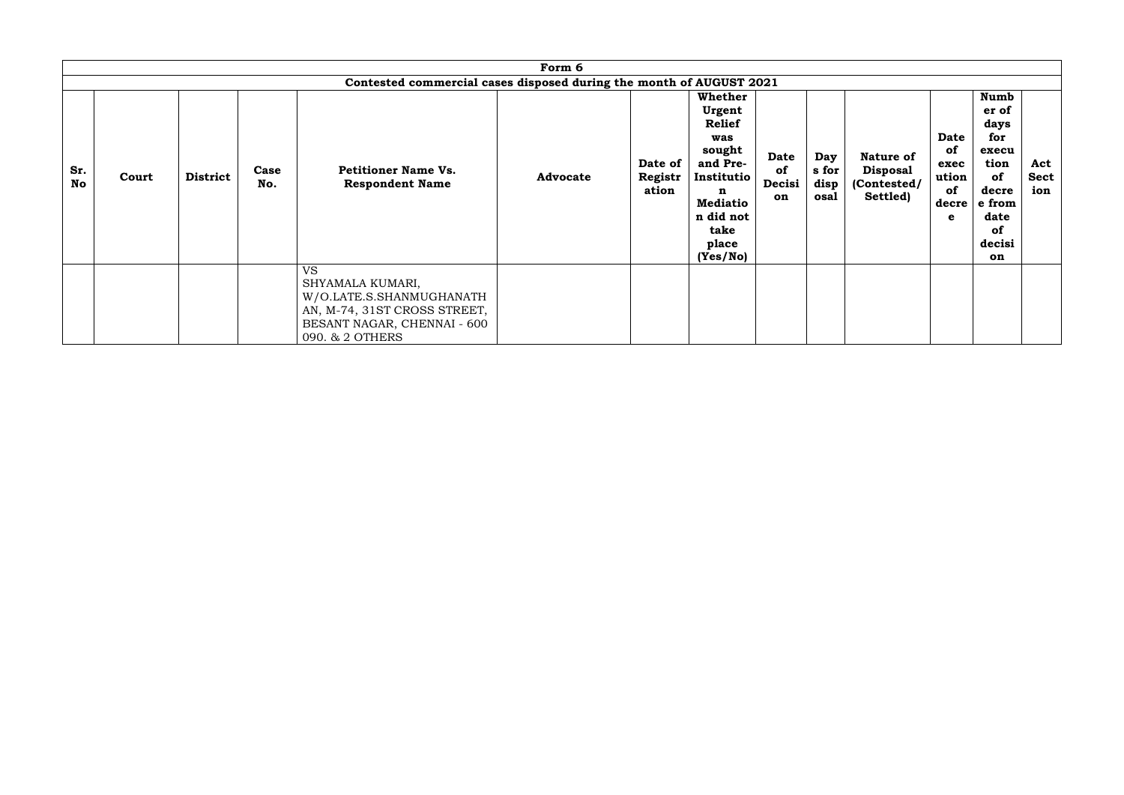|                  |       |                 |             |                                                                                                                                             | Form 6          |                             |                                                                                                                                                 |                                   |                              |                                                                |                                                 |                                                                                                             |                           |
|------------------|-------|-----------------|-------------|---------------------------------------------------------------------------------------------------------------------------------------------|-----------------|-----------------------------|-------------------------------------------------------------------------------------------------------------------------------------------------|-----------------------------------|------------------------------|----------------------------------------------------------------|-------------------------------------------------|-------------------------------------------------------------------------------------------------------------|---------------------------|
|                  |       |                 |             | Contested commercial cases disposed during the month of AUGUST 2021                                                                         |                 |                             |                                                                                                                                                 |                                   |                              |                                                                |                                                 |                                                                                                             |                           |
| Sr.<br><b>No</b> | Court | <b>District</b> | Case<br>No. | <b>Petitioner Name Vs.</b><br><b>Respondent Name</b>                                                                                        | <b>Advocate</b> | Date of<br>Registr<br>ation | Whether<br>Urgent<br><b>Relief</b><br>was<br>sought<br>and Pre-<br>Institutio<br>n<br><b>Mediatio</b><br>n did not<br>take<br>place<br>(Yes/No) | <b>Date</b><br>of<br>Decisi<br>on | Day<br>s for<br>disp<br>osal | <b>Nature of</b><br><b>Disposal</b><br>(Contested/<br>Settled) | Date<br>of<br>exec<br>ution<br>of<br>decre<br>e | <b>Numb</b><br>er of<br>days<br>for<br>execu<br>tion<br>of<br>decre<br>e from<br>date<br>of<br>decisi<br>on | Act<br><b>Sect</b><br>ion |
|                  |       |                 |             | <b>VS</b><br>SHYAMALA KUMARI,<br>W/O.LATE.S.SHANMUGHANATH<br>AN, M-74, 31ST CROSS STREET,<br>BESANT NAGAR, CHENNAI - 600<br>090. & 2 OTHERS |                 |                             |                                                                                                                                                 |                                   |                              |                                                                |                                                 |                                                                                                             |                           |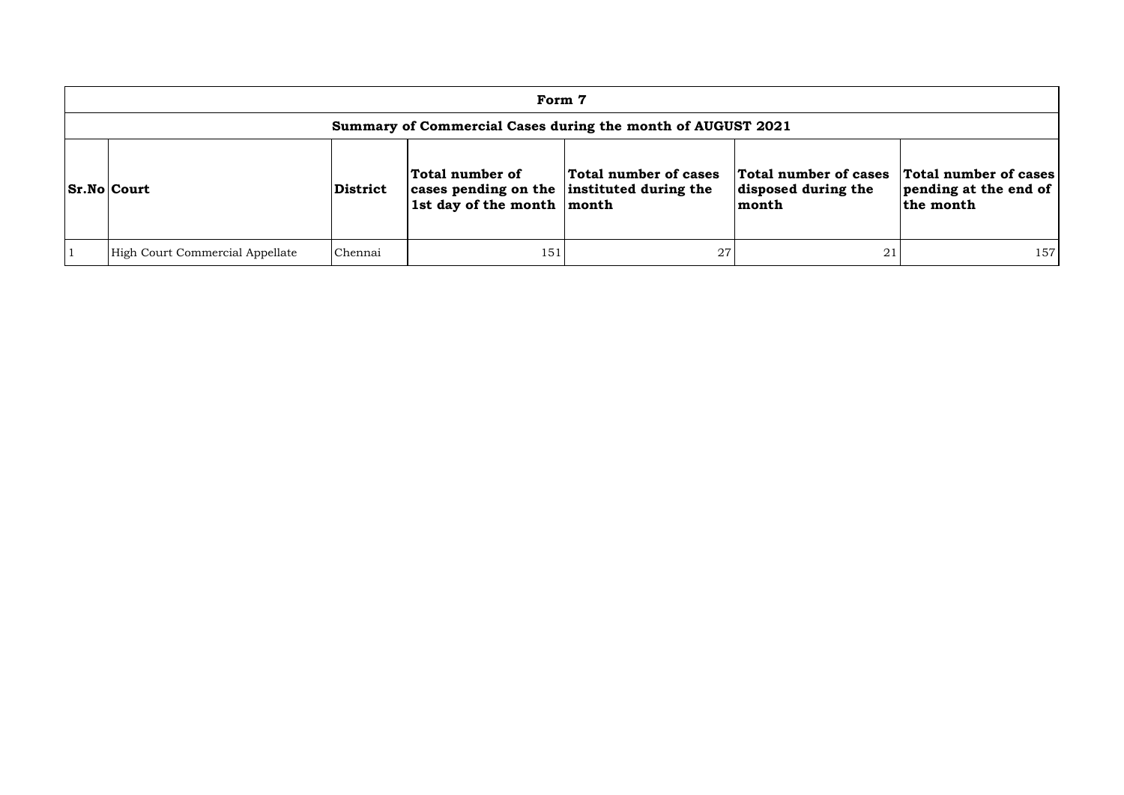|                                 |          | Form 7                                                                                                      |                                                             |                                                       |                                                             |
|---------------------------------|----------|-------------------------------------------------------------------------------------------------------------|-------------------------------------------------------------|-------------------------------------------------------|-------------------------------------------------------------|
|                                 |          |                                                                                                             | Summary of Commercial Cases during the month of AUGUST 2021 |                                                       |                                                             |
| <b>Sr.No Court</b>              | District | Total number of<br>cases pending on the instituted during the<br>$\vert$ 1st day of the month $\vert$ month | Total number of cases                                       | Total number of cases<br>disposed during the<br>month | Total number of cases<br>pending at the end of<br>the month |
| High Court Commercial Appellate | Chennai  | 151                                                                                                         | 27                                                          | 21                                                    | 157                                                         |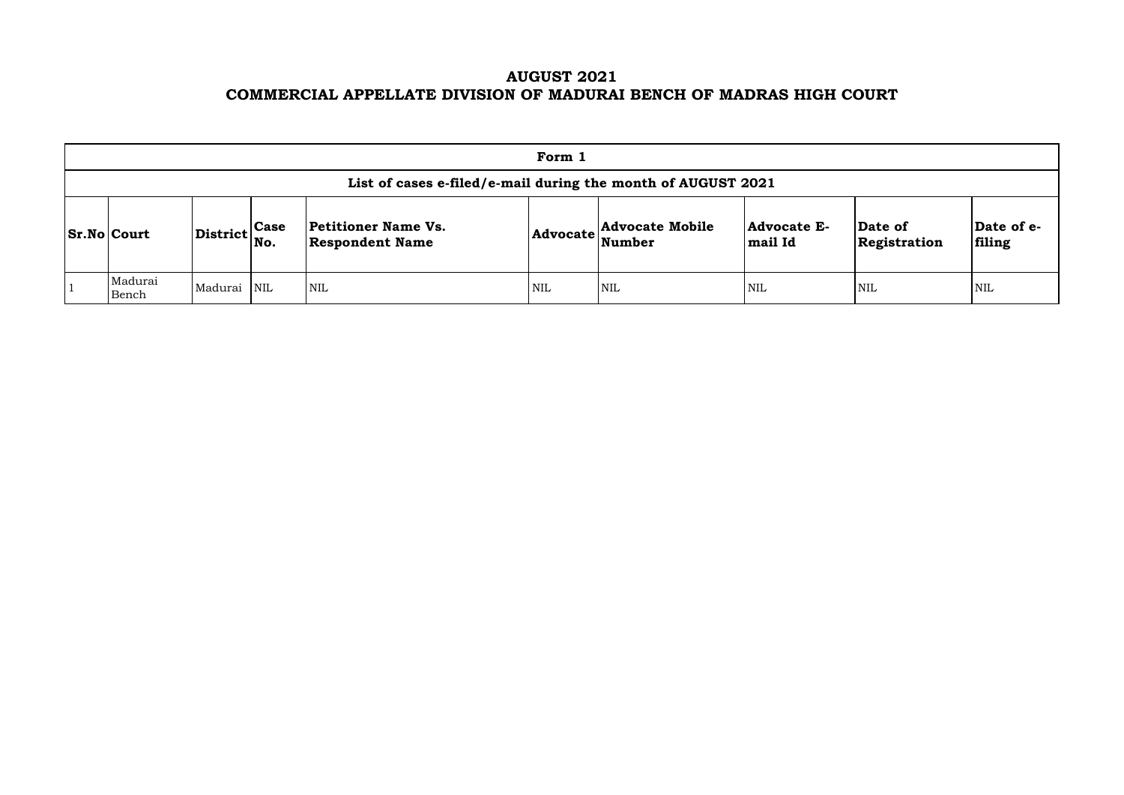# **AUGUST 2021 COMMERCIAL APPELLATE DIVISION OF MADURAI BENCH OF MADRAS HIGH COURT**

| Form 1                                                       |                                                           |  |                                               |     |                                                             |                                                |                         |                       |  |  |
|--------------------------------------------------------------|-----------------------------------------------------------|--|-----------------------------------------------|-----|-------------------------------------------------------------|------------------------------------------------|-------------------------|-----------------------|--|--|
| List of cases e-filed/e-mail during the month of AUGUST 2021 |                                                           |  |                                               |     |                                                             |                                                |                         |                       |  |  |
| $ Sr.No $ Court                                              | $\left \text{District}\right _{\text{No.}}^{\text{Case}}$ |  | Petitioner Name Vs.<br><b>Respondent Name</b> |     | <b>Advocate Mobile</b><br>$ {\bf Advocate} \text{Number} \$ | <b>Advocate E-</b><br>$\left  \right.$ mail Id | Date of<br>Registration | $\mathbf{Da}$<br>fili |  |  |
| Madurai<br>Bench                                             | Madurai NIL                                               |  | <b>NIL</b>                                    | NIL | <b>NIL</b>                                                  | <b>NIL</b>                                     | <b>NIL</b>              | NIL                   |  |  |

| Date of<br>Registration | Date of e-<br>filing |
|-------------------------|----------------------|
| NIL                     | NH.                  |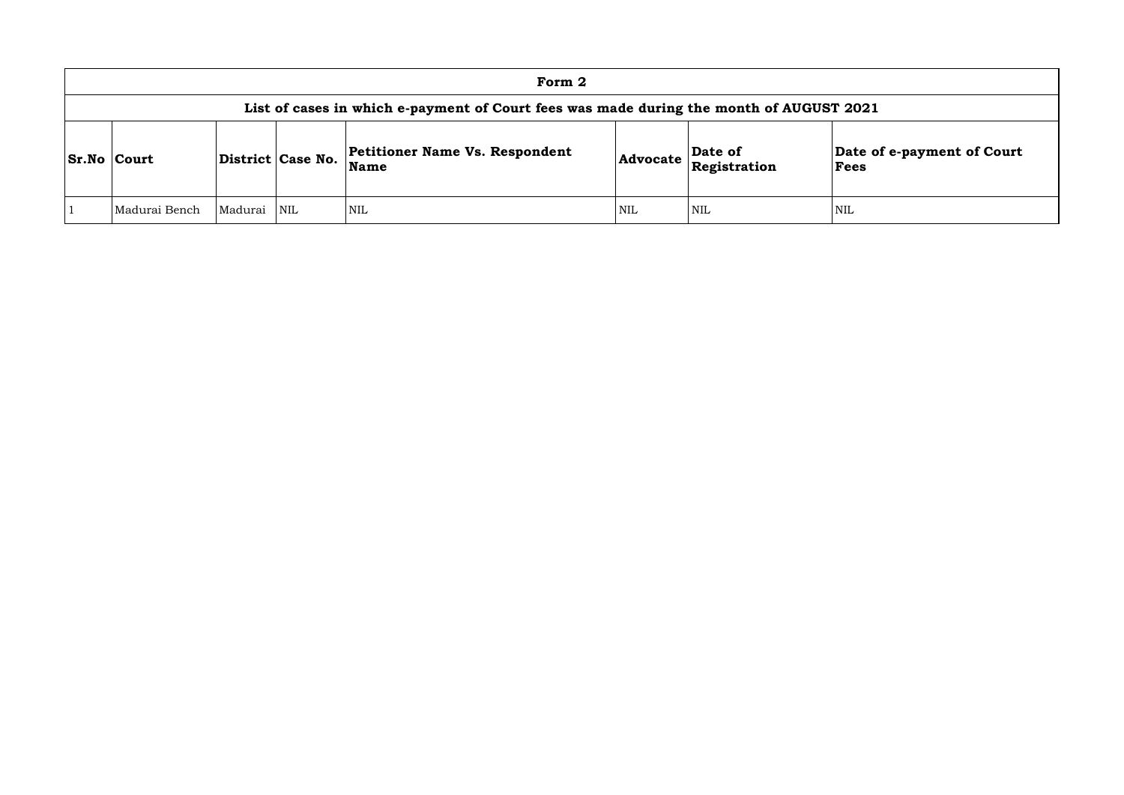| Form 2                                                                                  |                   |            |                                                      |            |                         |                |  |  |  |
|-----------------------------------------------------------------------------------------|-------------------|------------|------------------------------------------------------|------------|-------------------------|----------------|--|--|--|
| List of cases in which e-payment of Court fees was made during the month of AUGUST 2021 |                   |            |                                                      |            |                         |                |  |  |  |
| <b>Sr.No Court</b>                                                                      | District Case No. |            | <b>Petitioner Name Vs. Respondent</b><br><b>Name</b> | Advocate   | Date of<br>Registration | Date o<br>Fees |  |  |  |
| Madurai Bench                                                                           | Madurai           | <b>NIL</b> | <b>NIL</b>                                           | <b>NIL</b> | NIL                     | NIL            |  |  |  |

### **Date of e-payment of Court Fees**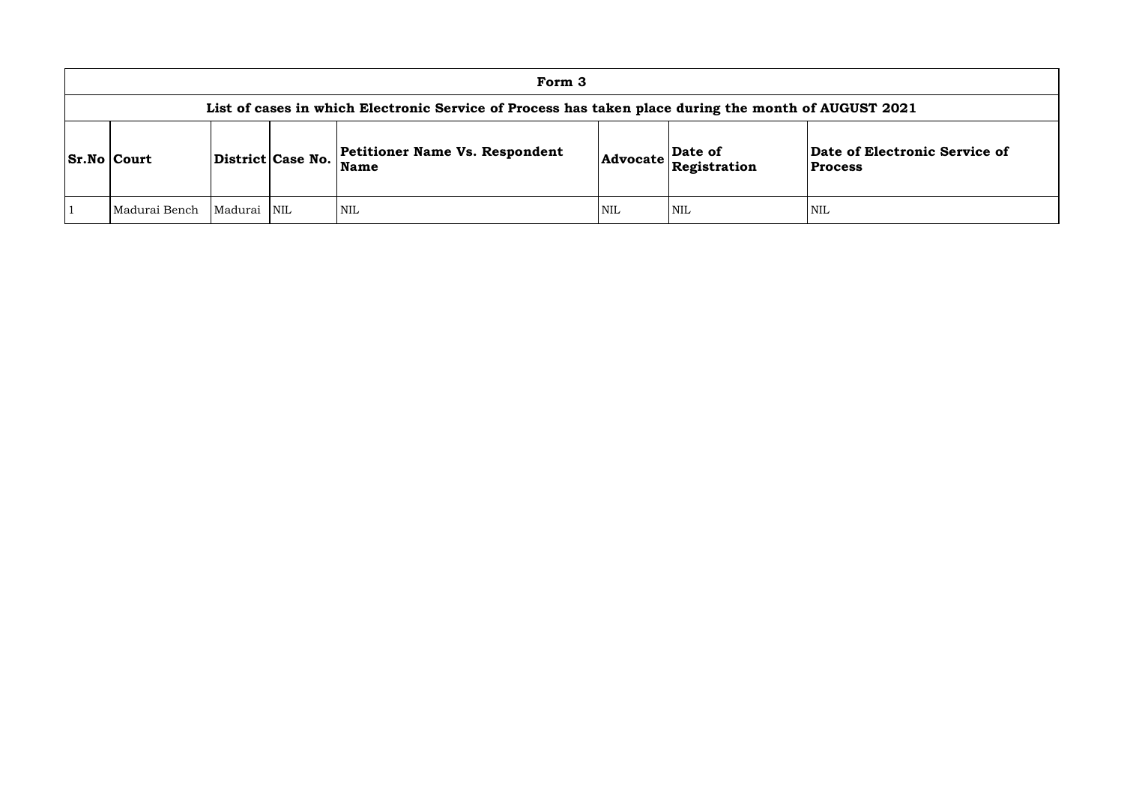### **of Electronic Service of Process**

| Form 3                                                                                               |             |  |                                                      |     |                                                                       |                                    |  |  |  |
|------------------------------------------------------------------------------------------------------|-------------|--|------------------------------------------------------|-----|-----------------------------------------------------------------------|------------------------------------|--|--|--|
| List of cases in which Electronic Service of Process has taken place during the month of AUGUST 2021 |             |  |                                                      |     |                                                                       |                                    |  |  |  |
| District Case No.<br><b>Sr.No Court</b>                                                              |             |  | <b>Petitioner Name Vs. Respondent</b><br><b>Name</b> |     | $\left  \text{Advocate} \right $ $\left  \text{Resistration} \right $ | Date of Electro:<br><b>Process</b> |  |  |  |
| Madurai Bench                                                                                        | Madurai NIL |  | <b>NIL</b>                                           | NIL | <b>NIL</b>                                                            | NIL                                |  |  |  |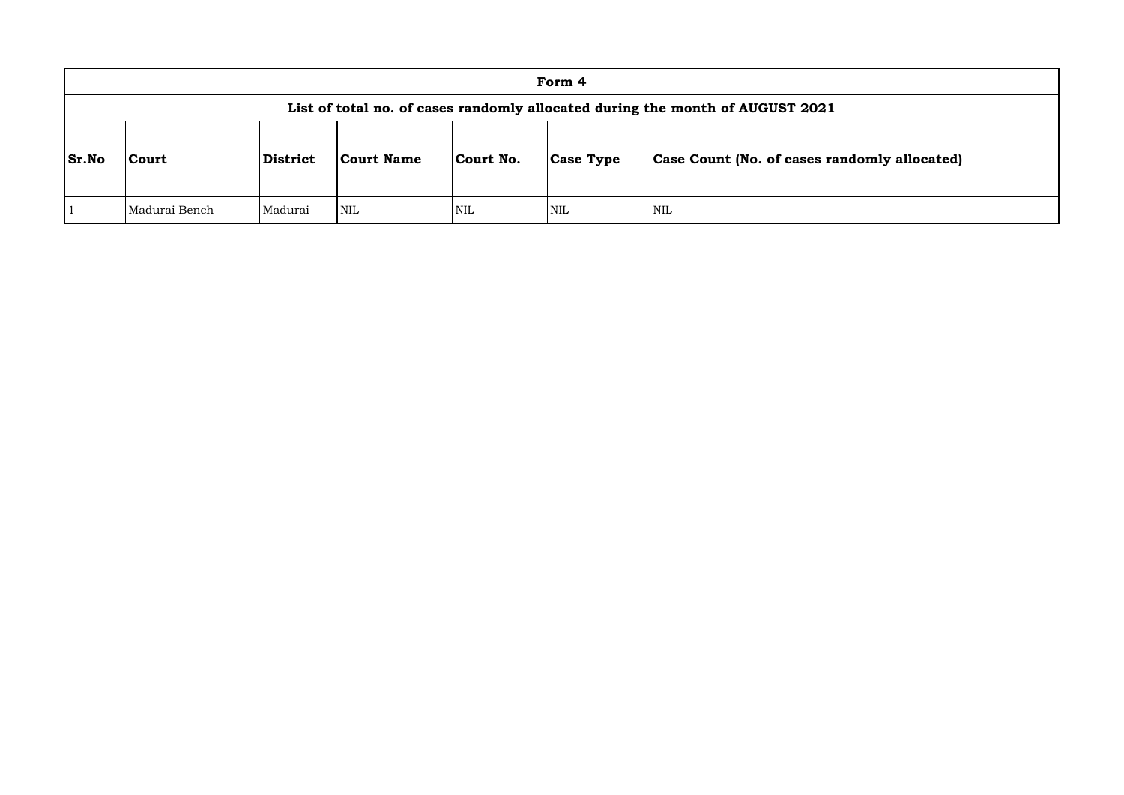|              | Form 4                                                                        |                 |            |            |                  |                                      |  |  |  |
|--------------|-------------------------------------------------------------------------------|-----------------|------------|------------|------------------|--------------------------------------|--|--|--|
|              | List of total no. of cases randomly allocated during the month of AUGUST 2021 |                 |            |            |                  |                                      |  |  |  |
| <b>Sr.No</b> | <b>Court</b>                                                                  | <b>District</b> | Court Name | Court No.  | <b>Case Type</b> | <b>Case Count (No. of cases rand</b> |  |  |  |
|              | Madurai Bench                                                                 | Madurai         | <b>NIL</b> | <b>NIL</b> | <b>NIL</b>       | <b>NIL</b>                           |  |  |  |

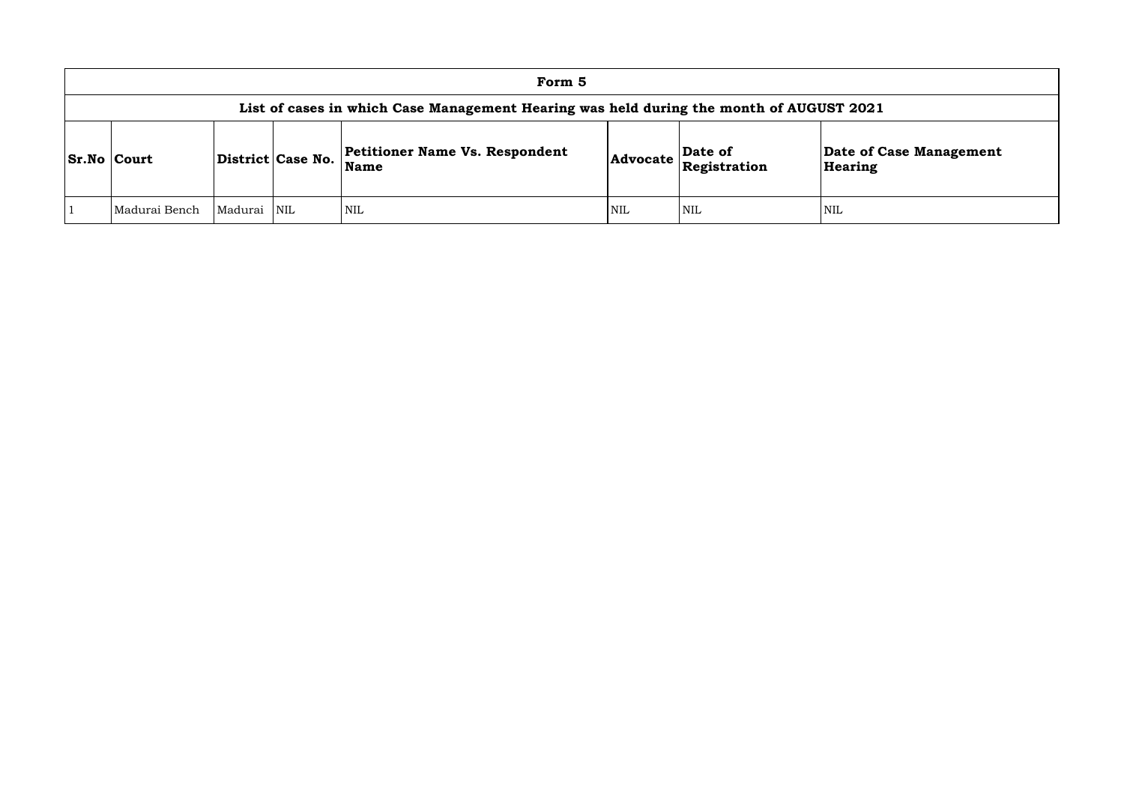| Form 5                                                                                  |         |      |                                               |            |                                            |                      |  |  |  |  |
|-----------------------------------------------------------------------------------------|---------|------|-----------------------------------------------|------------|--------------------------------------------|----------------------|--|--|--|--|
| List of cases in which Case Management Hearing was held during the month of AUGUST 2021 |         |      |                                               |            |                                            |                      |  |  |  |  |
| <b>Sr.No Court</b><br>District Case No.                                                 |         |      | Petitioner Name Vs. Respondent<br><b>Name</b> |            | Date of<br><b>Advocate</b><br>Registration | Date of C<br>Hearing |  |  |  |  |
| Madurai Bench                                                                           | Madurai | 'NIL | <b>NIL</b>                                    | <b>NIL</b> | <b>NIL</b>                                 | NIL                  |  |  |  |  |

**e of Case Management** ring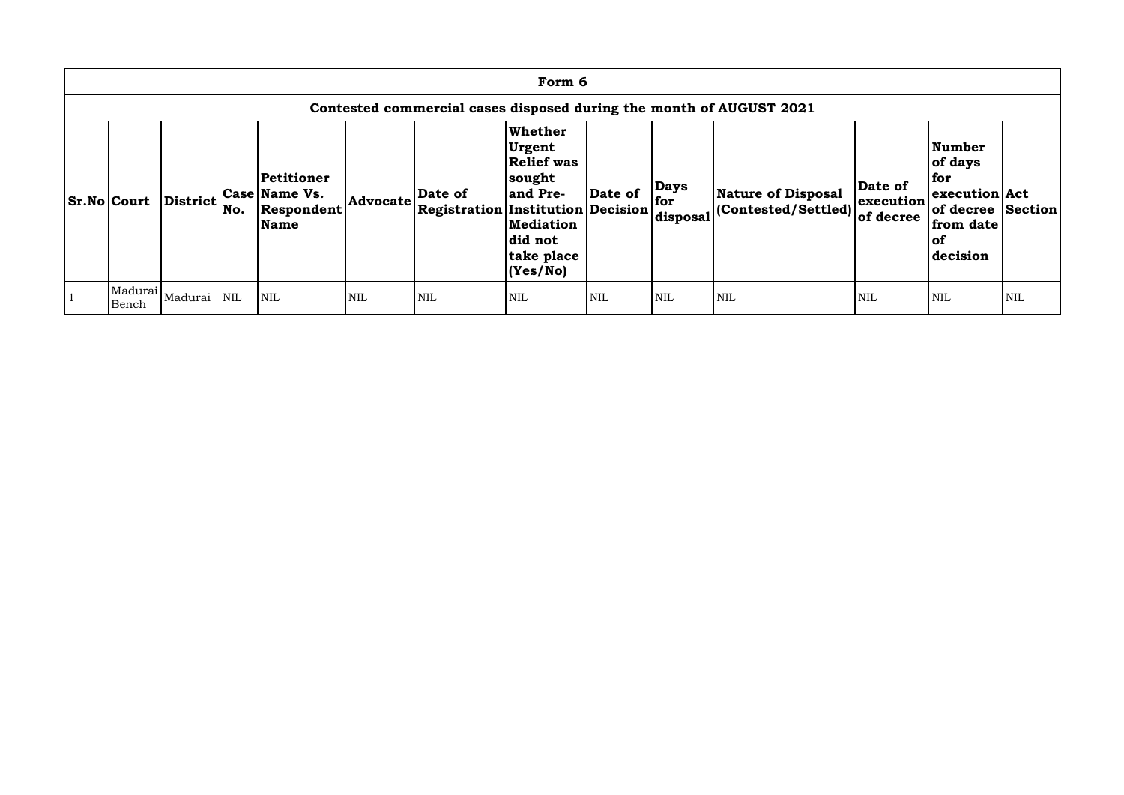| Form 6                                                              |                             |            |                                                          |            |                                                     |                                                                                                                                |            |                                |                                                   |                                   |                                                                                                          |     |
|---------------------------------------------------------------------|-----------------------------|------------|----------------------------------------------------------|------------|-----------------------------------------------------|--------------------------------------------------------------------------------------------------------------------------------|------------|--------------------------------|---------------------------------------------------|-----------------------------------|----------------------------------------------------------------------------------------------------------|-----|
| Contested commercial cases disposed during the month of AUGUST 2021 |                             |            |                                                          |            |                                                     |                                                                                                                                |            |                                |                                                   |                                   |                                                                                                          |     |
| <b>Sr.No Court</b>                                                  | <b>District</b>             | No.        | Petitioner<br><b>Case Name Vs.</b><br>Respondent<br>Name | Advocate   | Date of<br><b>Registration Institution Decision</b> | Whether<br><b>Urgent</b><br><b>Relief was</b><br> sought<br>and Pre-<br><b>Mediation</b><br>did not<br>take place<br> (Yes/No) | Date of    | <b>Days</b><br>for<br>disposal | Nature of Disposal<br>$ $ (Contested/Settled) $ $ | Date of<br>execution<br>of decree | <b>Number</b><br>of days<br>for<br>execution Act<br>of decree Section<br>from date<br>$ $ of<br>decision |     |
| Bench                                                               | Madurai  <sub>Madurai</sub> | <b>NIL</b> | <b>NIL</b>                                               | <b>NIL</b> | <b>NIL</b>                                          | <b>NIL</b>                                                                                                                     | <b>NIL</b> | <b>NIL</b>                     | <b>NIL</b>                                        | <b>NIL</b>                        | <b>NIL</b>                                                                                               | NIL |